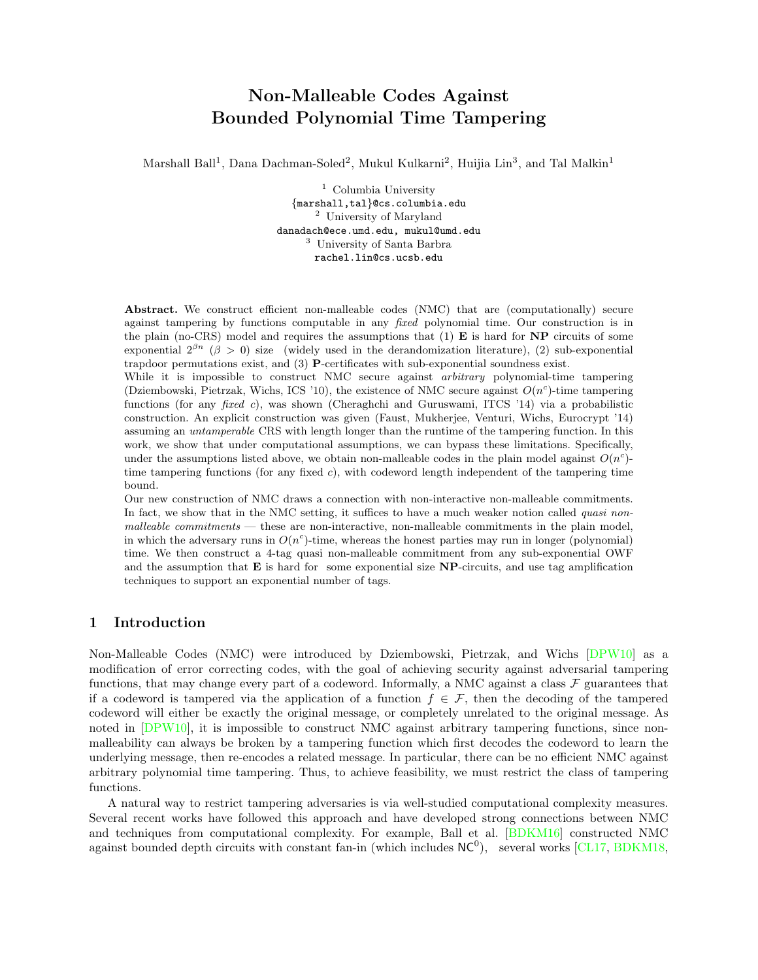# Non-Malleable Codes Against Bounded Polynomial Time Tampering

Marshall Ball<sup>1</sup>, Dana Dachman-Soled<sup>2</sup>, Mukul Kulkarni<sup>2</sup>, Huijia Lin<sup>3</sup>, and Tal Malkin<sup>1</sup>

 $1$  Columbia University {marshall,tal}@cs.columbia.edu <sup>2</sup> University of Maryland danadach@ece.umd.edu, mukul@umd.edu <sup>3</sup> University of Santa Barbra rachel.lin@cs.ucsb.edu

Abstract. We construct efficient non-malleable codes (NMC) that are (computationally) secure against tampering by functions computable in any fixed polynomial time. Our construction is in the plain (no-CRS) model and requires the assumptions that  $(1)$  **E** is hard for **NP** circuits of some exponential  $2^{\beta n}$  (β > 0) size (widely used in the derandomization literature), (2) sub-exponential trapdoor permutations exist, and (3) P-certificates with sub-exponential soundness exist.

While it is impossible to construct NMC secure against *arbitrary* polynomial-time tampering (Dziembowski, Pietrzak, Wichs, ICS '10), the existence of NMC secure against  $O(n^c)$ -time tampering functions (for any fixed c), was shown (Cheraghchi and Guruswami, ITCS '14) via a probabilistic construction. An explicit construction was given (Faust, Mukherjee, Venturi, Wichs, Eurocrypt '14) assuming an untamperable CRS with length longer than the runtime of the tampering function. In this work, we show that under computational assumptions, we can bypass these limitations. Specifically, under the assumptions listed above, we obtain non-malleable codes in the plain model against  $O(n^c)$ time tampering functions (for any fixed c), with codeword length independent of the tampering time bound.

Our new construction of NMC draws a connection with non-interactive non-malleable commitments. In fact, we show that in the NMC setting, it suffices to have a much weaker notion called *quasi non* $malleable$  commitments  $-$  these are non-interactive, non-malleable commitments in the plain model, in which the adversary runs in  $O(n^c)$ -time, whereas the honest parties may run in longer (polynomial) time. We then construct a 4-tag quasi non-malleable commitment from any sub-exponential OWF and the assumption that  $E$  is hard for some exponential size  $NP$ -circuits, and use tag amplification techniques to support an exponential number of tags.

# 1 Introduction

Non-Malleable Codes (NMC) were introduced by Dziembowski, Pietrzak, and Wichs [\[DPW10\]](#page-27-0) as a modification of error correcting codes, with the goal of achieving security against adversarial tampering functions, that may change every part of a codeword. Informally, a NMC against a class  $\mathcal F$  guarantees that if a codeword is tampered via the application of a function  $f \in \mathcal{F}$ , then the decoding of the tampered codeword will either be exactly the original message, or completely unrelated to the original message. As noted in  $[DPW10]$ , it is impossible to construct NMC against arbitrary tampering functions, since nonmalleability can always be broken by a tampering function which first decodes the codeword to learn the underlying message, then re-encodes a related message. In particular, there can be no efficient NMC against arbitrary polynomial time tampering. Thus, to achieve feasibility, we must restrict the class of tampering functions.

A natural way to restrict tampering adversaries is via well-studied computational complexity measures. Several recent works have followed this approach and have developed strong connections between NMC and techniques from computational complexity. For example, Ball et al. [\[BDKM16\]](#page-26-0) constructed NMC against bounded depth circuits with constant fan-in (which includes  $NC<sup>0</sup>$ ), several works [\[CL17,](#page-27-1) [BDKM18,](#page-26-1)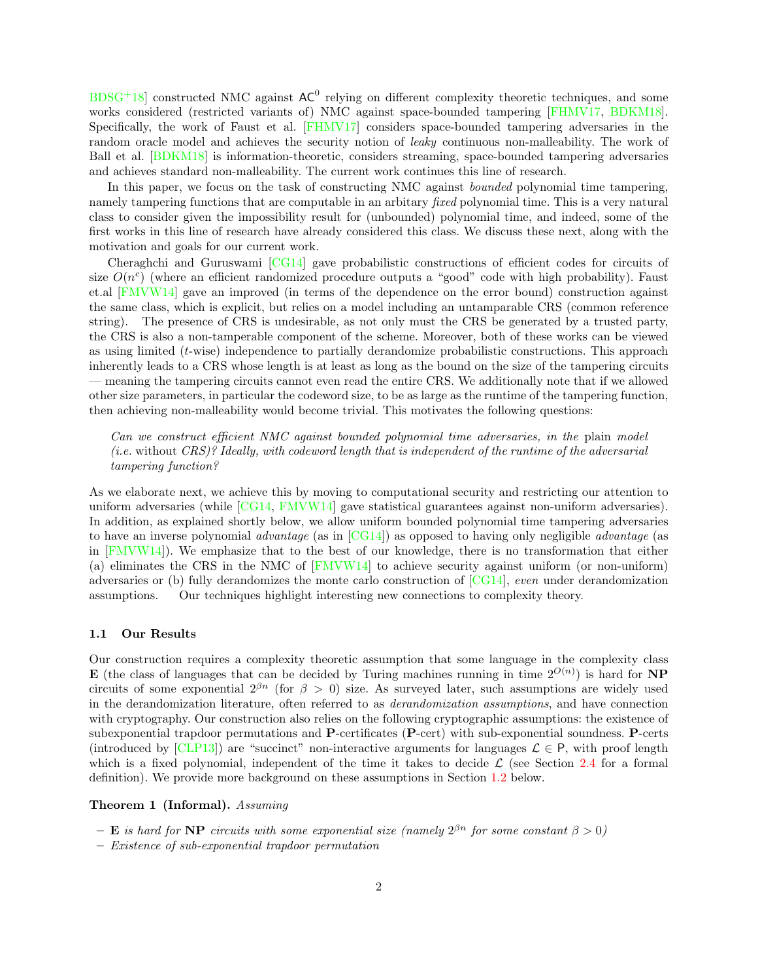$BDSG<sup>+</sup>18$  $BDSG<sup>+</sup>18$  constructed NMC against  $AC<sup>0</sup>$  relying on different complexity theoretic techniques, and some works considered (restricted variants of) NMC against space-bounded tampering [\[FHMV17,](#page-27-3) [BDKM18\]](#page-26-1). Specifically, the work of Faust et al. [\[FHMV17\]](#page-27-3) considers space-bounded tampering adversaries in the random oracle model and achieves the security notion of *leaky* continuous non-malleability. The work of Ball et al. [\[BDKM18\]](#page-26-1) is information-theoretic, considers streaming, space-bounded tampering adversaries and achieves standard non-malleability. The current work continues this line of research.

In this paper, we focus on the task of constructing NMC against *bounded* polynomial time tampering, namely tampering functions that are computable in an arbitary *fixed* polynomial time. This is a very natural class to consider given the impossibility result for (unbounded) polynomial time, and indeed, some of the first works in this line of research have already considered this class. We discuss these next, along with the motivation and goals for our current work.

Cheraghchi and Guruswami [\[CG14\]](#page-27-4) gave probabilistic constructions of efficient codes for circuits of size  $O(n^c)$  (where an efficient randomized procedure outputs a "good" code with high probability). Faust et.al [\[FMVW14\]](#page-27-5) gave an improved (in terms of the dependence on the error bound) construction against the same class, which is explicit, but relies on a model including an untamparable CRS (common reference string). The presence of CRS is undesirable, as not only must the CRS be generated by a trusted party, the CRS is also a non-tamperable component of the scheme. Moreover, both of these works can be viewed as using limited (t-wise) independence to partially derandomize probabilistic constructions. This approach inherently leads to a CRS whose length is at least as long as the bound on the size of the tampering circuits — meaning the tampering circuits cannot even read the entire CRS. We additionally note that if we allowed other size parameters, in particular the codeword size, to be as large as the runtime of the tampering function, then achieving non-malleability would become trivial. This motivates the following questions:

Can we construct efficient NMC against bounded polynomial time adversaries, in the plain model (*i.e.* without  $CRS$ )? Ideally, with codeword length that is independent of the runtime of the adversarial tampering function?

As we elaborate next, we achieve this by moving to computational security and restricting our attention to uniform adversaries (while [\[CG14,](#page-27-4) [FMVW14\]](#page-27-5) gave statistical guarantees against non-uniform adversaries). In addition, as explained shortly below, we allow uniform bounded polynomial time tampering adversaries to have an inverse polynomial *advantage* (as in  $[CG14]$ ) as opposed to having only negligible *advantage* (as in [\[FMVW14\]](#page-27-5)). We emphasize that to the best of our knowledge, there is no transformation that either (a) eliminates the CRS in the NMC of [\[FMVW14\]](#page-27-5) to achieve security against uniform (or non-uniform) adversaries or (b) fully derandomizes the monte carlo construction of  $[CG14]$ , even under derandomization assumptions. Our techniques highlight interesting new connections to complexity theory.

#### 1.1 Our Results

Our construction requires a complexity theoretic assumption that some language in the complexity class **E** (the class of languages that can be decided by Turing machines running in time  $2^{O(n)}$ ) is hard for **NP** circuits of some exponential  $2^{\beta n}$  (for  $\beta > 0$ ) size. As surveyed later, such assumptions are widely used in the derandomization literature, often referred to as derandomization assumptions, and have connection with cryptography. Our construction also relies on the following cryptographic assumptions: the existence of subexponential trapdoor permutations and P-certificates (P-cert) with sub-exponential soundness. P-certs (introduced by [\[CLP13\]](#page-27-6)) are "succinct" non-interactive arguments for languages  $\mathcal{L} \in \mathsf{P}$ , with proof length which is a fixed polynomial, independent of the time it takes to decide  $\mathcal L$  (see Section [2.4](#page-11-0) for a formal definition). We provide more background on these assumptions in Section [1.2](#page-3-0) below.

#### <span id="page-1-0"></span>Theorem 1 (Informal). Assuming

- **E** is hard for **NP** circuits with some exponential size (namely  $2^{\beta n}$  for some constant  $\beta > 0$ )
- Existence of sub-exponential trapdoor permutation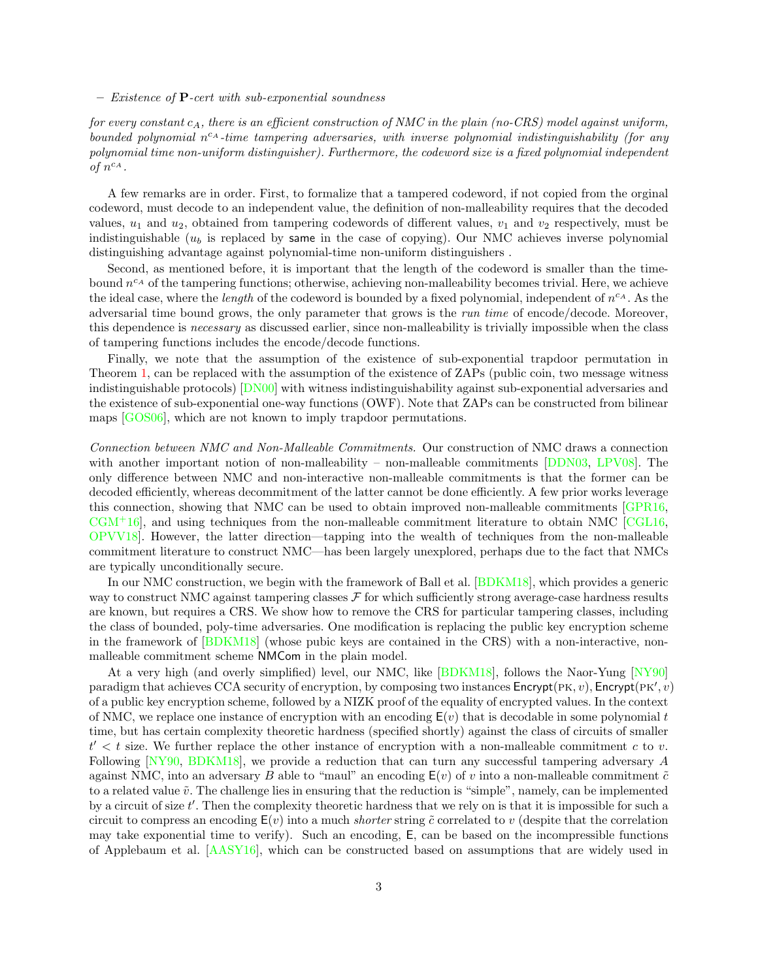$-$  Existence of **P**-cert with sub-exponential soundness

for every constant  $c_A$ , there is an efficient construction of NMC in the plain (no-CRS) model against uniform, bounded polynomial  $n^{c_A}$ -time tampering adversaries, with inverse polynomial indistinguishability (for any polynomial time non-uniform distinguisher). Furthermore, the codeword size is a fixed polynomial independent of  $n^{c_A}$ .

A few remarks are in order. First, to formalize that a tampered codeword, if not copied from the orginal codeword, must decode to an independent value, the definition of non-malleability requires that the decoded values,  $u_1$  and  $u_2$ , obtained from tampering codewords of different values,  $v_1$  and  $v_2$  respectively, must be indistinguishable  $(u_b)$  is replaced by same in the case of copying). Our NMC achieves inverse polynomial distinguishing advantage against polynomial-time non-uniform distinguishers .

Second, as mentioned before, it is important that the length of the codeword is smaller than the timebound  $n^{c_A}$  of the tampering functions; otherwise, achieving non-malleability becomes trivial. Here, we achieve the ideal case, where the *length* of the codeword is bounded by a fixed polynomial, independent of  $n^{c_A}$ . As the adversarial time bound grows, the only parameter that grows is the run time of encode/decode. Moreover, this dependence is necessary as discussed earlier, since non-malleability is trivially impossible when the class of tampering functions includes the encode/decode functions.

Finally, we note that the assumption of the existence of sub-exponential trapdoor permutation in Theorem [1,](#page-1-0) can be replaced with the assumption of the existence of ZAPs (public coin, two message witness indistinguishable protocols) [\[DN00\]](#page-27-7) with witness indistinguishability against sub-exponential adversaries and the existence of sub-exponential one-way functions (OWF). Note that ZAPs can be constructed from bilinear maps [\[GOS06\]](#page-27-8), which are not known to imply trapdoor permutations.

Connection between NMC and Non-Malleable Commitments. Our construction of NMC draws a connection with another important notion of non-malleability – non-malleable commitments [\[DDN03,](#page-27-9) [LPV08\]](#page-28-0). The only difference between NMC and non-interactive non-malleable commitments is that the former can be decoded efficiently, whereas decommitment of the latter cannot be done efficiently. A few prior works leverage this connection, showing that NMC can be used to obtain improved non-malleable commitments [\[GPR16,](#page-28-1)  $CGM<sup>+</sup>16$  $CGM<sup>+</sup>16$ , and using techniques from the non-malleable commitment literature to obtain NMC [\[CGL16,](#page-27-11) [OPVV18\]](#page-28-2). However, the latter direction—tapping into the wealth of techniques from the non-malleable commitment literature to construct NMC—has been largely unexplored, perhaps due to the fact that NMCs are typically unconditionally secure.

In our NMC construction, we begin with the framework of Ball et al. [\[BDKM18\]](#page-26-1), which provides a generic way to construct NMC against tampering classes  $\mathcal F$  for which sufficiently strong average-case hardness results are known, but requires a CRS. We show how to remove the CRS for particular tampering classes, including the class of bounded, poly-time adversaries. One modification is replacing the public key encryption scheme in the framework of [\[BDKM18\]](#page-26-1) (whose pubic keys are contained in the CRS) with a non-interactive, nonmalleable commitment scheme NMCom in the plain model.

At a very high (and overly simplified) level, our NMC, like [\[BDKM18\]](#page-26-1), follows the Naor-Yung [\[NY90\]](#page-28-3) paradigm that achieves CCA security of encryption, by composing two instances  $\mathsf{Encrypt}(\mathsf{PK}, v)$ ,  $\mathsf{Encrypt}(\mathsf{PK}', v)$ of a public key encryption scheme, followed by a NIZK proof of the equality of encrypted values. In the context of NMC, we replace one instance of encryption with an encoding  $E(v)$  that is decodable in some polynomial t time, but has certain complexity theoretic hardness (specified shortly) against the class of circuits of smaller  $t' < t$  size. We further replace the other instance of encryption with a non-malleable commitment c to v. Following [\[NY90,](#page-28-3) [BDKM18\]](#page-26-1), we provide a reduction that can turn any successful tampering adversary A against NMC, into an adversary B able to "maul" an encoding  $E(v)$  of v into a non-malleable commitment  $\tilde{c}$ to a related value  $\tilde{v}$ . The challenge lies in ensuring that the reduction is "simple", namely, can be implemented by a circuit of size  $t'$ . Then the complexity theoretic hardness that we rely on is that it is impossible for such a circuit to compress an encoding  $E(v)$  into a much *shorter* string  $\tilde{c}$  correlated to v (despite that the correlation may take exponential time to verify). Such an encoding, E, can be based on the incompressible functions of Applebaum et al. [\[AASY16\]](#page-26-2), which can be constructed based on assumptions that are widely used in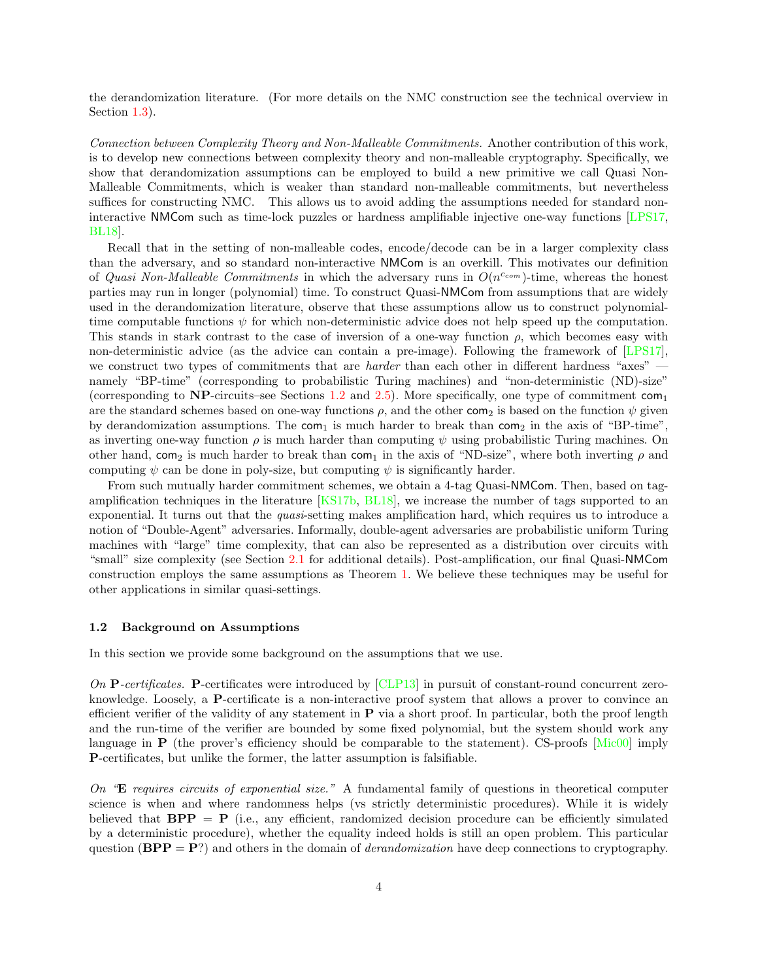the derandomization literature. (For more details on the NMC construction see the technical overview in Section [1.3\)](#page-5-0).

Connection between Complexity Theory and Non-Malleable Commitments. Another contribution of this work, is to develop new connections between complexity theory and non-malleable cryptography. Specifically, we show that derandomization assumptions can be employed to build a new primitive we call Quasi Non-Malleable Commitments, which is weaker than standard non-malleable commitments, but nevertheless suffices for constructing NMC. This allows us to avoid adding the assumptions needed for standard noninteractive NMCom such as time-lock puzzles or hardness amplifiable injective one-way functions [\[LPS17,](#page-28-4) [BL18\]](#page-27-12).

Recall that in the setting of non-malleable codes, encode/decode can be in a larger complexity class than the adversary, and so standard non-interactive NMCom is an overkill. This motivates our definition of Quasi Non-Malleable Commitments in which the adversary runs in  $O(n^{c_{com}})$ -time, whereas the honest parties may run in longer (polynomial) time. To construct Quasi-NMCom from assumptions that are widely used in the derandomization literature, observe that these assumptions allow us to construct polynomialtime computable functions  $\psi$  for which non-deterministic advice does not help speed up the computation. This stands in stark contrast to the case of inversion of a one-way function  $\rho$ , which becomes easy with non-deterministic advice (as the advice can contain a pre-image). Following the framework of [\[LPS17\]](#page-28-4), we construct two types of commitments that are *harder* than each other in different hardness "axes" namely "BP-time" (corresponding to probabilistic Turing machines) and "non-deterministic (ND)-size" (corresponding to NP-circuits–see Sections [1.2](#page-3-0) and [2.5\)](#page-12-0). More specifically, one type of commitment  $com_1$ are the standard schemes based on one-way functions  $\rho$ , and the other com<sub>2</sub> is based on the function  $\psi$  given by derandomization assumptions. The com<sub>1</sub> is much harder to break than com<sub>2</sub> in the axis of "BP-time", as inverting one-way function  $\rho$  is much harder than computing  $\psi$  using probabilistic Turing machines. On other hand, com<sub>2</sub> is much harder to break than com<sub>1</sub> in the axis of "ND-size", where both inverting  $\rho$  and computing  $\psi$  can be done in poly-size, but computing  $\psi$  is significantly harder.

From such mutually harder commitment schemes, we obtain a 4-tag Quasi-NMCom. Then, based on tagamplification techniques in the literature [\[KS17b,](#page-28-5) [BL18\]](#page-27-12), we increase the number of tags supported to an exponential. It turns out that the quasi-setting makes amplification hard, which requires us to introduce a notion of "Double-Agent" adversaries. Informally, double-agent adversaries are probabilistic uniform Turing machines with "large" time complexity, that can also be represented as a distribution over circuits with "small" size complexity (see Section [2.1](#page-9-0) for additional details). Post-amplification, our final Quasi-NMCom construction employs the same assumptions as Theorem [1.](#page-1-0) We believe these techniques may be useful for other applications in similar quasi-settings.

### <span id="page-3-0"></span>1.2 Background on Assumptions

In this section we provide some background on the assumptions that we use.

On **P**-certificates. **P**-certificates were introduced by  $[CLP13]$  in pursuit of constant-round concurrent zeroknowledge. Loosely, a P-certificate is a non-interactive proof system that allows a prover to convince an efficient verifier of the validity of any statement in  $P$  via a short proof. In particular, both the proof length and the run-time of the verifier are bounded by some fixed polynomial, but the system should work any language in **P** (the prover's efficiency should be comparable to the statement). CS-proofs  $\text{[Mic00]}$  $\text{[Mic00]}$  $\text{[Mic00]}$  imply P-certificates, but unlike the former, the latter assumption is falsifiable.

On "E requires circuits of exponential size." A fundamental family of questions in theoretical computer science is when and where randomness helps (vs strictly deterministic procedures). While it is widely believed that  $BPP = P$  (i.e., any efficient, randomized decision procedure can be efficiently simulated by a deterministic procedure), whether the equality indeed holds is still an open problem. This particular question  $(BPP = P)$  and others in the domain of *derandomization* have deep connections to cryptography.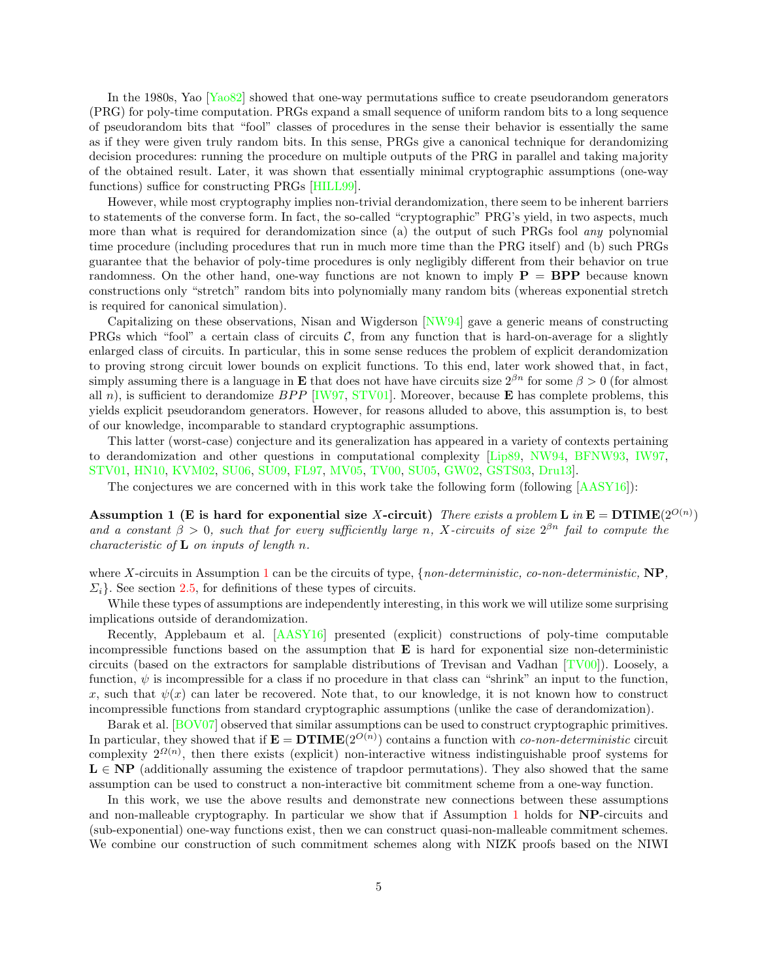In the 1980s, Yao [\[Yao82\]](#page-29-0) showed that one-way permutations suffice to create pseudorandom generators (PRG) for poly-time computation. PRGs expand a small sequence of uniform random bits to a long sequence of pseudorandom bits that "fool" classes of procedures in the sense their behavior is essentially the same as if they were given truly random bits. In this sense, PRGs give a canonical technique for derandomizing decision procedures: running the procedure on multiple outputs of the PRG in parallel and taking majority of the obtained result. Later, it was shown that essentially minimal cryptographic assumptions (one-way functions) suffice for constructing PRGs [\[HILL99\]](#page-28-7).

However, while most cryptography implies non-trivial derandomization, there seem to be inherent barriers to statements of the converse form. In fact, the so-called "cryptographic" PRG's yield, in two aspects, much more than what is required for derandomization since (a) the output of such PRGs fool *any* polynomial time procedure (including procedures that run in much more time than the PRG itself) and (b) such PRGs guarantee that the behavior of poly-time procedures is only negligibly different from their behavior on true randomness. On the other hand, one-way functions are not known to imply  $P = BPP$  because known constructions only "stretch" random bits into polynomially many random bits (whereas exponential stretch is required for canonical simulation).

Capitalizing on these observations, Nisan and Wigderson [\[NW94\]](#page-28-8) gave a generic means of constructing PRGs which "fool" a certain class of circuits  $C$ , from any function that is hard-on-average for a slightly enlarged class of circuits. In particular, this in some sense reduces the problem of explicit derandomization to proving strong circuit lower bounds on explicit functions. To this end, later work showed that, in fact, simply assuming there is a language in **E** that does not have have circuits size  $2^{\beta n}$  for some  $\beta > 0$  (for almost all n), is sufficient to derandomize  $BPP$  [\[IW97,](#page-28-9) [STV01\]](#page-29-1). Moreover, because **E** has complete problems, this yields explicit pseudorandom generators. However, for reasons alluded to above, this assumption is, to best of our knowledge, incomparable to standard cryptographic assumptions.

This latter (worst-case) conjecture and its generalization has appeared in a variety of contexts pertaining to derandomization and other questions in computational complexity [\[Lip89,](#page-28-10) [NW94,](#page-28-8) [BFNW93,](#page-27-13) [IW97,](#page-28-9) [STV01,](#page-29-1) [HN10,](#page-28-11) [KVM02,](#page-28-12) [SU06,](#page-29-2) [SU09,](#page-29-3) [FL97,](#page-27-14) [MV05,](#page-28-13) [TV00,](#page-29-4) [SU05,](#page-29-5) [GW02,](#page-28-14) [GSTS03,](#page-28-15) [Dru13\]](#page-27-15).

The conjectures we are concerned with in this work take the following form (following [\[AASY16\]](#page-26-2)):

<span id="page-4-0"></span>Assumption 1 (E is hard for exponential size X-circuit) There exists a problem L in  $\mathbf{E} = \mathbf{DTIME}(2^{O(n)})$ and a constant  $\beta > 0$ , such that for every sufficiently large n, X-circuits of size  $2^{\beta n}$  fail to compute the *characteristic of*  $L$  *on inputs of length n.* 

where X-circuits in Assumption [1](#page-4-0) can be the circuits of type,  $\{non-deterministic, co-non-deterministic, NP,$  $\Sigma_i$ . See section [2.5,](#page-12-0) for definitions of these types of circuits.

While these types of assumptions are independently interesting, in this work we will utilize some surprising implications outside of derandomization.

Recently, Applebaum et al. [\[AASY16\]](#page-26-2) presented (explicit) constructions of poly-time computable incompressible functions based on the assumption that  $\bf{E}$  is hard for exponential size non-deterministic circuits (based on the extractors for samplable distributions of Trevisan and Vadhan [\[TV00\]](#page-29-4)). Loosely, a function,  $\psi$  is incompressible for a class if no procedure in that class can "shrink" an input to the function, x, such that  $\psi(x)$  can later be recovered. Note that, to our knowledge, it is not known how to construct incompressible functions from standard cryptographic assumptions (unlike the case of derandomization).

Barak et al. [\[BOV07\]](#page-27-16) observed that similar assumptions can be used to construct cryptographic primitives. In particular, they showed that if  $\mathbf{E} = \mathbf{DTIME}(2^{O(n)})$  contains a function with *co-non-deterministic* circuit complexity  $2^{\Omega(n)}$ , then there exists (explicit) non-interactive witness indistinguishable proof systems for  $L \in NP$  (additionally assuming the existence of trapdoor permutations). They also showed that the same assumption can be used to construct a non-interactive bit commitment scheme from a one-way function.

In this work, we use the above results and demonstrate new connections between these assumptions and non-malleable cryptography. In particular we show that if Assumption [1](#page-4-0) holds for NP-circuits and (sub-exponential) one-way functions exist, then we can construct quasi-non-malleable commitment schemes. We combine our construction of such commitment schemes along with NIZK proofs based on the NIWI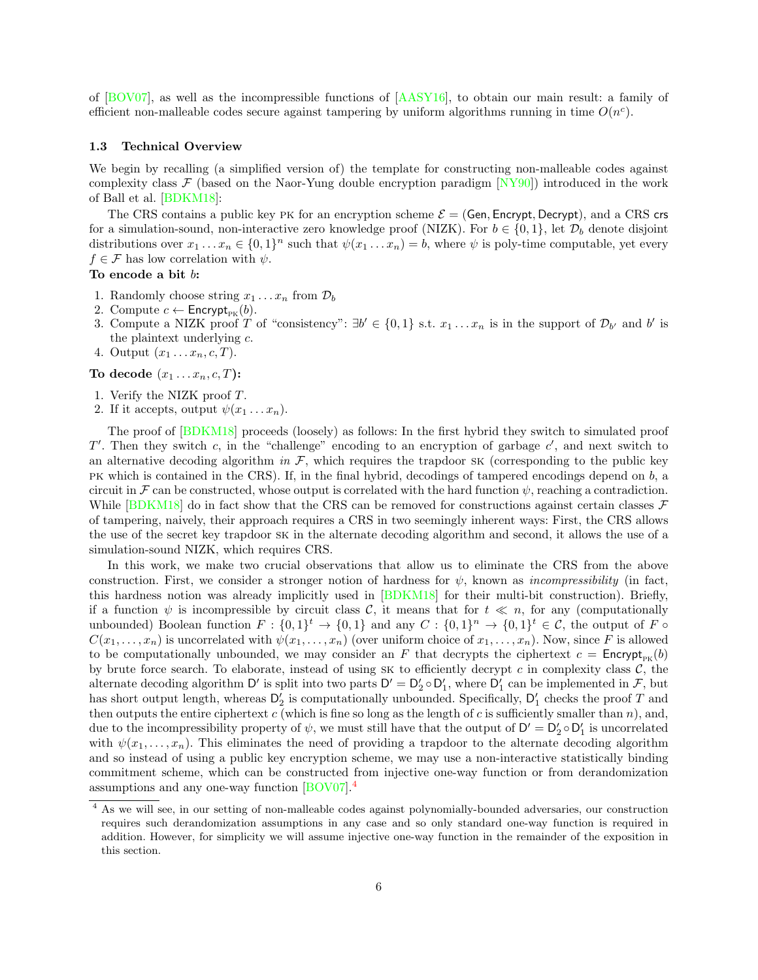of [\[BOV07\]](#page-27-16), as well as the incompressible functions of [\[AASY16\]](#page-26-2), to obtain our main result: a family of efficient non-malleable codes secure against tampering by uniform algorithms running in time  $O(n^c)$ .

#### <span id="page-5-0"></span>1.3 Technical Overview

We begin by recalling (a simplified version of) the template for constructing non-malleable codes against complexity class  $\mathcal F$  (based on the Naor-Yung double encryption paradigm  $[NY90]$ ) introduced in the work of Ball et al. [\[BDKM18\]](#page-26-1):

The CRS contains a public key PK for an encryption scheme  $\mathcal{E} = (Gen, Encryption, Every, Decrypt)$ , and a CRS crs for a simulation-sound, non-interactive zero knowledge proof (NIZK). For  $b \in \{0, 1\}$ , let  $\mathcal{D}_b$  denote disjoint distributions over  $x_1 \ldots x_n \in \{0,1\}^n$  such that  $\psi(x_1 \ldots x_n) = b$ , where  $\psi$  is poly-time computable, yet every  $f \in \mathcal{F}$  has low correlation with  $\psi$ .

### To encode a bit b:

- 1. Randomly choose string  $x_1 \ldots x_n$  from  $\mathcal{D}_b$
- 2. Compute  $c \leftarrow$  Encrypt<sub>PK</sub>(b).
- 3. Compute a NIZK proof T of "consistency":  $\exists b' \in \{0,1\} \text{ s.t. } x_1 \ldots x_n$  is in the support of  $\mathcal{D}_{b'}$  and b' is the plaintext underlying  $c$ .
- 4. Output  $(x_1 \ldots x_n, c, T)$ .

To decode  $(x_1 \ldots x_n, c, T)$ :

- 1. Verify the NIZK proof T.
- 2. If it accepts, output  $\psi(x_1 \dots x_n)$ .

The proof of [\[BDKM18\]](#page-26-1) proceeds (loosely) as follows: In the first hybrid they switch to simulated proof  $T'$ . Then they switch c, in the "challenge" encoding to an encryption of garbage  $c'$ , and next switch to an alternative decoding algorithm in  $\mathcal F$ , which requires the trapdoor sk (corresponding to the public key pk which is contained in the CRS). If, in the final hybrid, decodings of tampered encodings depend on b, a circuit in F can be constructed, whose output is correlated with the hard function  $\psi$ , reaching a contradiction. While  $[BDKM18]$  do in fact show that the CRS can be removed for constructions against certain classes  $\mathcal F$ of tampering, naively, their approach requires a CRS in two seemingly inherent ways: First, the CRS allows the use of the secret key trapdoor sk in the alternate decoding algorithm and second, it allows the use of a simulation-sound NIZK, which requires CRS.

In this work, we make two crucial observations that allow us to eliminate the CRS from the above construction. First, we consider a stronger notion of hardness for  $\psi$ , known as *incompressibility* (in fact, this hardness notion was already implicitly used in [\[BDKM18\]](#page-26-1) for their multi-bit construction). Briefly, if a function  $\psi$  is incompressible by circuit class C, it means that for  $t \ll n$ , for any (computationally unbounded) Boolean function  $F: \{0,1\}^t \to \{0,1\}$  and any  $C: \{0,1\}^n \to \{0,1\}^t \in \mathcal{C}$ , the output of  $F \circ$  $C(x_1, \ldots, x_n)$  is uncorrelated with  $\psi(x_1, \ldots, x_n)$  (over uniform choice of  $x_1, \ldots, x_n$ ). Now, since F is allowed to be computationally unbounded, we may consider an F that decrypts the ciphertext  $c = \text{Encrypt}_{p_k}(b)$ by brute force search. To elaborate, instead of using SK to efficiently decrypt c in complexity class  $\mathcal{C}$ , the alternate decoding algorithm D' is split into two parts  $D' = D'_2 \circ D'_1$ , where  $D'_1$  can be implemented in  $\mathcal{F}$ , but has short output length, whereas  $D'_2$  is computationally unbounded. Specifically,  $D'_1$  checks the proof T and then outputs the entire ciphertext  $c$  (which is fine so long as the length of  $c$  is sufficiently smaller than  $n$ ), and, due to the incompressibility property of  $\psi$ , we must still have that the output of  $D' = D'_2 \circ D'_1$  is uncorrelated with  $\psi(x_1, \ldots, x_n)$ . This eliminates the need of providing a trapdoor to the alternate decoding algorithm and so instead of using a public key encryption scheme, we may use a non-interactive statistically binding commitment scheme, which can be constructed from injective one-way function or from derandomization assumptions and any one-way function [\[BOV07\]](#page-27-16).[4](#page-5-1)

<span id="page-5-1"></span><sup>&</sup>lt;sup>4</sup> As we will see, in our setting of non-malleable codes against polynomially-bounded adversaries, our construction requires such derandomization assumptions in any case and so only standard one-way function is required in addition. However, for simplicity we will assume injective one-way function in the remainder of the exposition in this section.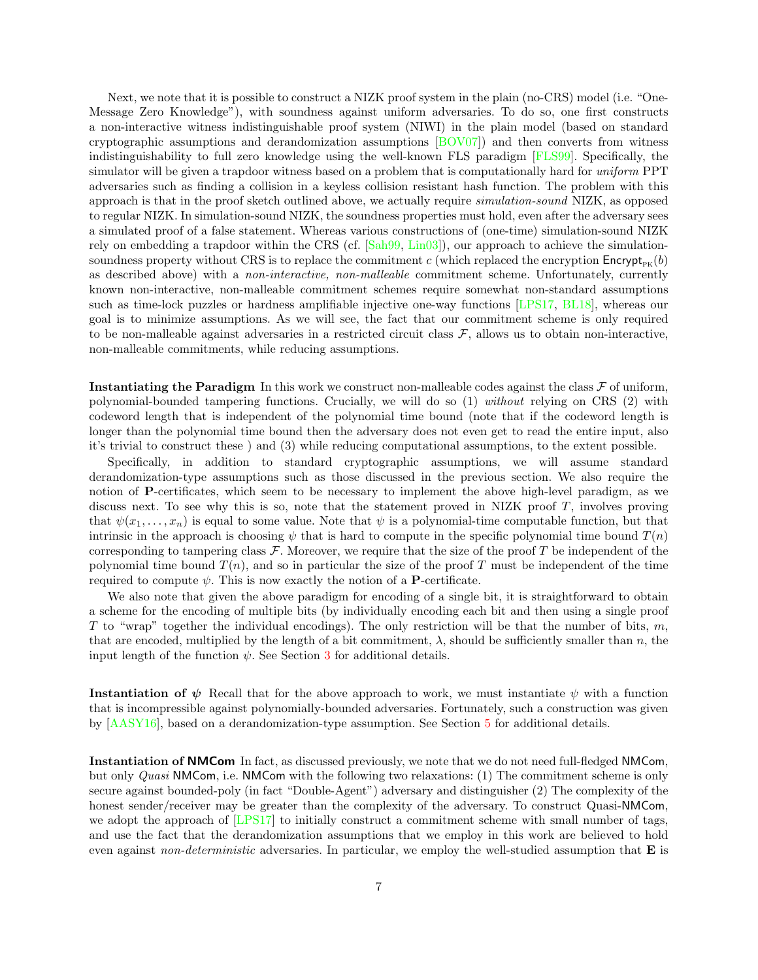Next, we note that it is possible to construct a NIZK proof system in the plain (no-CRS) model (i.e. "One-Message Zero Knowledge"), with soundness against uniform adversaries. To do so, one first constructs a non-interactive witness indistinguishable proof system (NIWI) in the plain model (based on standard cryptographic assumptions and derandomization assumptions [\[BOV07\]](#page-27-16)) and then converts from witness indistinguishability to full zero knowledge using the well-known FLS paradigm [\[FLS99\]](#page-27-17). Specifically, the simulator will be given a trapdoor witness based on a problem that is computationally hard for *uniform* PPT adversaries such as finding a collision in a keyless collision resistant hash function. The problem with this approach is that in the proof sketch outlined above, we actually require simulation-sound NIZK, as opposed to regular NIZK. In simulation-sound NIZK, the soundness properties must hold, even after the adversary sees a simulated proof of a false statement. Whereas various constructions of (one-time) simulation-sound NIZK rely on embedding a trapdoor within the CRS (cf. [\[Sah99,](#page-29-6) [Lin03\]](#page-28-16)), our approach to achieve the simulationsoundness property without CRS is to replace the commitment c (which replaced the encryption  $\mathsf{Encrypt}_{\mathsf{pv}}(b)$ ) as described above) with a non-interactive, non-malleable commitment scheme. Unfortunately, currently known non-interactive, non-malleable commitment schemes require somewhat non-standard assumptions such as time-lock puzzles or hardness amplifiable injective one-way functions [\[LPS17,](#page-28-4) [BL18\]](#page-27-12), whereas our goal is to minimize assumptions. As we will see, the fact that our commitment scheme is only required to be non-malleable against adversaries in a restricted circuit class  $\mathcal{F}$ , allows us to obtain non-interactive, non-malleable commitments, while reducing assumptions.

**Instantiating the Paradigm** In this work we construct non-malleable codes against the class  $\mathcal F$  of uniform, polynomial-bounded tampering functions. Crucially, we will do so (1) without relying on CRS (2) with codeword length that is independent of the polynomial time bound (note that if the codeword length is longer than the polynomial time bound then the adversary does not even get to read the entire input, also it's trivial to construct these ) and (3) while reducing computational assumptions, to the extent possible.

Specifically, in addition to standard cryptographic assumptions, we will assume standard derandomization-type assumptions such as those discussed in the previous section. We also require the notion of P-certificates, which seem to be necessary to implement the above high-level paradigm, as we discuss next. To see why this is so, note that the statement proved in NIZK proof T, involves proving that  $\psi(x_1, \ldots, x_n)$  is equal to some value. Note that  $\psi$  is a polynomial-time computable function, but that intrinsic in the approach is choosing  $\psi$  that is hard to compute in the specific polynomial time bound  $T(n)$ corresponding to tampering class  $\mathcal F$ . Moreover, we require that the size of the proof T be independent of the polynomial time bound  $T(n)$ , and so in particular the size of the proof T must be independent of the time required to compute  $\psi$ . This is now exactly the notion of a **P**-certificate.

We also note that given the above paradigm for encoding of a single bit, it is straightforward to obtain a scheme for the encoding of multiple bits (by individually encoding each bit and then using a single proof T to "wrap" together the individual encodings). The only restriction will be that the number of bits,  $m$ , that are encoded, multiplied by the length of a bit commitment,  $\lambda$ , should be sufficiently smaller than n, the input length of the function  $\psi$ . See Section [3](#page-14-0) for additional details.

Instantiation of  $\psi$  Recall that for the above approach to work, we must instantiate  $\psi$  with a function that is incompressible against polynomially-bounded adversaries. Fortunately, such a construction was given by [\[AASY16\]](#page-26-2), based on a derandomization-type assumption. See Section [5](#page-17-0) for additional details.

Instantiation of NMCom In fact, as discussed previously, we note that we do not need full-fledged NMCom, but only Quasi NMCom, i.e. NMCom with the following two relaxations: (1) The commitment scheme is only secure against bounded-poly (in fact "Double-Agent") adversary and distinguisher (2) The complexity of the honest sender/receiver may be greater than the complexity of the adversary. To construct Quasi-NMCom, we adopt the approach of [\[LPS17\]](#page-28-4) to initially construct a commitment scheme with small number of tags, and use the fact that the derandomization assumptions that we employ in this work are believed to hold even against *non-deterministic* adversaries. In particular, we employ the well-studied assumption that  $E$  is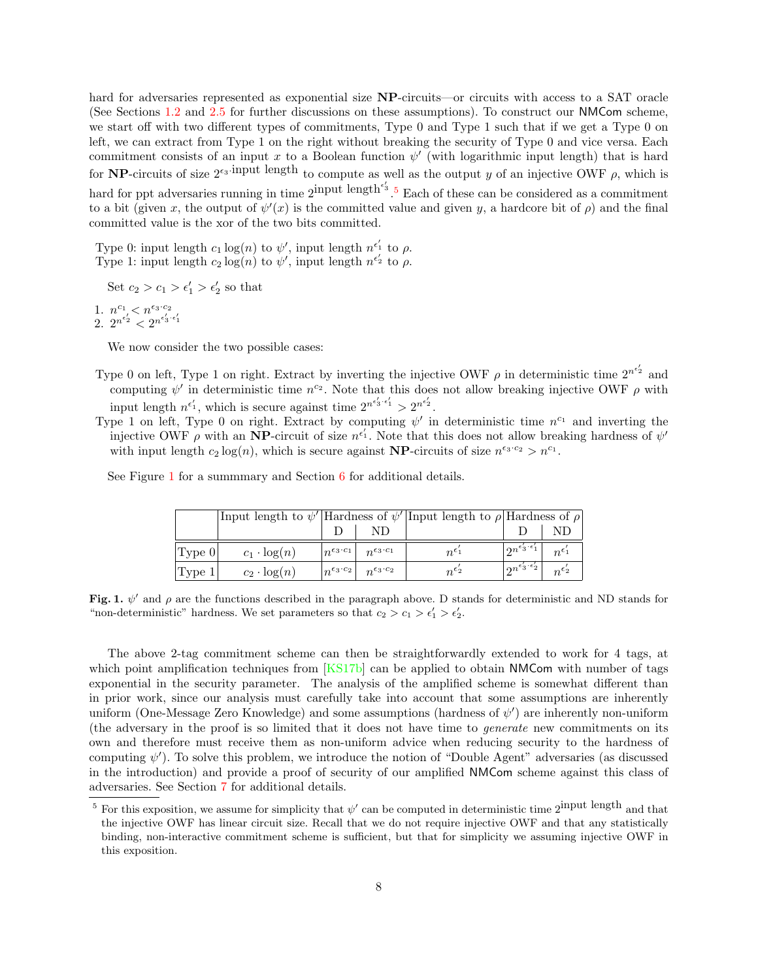hard for adversaries represented as exponential size **NP**-circuits—or circuits with access to a SAT oracle (See Sections [1.2](#page-3-0) and [2.5](#page-12-0) for further discussions on these assumptions). To construct our NMCom scheme, we start off with two different types of commitments, Type 0 and Type 1 such that if we get a Type 0 on left, we can extract from Type 1 on the right without breaking the security of Type 0 and vice versa. Each commitment consists of an input x to a Boolean function  $\psi'$  (with logarithmic input length) that is hard for NP-circuits of size  $2^{\epsilon_3}$ -input length to compute as well as the output y of an injective OWF  $\rho$ , which is hard for ppt adversaries running in time  $2^{input}$  length<sup> $\epsilon'_{3}$ </sup>. Each of these can be considered as a commitment to a bit (given x, the output of  $\psi'(x)$  is the committed value and given y, a hardcore bit of  $\rho$ ) and the final committed value is the xor of the two bits committed.

Type 0: input length  $c_1 \log(n)$  to  $\psi'$ , input length  $n^{e'_1}$  to  $\rho$ . Type 1: input length  $c_2 \log(n)$  to  $\psi'$ , input length  $n^{e'_2}$  to  $\rho$ .

Set  $c_2 > c_1 > \epsilon'_1 > \epsilon'_2$  so that

1.  $n^{c_1} < n^{\epsilon_3 \cdot c_2}$ 2.  $2^{n^{\epsilon'_2}} < 2^{n^{\epsilon'_3 \cdot \epsilon'_1}}$ 

We now consider the two possible cases:

- Type 0 on left, Type 1 on right. Extract by inverting the injective OWF  $\rho$  in deterministic time  $2^{n^{e'_2}}$  and computing  $\psi'$  in deterministic time  $n^{c_2}$ . Note that this does not allow breaking injective OWF  $\rho$  with input length  $n^{\epsilon'_1}$ , which is secure against time  $2^{n^{\epsilon'_3 \cdot \epsilon'_1}} > 2^{n^{\epsilon'_2}}$ .
- Type 1 on left, Type 0 on right. Extract by computing  $\psi'$  in deterministic time  $n^{c_1}$  and inverting the injective OWF  $\rho$  with an NP-circuit of size  $n^{\epsilon'_1}$ . Note that this does not allow breaking hardness of  $\psi'$ with input length  $c_2 \log(n)$ , which is secure against **NP**-circuits of size  $n^{\epsilon_3 \cdot c_2} > n^{c_1}$ .

See Figure [1](#page-7-1) for a summmary and Section [6](#page-22-0) for additional details.

|                   | Input length to $\psi'$ Hardness of $\psi'$ Input length to $\rho$ Hardness of $\rho$ |  |                                                       |                  |                                                                                    |  |
|-------------------|---------------------------------------------------------------------------------------|--|-------------------------------------------------------|------------------|------------------------------------------------------------------------------------|--|
|                   |                                                                                       |  | ND.                                                   |                  |                                                                                    |  |
| Type 0            | $c_1 \cdot \log(n)$                                                                   |  | $ n^{\epsilon_3\cdot c_1} $ $n^{\epsilon_3\cdot c_1}$ | $n^{\epsilon_1}$ | $\left\lceil \gamma n^{\epsilon'_3+\epsilon'_1} \right\rceil \mid n^{\epsilon'_1}$ |  |
| $ {\rm Type\ 1} $ | $c_2 \cdot \log(n)$                                                                   |  | $ n^{\epsilon_3\cdot c_2} $ $n^{\epsilon_3\cdot c_2}$ | $n^{\epsilon_2}$ | $\lceil 2^{n^{\epsilon'_3+\epsilon'_2}} \rceil$ $n^{\epsilon'_2}$                  |  |

<span id="page-7-1"></span>Fig. 1.  $\psi'$  and  $\rho$  are the functions described in the paragraph above. D stands for deterministic and ND stands for "non-deterministic" hardness. We set parameters so that  $c_2 > c_1 > \epsilon'_1 > \epsilon'_2$ .

The above 2-tag commitment scheme can then be straightforwardly extended to work for 4 tags, at which point amplification techniques from  $[KS17b]$  can be applied to obtain NMCom with number of tags exponential in the security parameter. The analysis of the amplified scheme is somewhat different than in prior work, since our analysis must carefully take into account that some assumptions are inherently uniform (One-Message Zero Knowledge) and some assumptions (hardness of  $\psi'$ ) are inherently non-uniform (the adversary in the proof is so limited that it does not have time to generate new commitments on its own and therefore must receive them as non-uniform advice when reducing security to the hardness of computing  $\psi'$ ). To solve this problem, we introduce the notion of "Double Agent" adversaries (as discussed in the introduction) and provide a proof of security of our amplified NMCom scheme against this class of adversaries. See Section [7](#page-23-0) for additional details.

<span id="page-7-0"></span><sup>&</sup>lt;sup>5</sup> For this exposition, we assume for simplicity that  $\psi'$  can be computed in deterministic time 2<sup>input length</sup> and that the injective OWF has linear circuit size. Recall that we do not require injective OWF and that any statistically binding, non-interactive commitment scheme is sufficient, but that for simplicity we assuming injective OWF in this exposition.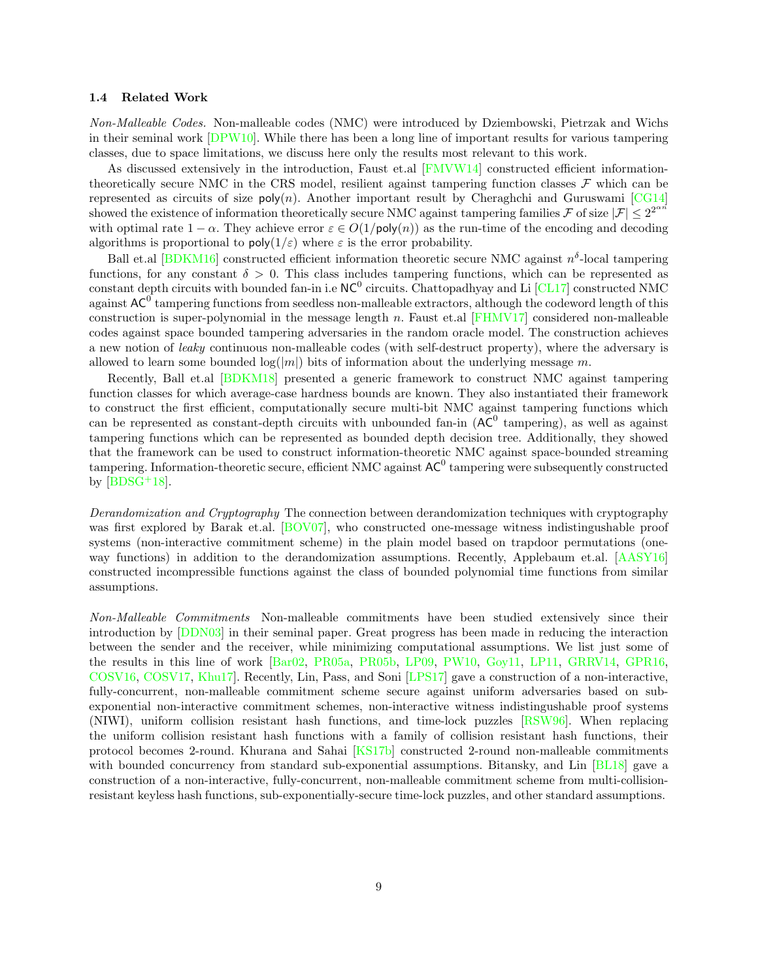#### 1.4 Related Work

Non-Malleable Codes. Non-malleable codes (NMC) were introduced by Dziembowski, Pietrzak and Wichs in their seminal work [\[DPW10\]](#page-27-0). While there has been a long line of important results for various tampering classes, due to space limitations, we discuss here only the results most relevant to this work.

As discussed extensively in the introduction, Faust et.al [\[FMVW14\]](#page-27-5) constructed efficient informationtheoretically secure NMC in the CRS model, resilient against tampering function classes  $\mathcal F$  which can be represented as circuits of size  $poly(n)$ . Another important result by Cheraghchi and Guruswami [\[CG14\]](#page-27-4) showed the existence of information theoretically secure NMC against tampering families F of size  $|\mathcal{F}| \leq 2^{2^{\alpha n}}$ with optimal rate  $1 - \alpha$ . They achieve error  $\varepsilon \in O(1/\text{poly}(n))$  as the run-time of the encoding and decoding algorithms is proportional to  $\text{poly}(1/\varepsilon)$  where  $\varepsilon$  is the error probability.

Ball et.al [\[BDKM16\]](#page-26-0) constructed efficient information theoretic secure NMC against  $n^{\delta}$ -local tampering functions, for any constant  $\delta > 0$ . This class includes tampering functions, which can be represented as constant depth circuits with bounded fan-in i.e  $NC^0$  circuits. Chattopadhyay and Li  $[CL17]$  constructed NMC against  $AC^0$  tampering functions from seedless non-malleable extractors, although the codeword length of this construction is super-polynomial in the message length n. Faust et.al [\[FHMV17\]](#page-27-3) considered non-malleable codes against space bounded tampering adversaries in the random oracle model. The construction achieves a new notion of leaky continuous non-malleable codes (with self-destruct property), where the adversary is allowed to learn some bounded  $log(|m|)$  bits of information about the underlying message m.

Recently, Ball et.al [\[BDKM18\]](#page-26-1) presented a generic framework to construct NMC against tampering function classes for which average-case hardness bounds are known. They also instantiated their framework to construct the first efficient, computationally secure multi-bit NMC against tampering functions which can be represented as constant-depth circuits with unbounded fan-in  $(AC^0$  tampering), as well as against tampering functions which can be represented as bounded depth decision tree. Additionally, they showed that the framework can be used to construct information-theoretic NMC against space-bounded streaming tampering. Information-theoretic secure, efficient NMC against  $AC^0$  tampering were subsequently constructed by  $[BDSG+18]$  $[BDSG+18]$ .

Derandomization and Cryptography The connection between derandomization techniques with cryptography was first explored by Barak et.al. [\[BOV07\]](#page-27-16), who constructed one-message witness indistingushable proof systems (non-interactive commitment scheme) in the plain model based on trapdoor permutations (oneway functions) in addition to the derandomization assumptions. Recently, Applebaum et.al. [\[AASY16\]](#page-26-2) constructed incompressible functions against the class of bounded polynomial time functions from similar assumptions.

Non-Malleable Commitments Non-malleable commitments have been studied extensively since their introduction by [\[DDN03\]](#page-27-9) in their seminal paper. Great progress has been made in reducing the interaction between the sender and the receiver, while minimizing computational assumptions. We list just some of the results in this line of work [\[Bar02,](#page-26-3) [PR05a,](#page-28-17) [PR05b,](#page-29-7) [LP09,](#page-28-18) [PW10,](#page-29-8) [Goy11,](#page-27-18) [LP11,](#page-28-19) [GRRV14,](#page-28-20) [GPR16,](#page-28-1) [COSV16,](#page-27-19) [COSV17,](#page-27-20) [Khu17\]](#page-28-21). Recently, Lin, Pass, and Soni [\[LPS17\]](#page-28-4) gave a construction of a non-interactive, fully-concurrent, non-malleable commitment scheme secure against uniform adversaries based on subexponential non-interactive commitment schemes, non-interactive witness indistingushable proof systems (NIWI), uniform collision resistant hash functions, and time-lock puzzles [\[RSW96\]](#page-29-9). When replacing the uniform collision resistant hash functions with a family of collision resistant hash functions, their protocol becomes 2-round. Khurana and Sahai [\[KS17b\]](#page-28-5) constructed 2-round non-malleable commitments with bounded concurrency from standard sub-exponential assumptions. Bitansky, and Lin [\[BL18\]](#page-27-12) gave a construction of a non-interactive, fully-concurrent, non-malleable commitment scheme from multi-collisionresistant keyless hash functions, sub-exponentially-secure time-lock puzzles, and other standard assumptions.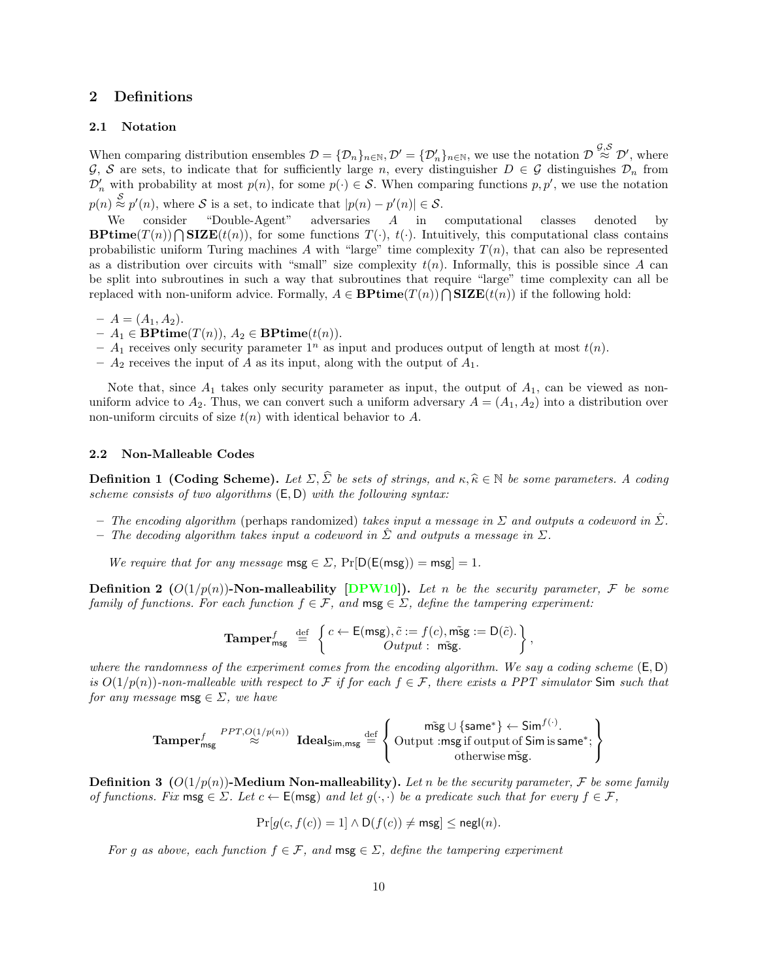# 2 Definitions

#### <span id="page-9-0"></span>2.1 Notation

When comparing distribution ensembles  $\mathcal{D} = {\{\mathcal{D}_n\}_{n\in\mathbb{N}}}, \mathcal{D}' = {\{\mathcal{D}'_n\}_{n\in\mathbb{N}}},$  we use the notation  $\mathcal{D} \stackrel{\mathcal{G},\mathcal{S}}{\approx} \mathcal{D}'$ , where G, S are sets, to indicate that for sufficiently large n, every distinguisher  $D \in \mathcal{G}$  distinguishes  $\mathcal{D}_n$  from  $\mathcal{D}'_n$  with probability at most  $p(n)$ , for some  $p(\cdot) \in \mathcal{S}$ . When comparing functions  $p, p'$ , we use the notation  $p(n) \stackrel{S}{\approx} p'(n)$ , where S is a set, to indicate that  $|p(n) - p'(n)| \in S$ .

We consider "Double-Agent" adversaries A in computational classes denoted by **BPtime**(T(n))  $\bigcap$  **SIZE**(t(n)), for some functions  $T(\cdot)$ , t( $\cdot$ ). Intuitively, this computational class contains probabilistic uniform Turing machines A with "large" time complexity  $T(n)$ , that can also be represented as a distribution over circuits with "small" size complexity  $t(n)$ . Informally, this is possible since A can be split into subroutines in such a way that subroutines that require "large" time complexity can all be replaced with non-uniform advice. Formally,  $A \in \mathbf{BPrime}(T(n)) \cap \mathbf{SIZE}(t(n))$  if the following hold:

- $A = (A_1, A_2).$
- $-A_1 \in \mathbf{B}\mathbf{Ptime}(T(n)), A_2 \in \mathbf{B}\mathbf{Ptime}(t(n)).$
- $A_1$  receives only security parameter  $1^n$  as input and produces output of length at most  $t(n)$ .
- $A_2$  receives the input of A as its input, along with the output of  $A_1$ .

Note that, since  $A_1$  takes only security parameter as input, the output of  $A_1$ , can be viewed as nonuniform advice to  $A_2$ . Thus, we can convert such a uniform adversary  $A = (A_1, A_2)$  into a distribution over non-uniform circuits of size  $t(n)$  with identical behavior to A.

#### 2.2 Non-Malleable Codes

**Definition 1 (Coding Scheme).** Let  $\Sigma$ ,  $\widehat{\Sigma}$  be sets of strings, and  $\kappa, \widehat{\kappa} \in \mathbb{N}$  be some parameters. A coding scheme consists of two algorithms  $(E, D)$  with the following syntax:

- The encoding algorithm (perhaps randomized) takes input a message in  $\Sigma$  and outputs a codeword in  $\Sigma$ .
- The decoding algorithm takes input a codeword in  $\Sigma$  and outputs a message in  $\Sigma$ .

We require that for any message  $\text{msg} \in \Sigma$ ,  $\Pr[\mathsf{D}(\mathsf{E}(\mathsf{msg})) = \mathsf{msg}] = 1$ .

**Definition 2**  $(O(1/p(n))$ -Non-malleability [\[DPW10\]](#page-27-0)). Let n be the security parameter, F be some family of functions. For each function  $f \in \mathcal{F}$ , and  $\mathsf{msg} \in \Sigma$ , define the tampering experiment:

**Tamper**<sub>msg</sub><sup>f</sup> 
$$
\stackrel{\text{def}}{=} \left\{ \begin{matrix} c \leftarrow \mathsf{E}(\mathsf{msg}), \tilde{c} := f(c), \tilde{\mathsf{msg}} := \mathsf{D}(\tilde{c}). \\ Output : \tilde{\mathsf{msg}}. \end{matrix} \right\},
$$

where the randomness of the experiment comes from the encoding algorithm. We say a coding scheme  $(E, D)$ is  $O(1/p(n))$ -non-malleable with respect to F if for each  $f \in \mathcal{F}$ , there exists a PPT simulator Sim such that for any message msg  $\in \Sigma$ , we have

$$
\textbf{Tamper}_{\text{msg}}^f \overset{PPT, O(1/p(n))}{\approx} \textbf{Ideals}_{\text{im},\text{msg}} \overset{\text{def}}{=} \left\{ \begin{matrix} \text{m}\tilde{\text{sg}} \cup \{\text{same}^*\} \leftarrow \text{Sim}^{f(\cdot)} . \\ \text{Output in}\ \text{sg if output of Sim is same}^* ; \\ \text{otherwise } \tilde{\text{msg}} . \end{matrix} \right\}
$$

**Definition 3**  $(O(1/p(n))$ -Medium Non-malleability). Let n be the security parameter, F be some family of functions. Fix msg  $\in \Sigma$ . Let  $c \leftarrow \mathsf{E}(\mathsf{msg})$  and let  $g(\cdot, \cdot)$  be a predicate such that for every  $f \in \mathcal{F}$ ,

$$
\Pr[g(c, f(c)) = 1] \wedge \mathsf{D}(f(c)) \neq \mathsf{msg}] \leq \mathsf{negl}(n).
$$

For g as above, each function  $f \in \mathcal{F}$ , and  $\mathsf{msg} \in \Sigma$ , define the tampering experiment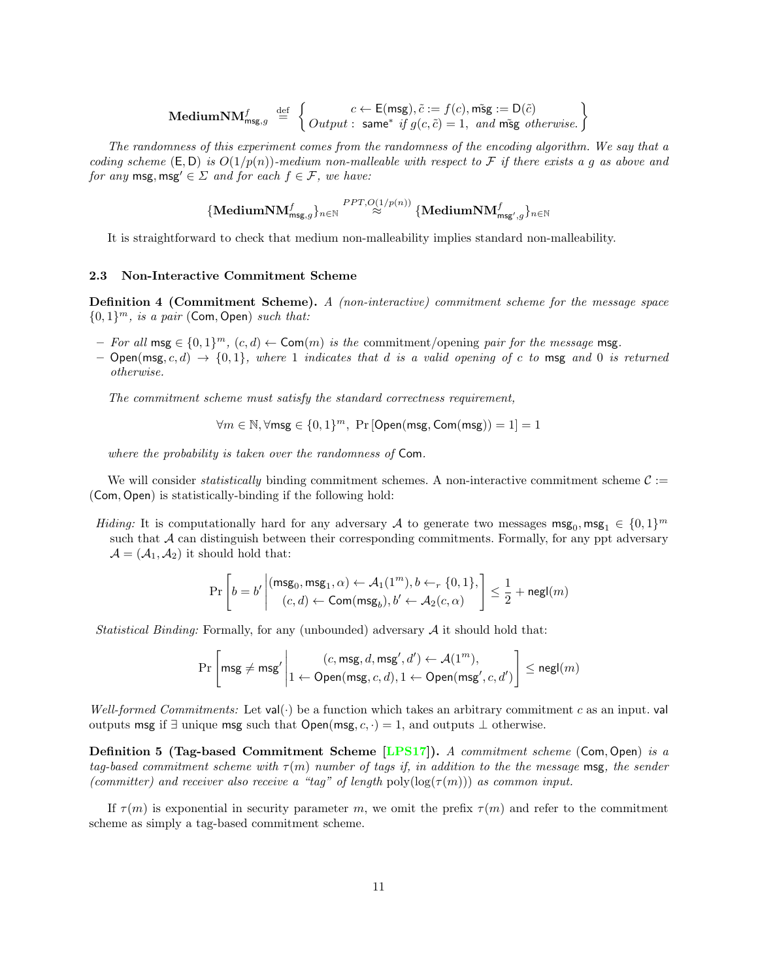$$
\textbf{Median} \textbf{NM}_{\text{msg},g}^f \stackrel{\text{def}}{=} \left\{ \begin{matrix} c \leftarrow \textsf{E}(\text{msg}), \tilde{c} := f(c), \tilde{\text{msg}} := \textsf{D}(\tilde{c}) \\ Output: \ \textsf{same}^* \ \textit{if} \ g(c, \tilde{c}) = 1, \ \textit{and} \ \tilde{\text{msg}} \ \textit{otherwise.} \end{matrix} \right\}
$$

The randomness of this experiment comes from the randomness of the encoding algorithm. We say that a coding scheme  $(E, D)$  is  $O(1/p(n))$ -medium non-malleable with respect to F if there exists a g as above and for any msg, msg'  $\in \Sigma$  and for each  $f \in \mathcal{F}$ , we have:

$$
\{\textrm{Median}{{\mathbf{NM}}_{\mathsf{msg},g}^f}\}_{n\in{\mathbb{N}}}\stackrel{PPT, O(1/p(n))}{\approx}\{\textrm{Median}{{\mathbf{NM}}_{\mathsf{msg}',g}^f}\}_{n\in{\mathbb{N}}}
$$

It is straightforward to check that medium non-malleability implies standard non-malleability.

#### <span id="page-10-0"></span>2.3 Non-Interactive Commitment Scheme

Definition 4 (Commitment Scheme). A (non-interactive) commitment scheme for the message space  ${0, 1}^m$ , is a pair (Com, Open) such that:

- *For all* msg ∈  $\{0,1\}^m$ ,  $(c,d)$  ← Com(*m*) is the commitment/opening pair for the message msg.
- $-$  Open(msg, c, d)  $\rightarrow$  {0,1}, where 1 indicates that d is a valid opening of c to msg and 0 is returned otherwise.

The commitment scheme must satisfy the standard correctness requirement,

$$
\forall m \in \mathbb{N}, \forall \text{msg} \in \{0, 1\}^m, \text{ Pr } [\text{Open}(\text{msg}, \text{Com}(\text{msg})) = 1] = 1
$$

where the probability is taken over the randomness of Com.

We will consider *statistically* binding commitment schemes. A non-interactive commitment scheme  $C :=$ (Com, Open) is statistically-binding if the following hold:

Hiding: It is computationally hard for any adversary A to generate two messages  $\text{msg}_0, \text{msg}_1 \in \{0,1\}^m$ such that  $A$  can distinguish between their corresponding commitments. Formally, for any ppt adversary  $\mathcal{A} = (\mathcal{A}_1, \mathcal{A}_2)$  it should hold that:

$$
\Pr\left[b = b' \middle| \frac{(\mathsf{msg}_0, \mathsf{msg}_1, \alpha) \leftarrow \mathcal{A}_1(1^m), b \leftarrow_r \{0, 1\},}{(c, d) \leftarrow \mathsf{Com}(\mathsf{msg}_b), b' \leftarrow \mathcal{A}_2(c, \alpha)} \right] \le \frac{1}{2} + \mathsf{negl}(m)
$$

*Statistical Binding:* Formally, for any (unbounded) adversary  $A$  it should hold that:

$$
\Pr\left[\mathsf{msg} \neq \mathsf{msg}'\middle| \begin{matrix} (c,\mathsf{msg}, d,\mathsf{msg}', d') \leftarrow \mathcal{A}(1^m), \\ 1 \leftarrow \mathsf{Open}(\mathsf{msg}, c, d), 1 \leftarrow \mathsf{Open}(\mathsf{msg}', c, d') \end{matrix} \right] \leq \mathsf{negl}(m)
$$

Well-formed Commitments: Let val( $\cdot$ ) be a function which takes an arbitrary commitment c as an input. val outputs msg if  $\exists$  unique msg such that Open(msg,  $c, \cdot$ ) = 1, and outputs  $\bot$  otherwise.

Definition 5 (Tag-based Commitment Scheme [\[LPS17\]](#page-28-4)). A commitment scheme (Com, Open) is a tag-based commitment scheme with  $\tau(m)$  number of tags if, in addition to the the message msg, the sender (committer) and receiver also receive a "tag" of length poly $(\log(\tau(m)))$  as common input.

If  $\tau(m)$  is exponential in security parameter m, we omit the prefix  $\tau(m)$  and refer to the commitment scheme as simply a tag-based commitment scheme.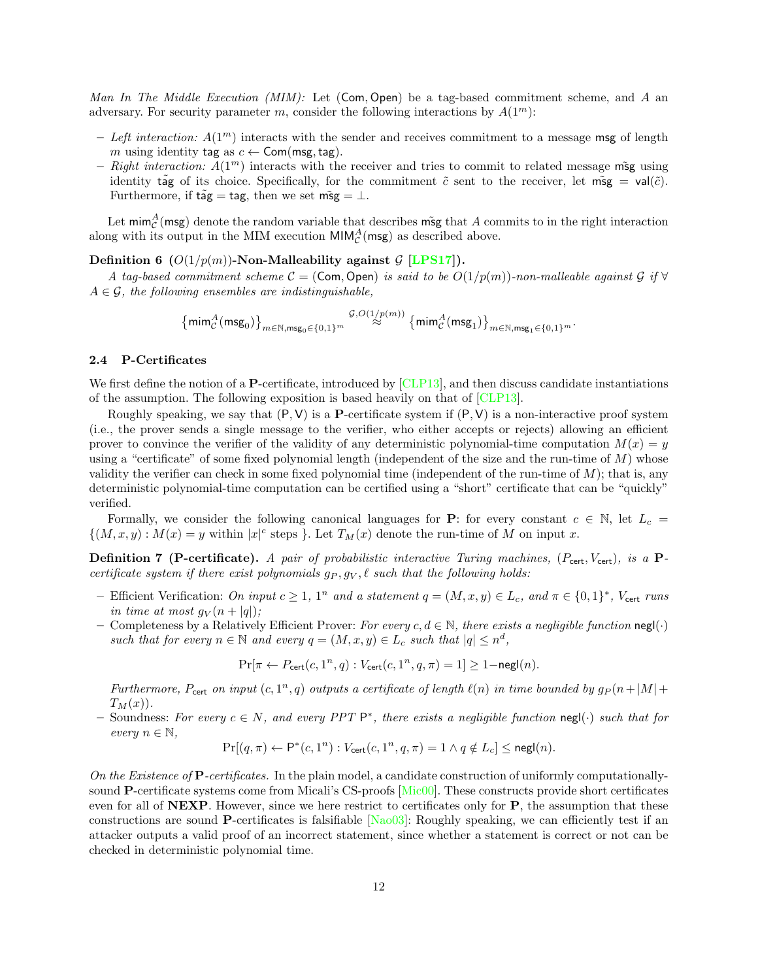Man In The Middle Execution (MIM): Let  $(Com, Open)$  be a tag-based commitment scheme, and A an adversary. For security parameter m, consider the following interactions by  $A(1^m)$ :

- Left interaction:  $A(1^m)$  interacts with the sender and receives commitment to a message msg of length m using identity tag as  $c \leftarrow$  Com(msg, tag).
- Right interaction:  $A(1^m)$  interacts with the receiver and tries to commit to related message msg using identity tag of its choice. Specifically, for the commitment  $\tilde{c}$  sent to the receiver, let msg = val( $\tilde{c}$ ). Furthermore, if  $t\tilde{ag} = tag$ , then we set  $m\tilde{sg} = \perp$ .

Let mim $^A_{\mathcal{C}}$ (msg) denote the random variable that describes msg that A commits to in the right interaction along with its output in the MIM execution  $\text{MIM}_{\mathcal{C}}^{A}(\text{msg})$  as described above.

Definition 6 ( $O(1/p(m))$ -Non-Malleability against G [\[LPS17\]](#page-28-4)).

A tag-based commitment scheme  $C = (Com, Open)$  is said to be  $O(1/p(m))$ -non-malleable against G if  $\forall$  $A \in \mathcal{G}$ , the following ensembles are indistinguishable,

> $\left\{ \mathsf{mim}_{\mathcal{C}}^{A}(\mathsf{msg}_0)\right\}_{m\in\mathbb{N},\mathsf{msg}_0\in\{0,1\}^m}$  $^{\mathcal{G},O(1/p(m))}\left\{\mathsf{mim}_\mathcal{C}^{\mathcal{A}}(\mathsf{msg}_1)\right\}_{m\in\mathbb{N},\mathsf{msg}_1\in\{0,1\}^m}.$

### <span id="page-11-0"></span>2.4 P-Certificates

We first define the notion of a **P**-certificate, introduced by [\[CLP13\]](#page-27-6), and then discuss candidate instantiations of the assumption. The following exposition is based heavily on that of [\[CLP13\]](#page-27-6).

Roughly speaking, we say that  $(P, V)$  is a **P**-certificate system if  $(P, V)$  is a non-interactive proof system (i.e., the prover sends a single message to the verifier, who either accepts or rejects) allowing an efficient prover to convince the verifier of the validity of any deterministic polynomial-time computation  $M(x) = y$ using a "certificate" of some fixed polynomial length (independent of the size and the run-time of  $M$ ) whose validity the verifier can check in some fixed polynomial time (independent of the run-time of M); that is, any deterministic polynomial-time computation can be certified using a "short" certificate that can be "quickly" verified.

Formally, we consider the following canonical languages for **P**: for every constant  $c \in \mathbb{N}$ , let  $L_c =$  $\{(M, x, y) : M(x) = y \text{ within } |x|^c \text{ steps } \}.$  Let  $T_M(x)$  denote the run-time of M on input x.

**Definition 7 (P-certificate).** A pair of probabilistic interactive Turing machines,  $(P_{\text{cert}}, V_{\text{cert}})$ , is a Pcertificate system if there exist polynomials  $g_P, g_V, \ell$  such that the following holds:

- Efficient Verification: On input  $c \geq 1$ ,  $1^n$  and a statement  $q = (M, x, y) \in L_c$ , and  $\pi \in \{0, 1\}^*$ ,  $V_{\text{cert}}$  runs in time at most  $g_V(n+|q|);$
- Completeness by a Relatively Efficient Prover: For every  $c, d \in \mathbb{N}$ , there exists a negligible function negl(·) such that for every  $n \in \mathbb{N}$  and every  $q = (M, x, y) \in L_c$  such that  $|q| \leq n^d$ ,

 $Pr[\pi \leftarrow P_{\text{cert}}(c, 1^n, q) : V_{\text{cert}}(c, 1^n, q, \pi) = 1] \ge 1 - \mathsf{negl}(n).$ 

Furthermore,  $P_{\text{cert}}$  on input  $(c, 1^n, q)$  outputs a certificate of length  $\ell(n)$  in time bounded by  $g_P(n+|M|+q)$  $T_M(x)$ .

– Soundness: For every  $c \in N$ , and every PPT  $\mathsf{P}^*$ , there exists a negligible function negl(⋅) such that for every  $n \in \mathbb{N}$ ,

$$
\Pr[(q,\pi) \leftarrow \mathsf{P}^*(c,1^n) : V_{\text{cert}}(c,1^n,q,\pi) = 1 \land q \notin L_c] \le \mathsf{negl}(n).
$$

On the Existence of  $\bf P$ -certificates. In the plain model, a candidate construction of uniformly computationallysound P-certificate systems come from Micali's CS-proofs [\[Mic00\]](#page-28-6). These constructs provide short certificates even for all of  $NEXP$ . However, since we here restrict to certificates only for  $P$ , the assumption that these constructions are sound P-certificates is falsifiable [\[Nao03\]](#page-28-22): Roughly speaking, we can efficiently test if an attacker outputs a valid proof of an incorrect statement, since whether a statement is correct or not can be checked in deterministic polynomial time.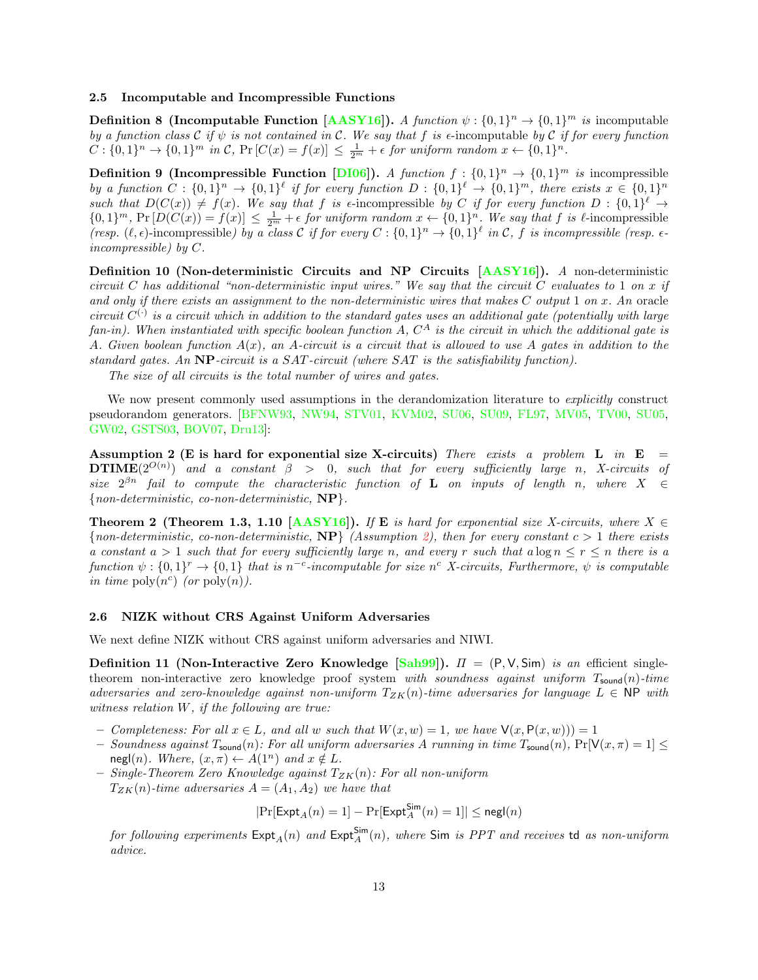#### <span id="page-12-0"></span>2.5 Incomputable and Incompressible Functions

**Definition 8 (Incomputable Function [\[AASY16\]](#page-26-2)).** A function  $\psi : \{0,1\}^n \to \{0,1\}^m$  is incomputable by a function class C if  $\psi$  is not contained in C. We say that f is  $\epsilon$ -incomputable by C if for every function  $C: \{0,1\}^n \to \{0,1\}^m$  in C,  $\Pr\left[C(x) = f(x)\right] \leq \frac{1}{2^m} + \epsilon$  for uniform random  $x \leftarrow \{0,1\}^n$ .

**Definition 9 (Incompressible Function [\[DI06\]](#page-27-21)).** A function  $f: \{0,1\}^n \to \{0,1\}^m$  is incompressible by a function  $C: \{0,1\}^n \to \{0,1\}^{\ell}$  if for every function  $D: \{0,1\}^{\ell} \to \{0,1\}^m$ , there exists  $x \in \{0,1\}^n$ such that  $D(C(x)) \neq f(x)$ . We say that f is e-incompressible by C if for every function  $D: \{0,1\}^{\ell} \to$  ${0,1}^m$ , Pr  $[D(C(x)) = f(x)] \leq \frac{1}{2^m} + \epsilon$  for uniform random  $x \leftarrow \{0,1\}^n$ . We say that f is  $\ell$ -incompressible (resp.  $(\ell, \epsilon)$ -incompressible) by a class C if for every  $C : \{0,1\}^n \to \{0,1\}^{\ell}$  in C, f is incompressible (resp.  $\epsilon$ incompressible) by C.

Definition 10 (Non-deterministic Circuits and NP Circuits [\[AASY16\]](#page-26-2)). A non-deterministic circuit C has additional "non-deterministic input wires." We say that the circuit C evaluates to 1 on x if and only if there exists an assignment to the non-deterministic wires that makes  $C$  output 1 on  $x$ . An oracle circuit  $C^{(\cdot)}$  is a circuit which in addition to the standard gates uses an additional gate (potentially with large fan-in). When instantiated with specific boolean function A,  $C^A$  is the circuit in which the additional gate is A. Given boolean function  $A(x)$ , an A-circuit is a circuit that is allowed to use A gates in addition to the standard gates. An  $NP$ -circuit is a SAT-circuit (where SAT is the satisfiability function).

The size of all circuits is the total number of wires and gates.

We now present commonly used assumptions in the derandomization literature to *explicitly* construct pseudorandom generators. [\[BFNW93,](#page-27-13) [NW94,](#page-28-8) [STV01,](#page-29-1) [KVM02,](#page-28-12) [SU06,](#page-29-2) [SU09,](#page-29-3) [FL97,](#page-27-14) [MV05,](#page-28-13) [TV00,](#page-29-4) [SU05,](#page-29-5) [GW02,](#page-28-14) [GSTS03,](#page-28-15) [BOV07,](#page-27-16) [Dru13\]](#page-27-15):

<span id="page-12-1"></span>Assumption 2 (E is hard for exponential size X-circuits) There exists a problem L in  $E =$ **DTIME** $(2^{O(n)})$  and a constant  $\beta > 0$ , such that for every sufficiently large n, X-circuits of size  $2^{\beta n}$  fail to compute the characteristic function of **L** on inputs of length n, where  $X \in$  ${non-deterministic, co-non-deterministic, NP}.$ 

<span id="page-12-3"></span>**Theorem 2 (Theorem 1.3, 1.10 [\[AASY16\]](#page-26-2)).** If **E** is hard for exponential size X-circuits, where  $X \in$ {non-deterministic, co-non-deterministic,  $NP$ } (Assumption [2\)](#page-12-1), then for every constant  $c > 1$  there exists a constant  $a > 1$  such that for every sufficiently large n, and every r such that  $a \log n \le r \le n$  there is a function  $\psi: \{0,1\}^r \to \{0,1\}$  that is n<sup>-c</sup>-incomputable for size n<sup>c</sup> X-circuits, Furthermore,  $\psi$  is computable in time  $\mathrm{poly}(n^c)$  (or  $\mathrm{poly}(n)$ ).

#### <span id="page-12-2"></span>2.6 NIZK without CRS Against Uniform Adversaries

We next define NIZK without CRS against uniform adversaries and NIWI.

Definition 11 (Non-Interactive Zero Knowledge [\[Sah99\]](#page-29-6)).  $\Pi = (P, V, Sim)$  is an efficient singletheorem non-interactive zero knowledge proof system with soundness against uniform  $T_{\text{sound}}(n)$ -time adversaries and zero-knowledge against non-uniform  $T_{ZK}(n)$ -time adversaries for language  $L \in \mathsf{NP}$  with witness relation W, if the following are true:

- Completeness: For all  $x \in L$ , and all w such that  $W(x, w) = 1$ , we have  $V(x, P(x, w)) = 1$
- Soundness against  $T_{\text{sound}}(n)$ : For all uniform adversaries A running in time  $T_{\text{sound}}(n)$ ,  $Pr[V(x, \pi) = 1] \le$ negl(n). Where,  $(x, \pi) \leftarrow A(1^n)$  and  $x \notin L$ .
- Single-Theorem Zero Knowledge against  $T_{ZK}(n)$ : For all non-uniform  $T_{ZK}(n)$ -time adversaries  $A = (A_1, A_2)$  we have that

$$
|\mathrm{Pr}[\mathsf{Expt}_A(n)=1]-\mathrm{Pr}[\mathsf{Expt}_A^{\mathsf{Sim}}(n)=1]|\leq \mathsf{negl}(n)
$$

for following experiments  $\mathsf{Expt}_{A}(n)$  and  $\mathsf{Expt}_{A}^{\mathsf{Sim}}(n),$  where  $\mathsf{Sim}$  is  $PPT$  and receives  $\mathsf{td}$  as non-uniform advice.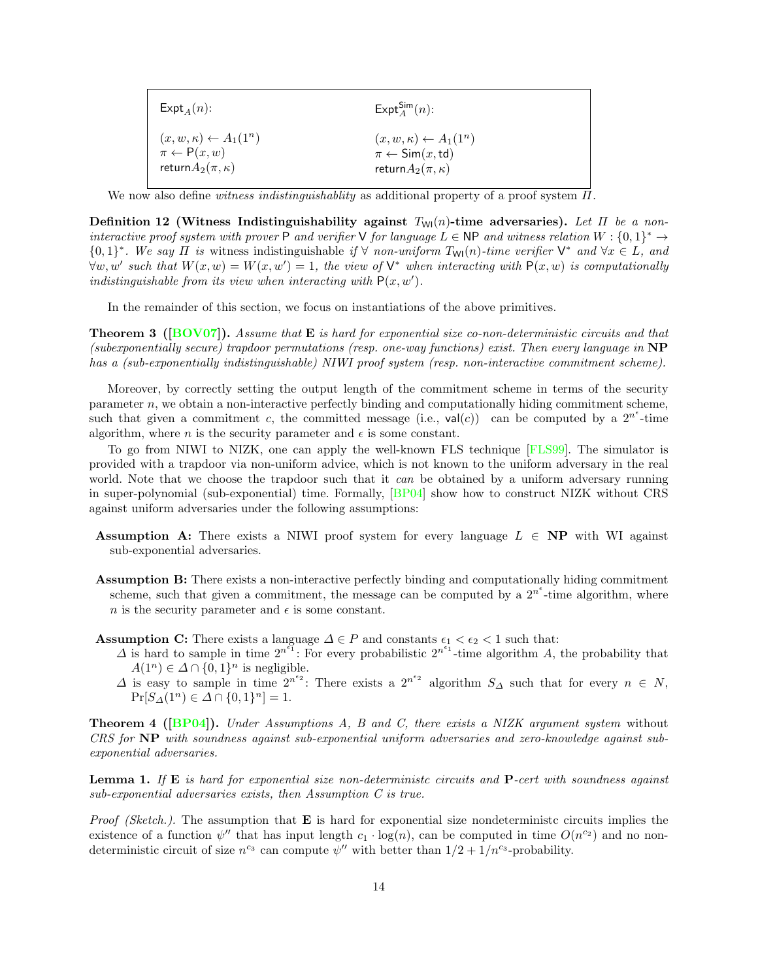| $\mathsf{Expt}_A(n)$ :               | $\mathsf{Expt}_A^{\mathsf{Sim}}(n)$ :         |
|--------------------------------------|-----------------------------------------------|
| $(x, w, \kappa) \leftarrow A_1(1^n)$ | $(x, w, \kappa) \leftarrow A_1(1^n)$          |
| $\pi \leftarrow P(x, w)$             | $\pi \leftarrow \textsf{Sim}(x, \textsf{td})$ |
| return $A_2(\pi,\kappa)$             | return $A_2(\pi,\kappa)$                      |

We now also define witness indistinguishablity as additional property of a proof system  $\Pi$ .

Definition 12 (Witness Indistinguishability against  $T_{\text{WI}}(n)$ -time adversaries). Let  $\Pi$  be a noninteractive proof system with prover P and verifier V for language  $L \in \mathsf{NP}$  and witness relation  $W : \{0,1\}^* \to$  ${0,1}^*$ . We say  $\Pi$  is witness indistinguishable if  $\forall$  non-uniform  $T_{\mathsf{Wl}}(n)$ -time verifier  $\mathsf{V}^*$  and  $\forall x \in L$ , and  $\forall w, w'$  such that  $W(x, w) = W(x, w') = 1$ , the view of  $V^*$  when interacting with  $P(x, w)$  is computationally indistinguishable from its view when interacting with  $P(x, w')$ .

In the remainder of this section, we focus on instantiations of the above primitives.

<span id="page-13-0"></span>**Theorem 3** ( $[BOV07]$ ). Assume that **E** is hard for exponential size co-non-deterministic circuits and that (subexponentially secure) trapdoor permutations (resp. one-way functions) exist. Then every language in NP has a (sub-exponentially indistinguishable) NIWI proof system (resp. non-interactive commitment scheme).

Moreover, by correctly setting the output length of the commitment scheme in terms of the security parameter n, we obtain a non-interactive perfectly binding and computationally hiding commitment scheme, such that given a commitment c, the committed message (i.e.,  $val(c)$ ) can be computed by a 2<sup>ne</sup>-time algorithm, where *n* is the security parameter and  $\epsilon$  is some constant.

To go from NIWI to NIZK, one can apply the well-known FLS technique [\[FLS99\]](#page-27-17). The simulator is provided with a trapdoor via non-uniform advice, which is not known to the uniform adversary in the real world. Note that we choose the trapdoor such that it can be obtained by a uniform adversary running in super-polynomial (sub-exponential) time. Formally, [\[BP04\]](#page-27-22) show how to construct NIZK without CRS against uniform adversaries under the following assumptions:

- Assumption A: There exists a NIWI proof system for every language  $L \in NP$  with WI against sub-exponential adversaries.
- **Assumption B:** There exists a non-interactive perfectly binding and computationally hiding commitment scheme, such that given a commitment, the message can be computed by a  $2^{n^e}$ -time algorithm, where n is the security parameter and  $\epsilon$  is some constant.
- Assumption C: There exists a language  $\Delta \in P$  and constants  $\epsilon_1 < \epsilon_2 < 1$  such that:
	- $\Delta$  is hard to sample in time  $2^{n^{\epsilon_1}}$ . For every probabilistic  $2^{n^{\epsilon_1}}$ -time algorithm A, the probability that  $A(1^n) \in \Delta \cap \{0,1\}^n$  is negligible.
	- $\Delta$  is easy to sample in time  $2^{n^{\epsilon_2}}$ : There exists a  $2^{n^{\epsilon_2}}$  algorithm  $S_{\Delta}$  such that for every  $n \in N$ ,  $Pr[S_{\Delta}(1^n) \in \Delta \cap \{0,1\}^n] = 1.$

**Theorem 4 ([\[BP04\]](#page-27-22)).** Under Assumptions A, B and C, there exists a NIZK argument system without CRS for NP with soundness against sub-exponential uniform adversaries and zero-knowledge against subexponential adversaries.

<span id="page-13-1"></span>**Lemma 1.** If  $\bf{E}$  is hard for exponential size non-deterministc circuits and  $\bf{P}$ -cert with soundness against sub-exponential adversaries exists, then Assumption C is true.

*Proof (Sketch.).* The assumption that  $\bf{E}$  is hard for exponential size nondeterministc circuits implies the existence of a function  $\psi''$  that has input length  $c_1 \cdot \log(n)$ , can be computed in time  $O(n^{c_2})$  and no nondeterministic circuit of size  $n^{c_3}$  can compute  $\psi''$  with better than  $1/2 + 1/n^{c_3}$ -probability.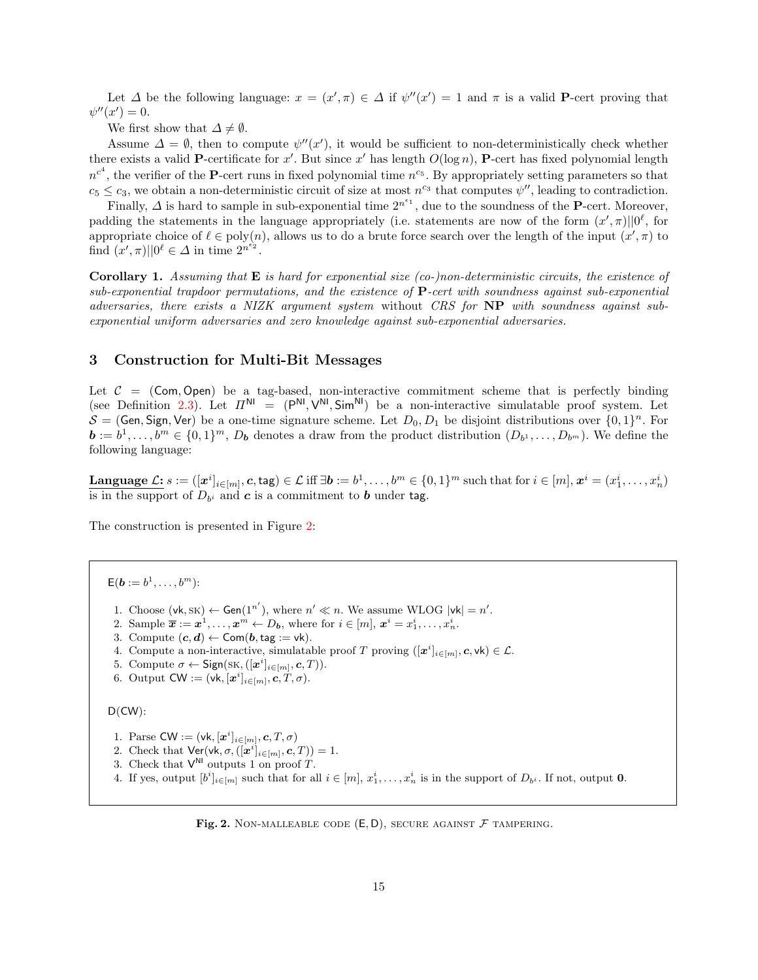Let  $\Delta$  be the following language:  $x = (x', \pi) \in \Delta$  if  $\psi''(x') = 1$  and  $\pi$  is a valid **P**-cert proving that  $\psi''(x')=0.$ 

We first show that  $\Delta \neq \emptyset$ .

Assume  $\Delta = \emptyset$ , then to compute  $\psi''(x')$ , it would be sufficient to non-deterministically check whether there exists a valid **P**-certificate for x'. But since x' has length  $O(\log n)$ , **P**-cert has fixed polynomial length  $n^{c^4}$ , the verifier of the **P**-cert runs in fixed polynomial time  $n^{c_5}$ . By appropriately setting parameters so that  $c_5 \leq c_3$ , we obtain a non-deterministic circuit of size at most  $n^{c_3}$  that computes  $\psi''$ , leading to contradiction.

Finally,  $\Delta$  is hard to sample in sub-exponential time  $2^{n^{\epsilon_1}}$ , due to the soundness of the **P**-cert. Moreover, padding the statements in the language appropriately (i.e. statements are now of the form  $(x', \pi) || 0^{\ell}$ , for appropriate choice of  $\ell \in poly(n)$ , allows us to do a brute force search over the length of the input  $(x', \pi)$  to find  $(x', \pi) \mid 0^{\ell} \in \Delta$  in time  $2^{n^{\epsilon_2}}$ .

**Corollary 1.** Assuming that  $\bf{E}$  is hard for exponential size (co-)non-deterministic circuits, the existence of sub-exponential trapdoor permutations, and the existence of  $P$ -cert with soundness against sub-exponential adversaries, there exists a NIZK argument system without CRS for NP with soundness against subexponential uniform adversaries and zero knowledge against sub-exponential adversaries.

### <span id="page-14-0"></span>3 Construction for Multi-Bit Messages

Let  $C = (Com, Open)$  be a tag-based, non-interactive commitment scheme that is perfectly binding (see Definition [2.3\)](#page-10-0). Let  $\Pi^{\text{NI}} = (\mathsf{P}^{\text{NI}}, \mathsf{V}^{\text{NI}}, \mathsf{Sim}^{\text{NI}})$  be a non-interactive simulatable proof system. Let  $S = (Gen, Sign, Ver)$  be a one-time signature scheme. Let  $D_0, D_1$  be disjoint distributions over  $\{0, 1\}^n$ . For  $\mathbf{b} := b^1, \ldots, b^m \in \{0,1\}^m$ ,  $D_{\mathbf{b}}$  denotes a draw from the product distribution  $(D_{b^1}, \ldots, D_{b^m})$ . We define the following language:

**Language**  $\mathcal{L}$ :  $s := ([\boldsymbol{x}^i]_{i \in [m]}, \boldsymbol{c}, \textsf{tag}) \in \mathcal{L} \text{ iff } \exists \boldsymbol{b} := b^1, \dots, b^m \in \{0,1\}^m \text{ such that for } i \in [m], \boldsymbol{x}^i = (x^i_1, \dots, x^i_n)$ is in the support of  $D_{b^i}$  and  $c$  is a commitment to  $b$  under tag.

The construction is presented in Figure [2:](#page-14-1)

 $\mathsf{E}(\boldsymbol{b}:=b^1,\ldots,b^m)$ :

- 1. Choose  $(vk,SK) \leftarrow Gen(1^{n'})$ , where  $n' \ll n$ . We assume WLOG  $|vk| = n'$ .
- 2. Sample  $\overline{x} := x^1, \ldots, x^m \leftarrow D_b$ , where for  $i \in [m], x^i = x_1^i, \ldots, x_n^i$ .
- 3. Compute  $(c, d) \leftarrow$  Com $(b, tag := vk)$ .
- 4. Compute a non-interactive, simulatable proof T proving  $([\mathbf{x}^i]_{i \in [m]}, \mathbf{c}, \mathsf{vk}) \in \mathcal{L}$ .
- 5. Compute  $\sigma \leftarrow \mathsf{Sign}(\mathsf{SK}, ([\boldsymbol{x}^i]_{i \in [m]}, \boldsymbol{c}, T)).$
- 6. Output  $CW := (\mathsf{vk}, [\boldsymbol{x}^i]_{i \in [m]}, \boldsymbol{c}, T, \sigma)$ .

```
D(CW):
```
- 1. Parse CW :=  $(\mathsf{vk}, [\boldsymbol{x}^i]_{i \in [m]}, \boldsymbol{c}, T, \sigma)$
- 2. Check that  $\mathsf{Ver}(\mathsf{vk}, \sigma, ([\mathbf{x}^i]_{i \in [m]}, \mathbf{c}, T)) = 1.$
- 3. Check that  $V^{\text{NI}}$  outputs 1 on proof T.
- 4. If yes, output  $[b^i]_{i \in [m]}$  such that for all  $i \in [m], x_1^i, \ldots, x_n^i$  is in the support of  $D_{b^i}$ . If not, output **0**.

<span id="page-14-1"></span>Fig. 2. NON-MALLEABLE CODE  $(E, D)$ , SECURE AGAINST  $F$  TAMPERING.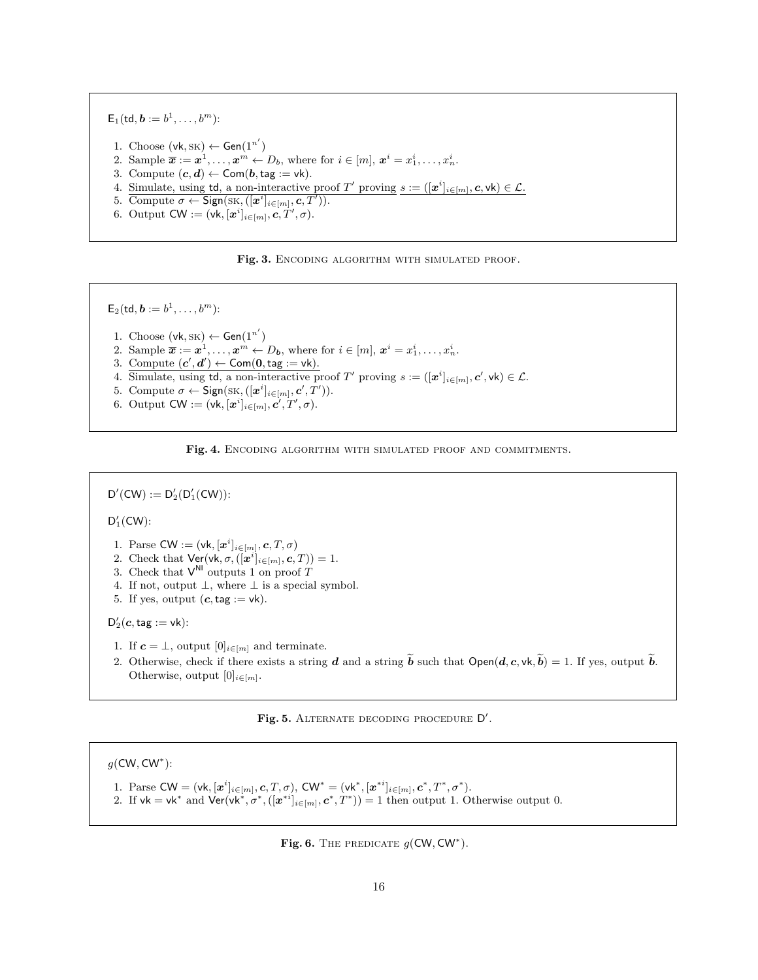${\sf E}_1(\mathsf{td},\boldsymbol{b}:=b^1,\ldots,b^m)$ : 1. Choose  $(vk, SK) \leftarrow Gen(1^{n'})$ 2. Sample  $\overline{x} := x^1, \ldots, x^m \leftarrow D_b$ , where for  $i \in [m], x^i = x_1^i, \ldots, x_n^i$ . 3. Compute  $(c, d) \leftarrow$  Com $(b, tag := vk)$ . 4. Simulate, using td, a non-interactive proof T' proving  $s := ([x^i]_{i \in [m]}, c, \text{vk}) \in \mathcal{L}$ . 5. Compute  $\sigma \leftarrow \mathsf{Sign}(\mathsf{SK},([\boldsymbol{x}^i]_{i\in[m]},\boldsymbol{c},T')).$ 6. Output  $\mathsf{CW} := (\mathsf{vk}, [\boldsymbol{x}^i]_{i \in [m]}, \boldsymbol{c}, T', \sigma)$ .

<span id="page-15-0"></span>

 $\mathsf{E}_2(\mathsf{td},\boldsymbol{b}:=b^1,\ldots,b^m)$ : 1. Choose  $(\mathsf{vk}, \mathsf{sk}) \leftarrow \mathsf{Gen}(1^{n'})$ 2. Sample  $\overline{x} := x^1, \ldots, x^m \leftarrow D_b$ , where for  $i \in [m], x^i = x_1^i, \ldots, x_n^i$ . 3. Compute  $(c', d') \leftarrow \textsf{Com}(\mathbf{0}, \textsf{tag} := \textsf{vk})$ . 4. Simulate, using td, a non-interactive proof T' proving  $s := ([x^i]_{i \in [m]}, c', \text{vk}) \in \mathcal{L}$ . 5. Compute  $\sigma \leftarrow \mathsf{Sign}(\mathsf{SK},([\boldsymbol{x}^i]_{i \in [m]}, \boldsymbol{c}', T')).$ 6. Output  $\mathsf{CW} := (\mathsf{vk}, [\boldsymbol{x}^i]_{i \in [m]}, \boldsymbol{c}', T', \sigma).$ 

<span id="page-15-1"></span>

 $D'(CW) := D'_2(D'_1(CW))$ :

 $D'_1$ (CW):

- 1. Parse CW :=  $(\mathsf{vk}, [\boldsymbol{x}^i]_{i \in [m]}, \boldsymbol{c}, T, \sigma)$
- 2. Check that  $\mathsf{Ver}(\mathsf{vk}, \sigma, ([\mathbf{x}^i]_{i \in [m]}, \mathbf{c}, T)) = 1.$
- 3. Check that  $V^{\text{NI}}$  outputs 1 on proof T
- 4. If not, output  $\bot$ , where  $\bot$  is a special symbol.
- 5. If yes, output  $(c, tag := vk)$ .

 $\mathsf{D}_2'(\boldsymbol{c},\mathsf{tag}:=\mathsf{vk})$ :

- 1. If  $\mathbf{c} = \perp$ , output  $[0]_{i \in [m]}$  and terminate.
- 2. Otherwise, check if there exists a string d and a string  $\tilde{b}$  such that  $Open(d, c, \nu k, \tilde{b}) = 1$ . If yes, output  $\tilde{b}$ . Otherwise, output  $[0]_{i \in [m]}$ .

<span id="page-15-2"></span>Fig. 5. ALTERNATE DECODING PROCEDURE D'.

 $g$ (CW, CW<sup>\*</sup>):

- 1. Parse  $CW = (vk, [\mathbf{x}^i]_{i \in [m]}, \mathbf{c}, T, \sigma)$ ,  $CW^* = (vk^*, [\mathbf{x}^{*i}]_{i \in [m]}, \mathbf{c}^*, T^*, \sigma^*)$ .
- 2. If  $vk = vk^*$  and  $Ver(vk^*, \sigma^*, ([x^{*i}]_{i \in [m]}, c^*, T^*)) = 1$  then output 1. Otherwise output 0.

<span id="page-15-3"></span>Fig. 6. THE PREDICATE  $g(CW, CW^*)$ .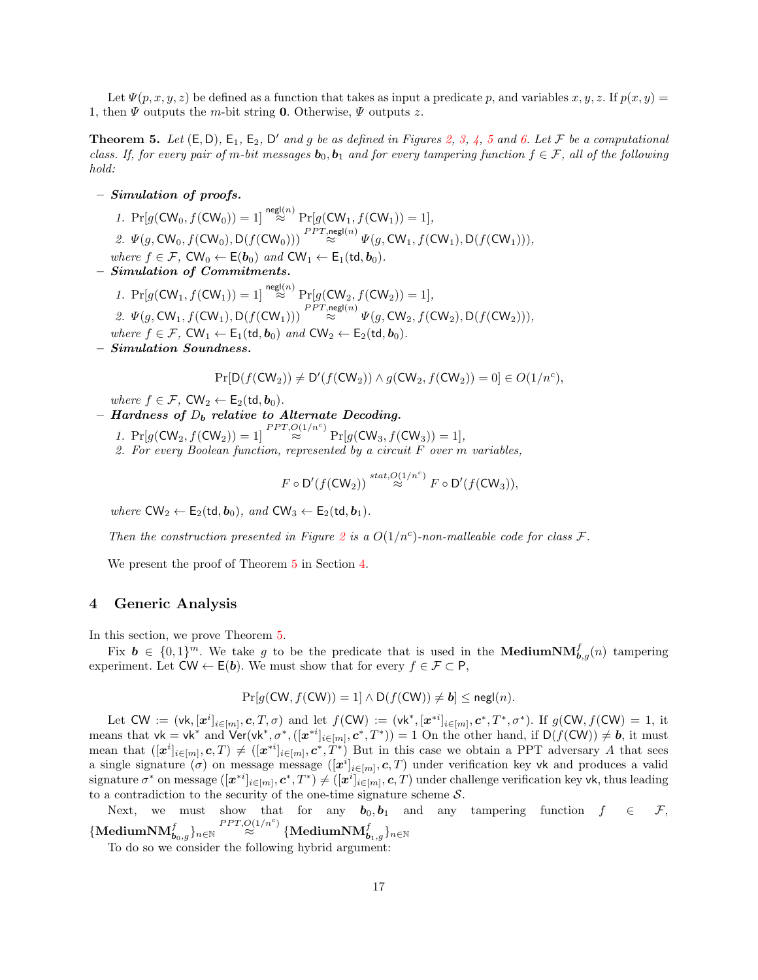Let  $\Psi(p, x, y, z)$  be defined as a function that takes as input a predicate p, and variables  $x, y, z$ . If  $p(x, y) =$ 1, then  $\Psi$  outputs the m-bit string 0. Otherwise,  $\Psi$  outputs z.

<span id="page-16-0"></span>**Theorem [5](#page-15-2).** Let  $(E, D)$ ,  $E_1$ ,  $E_2$ ,  $D'$  and g be as defined in Figures [2,](#page-14-1) [3,](#page-15-0) [4,](#page-15-1) 5 and [6.](#page-15-3) Let  $\mathcal F$  be a computational class. If, for every pair of m-bit messages  $b_0, b_1$  and for every tampering function  $f \in \mathcal{F}$ , all of the following hold:

– Simulation of proofs.

1.  $Pr[g(CW_0, f(CW_0)) = 1] \stackrel{\text{negl}(n)}{\approx} Pr[g(CW_1, f(CW_1)) = 1],$ 2.  $\Psi(g, \text{CW}_0, f(\text{CW}_0), \text{D}(f(\text{CW}_0))) \stackrel{PPT, \text{negl}(n)}{\approx} \Psi(g, \text{CW}_1, f(\text{CW}_1), \text{D}(f(\text{CW}_1))),$ where  $f \in \mathcal{F}$ ,  $CW_0 \leftarrow E(\boldsymbol{b}_0)$  and  $CW_1 \leftarrow E_1(\text{td}, \boldsymbol{b}_0)$ .

– Simulation of Commitments.

1.  $Pr[g(CW_1, f(CW_1)) = 1] \stackrel{\text{negl}(n)}{\approx} Pr[g(CW_2, f(CW_2)) = 1],$ 2.  $\Psi(g, \text{CW}_1, f(\text{CW}_1), \text{D}(f(\text{CW}_1))) \stackrel{PPT, \text{negl}(n)}{\approx} \Psi(g, \text{CW}_2, f(\text{CW}_2), \text{D}(f(\text{CW}_2))),$ where  $f \in \mathcal{F}$ ,  $CW_1 \leftarrow E_1(\text{td}, \mathbf{b}_0)$  and  $CW_2 \leftarrow E_2(\text{td}, \mathbf{b}_0)$ . – Simulation Soundness.

 $Pr[D(f(CW_2)) \neq D'(f(CW_2)) \land g(CW_2, f(CW_2)) = 0] \in O(1/n^c),$ 

where  $f \in \mathcal{F}$ ,  $\mathsf{CW}_2 \leftarrow \mathsf{E}_2(\mathsf{td}, \mathbf{b}_0)$ .

– Hardness of  $D_b$  relative to Alternate Decoding.

1.  $Pr[g(CW_2, f(CW_2)) = 1] \stackrel{PPT, O(1/n^c)}{\approx} Pr[g(CW_3, f(CW_3)) = 1],$ 2. For every Boolean function, represented by a circuit  $F$  over  $m$  variables,

$$
F\circ \mathsf{D}'(f(\mathsf{CW}_2)) \stackrel{stat, \mathsf{O}(1/n^c)}{\approx} F\circ \mathsf{D}'(f(\mathsf{CW}_3)),
$$

where  $CW_2 \leftarrow E_2(\text{td}, b_0)$ , and  $CW_3 \leftarrow E_2(\text{td}, b_1)$ .

Then the construction presented in Figure [2](#page-14-1) is a  $O(1/n^c)$ -non-malleable code for class F.

We present the proof of Theorem [5](#page-16-0) in Section [4.](#page-16-1)

### <span id="page-16-1"></span>4 Generic Analysis

In this section, we prove Theorem [5.](#page-16-0)

Fix  $\mathbf{b} \in \{0,1\}^m$ . We take g to be the predicate that is used in the **MediumNM** $_{\mathbf{b},g}(n)$  tampering experiment. Let  $CW \leftarrow E(b)$ . We must show that for every  $f \in \mathcal{F} \subset \mathsf{P}$ ,

$$
Pr[g(CW, f(CW)) = 1] \wedge D(f(CW)) \neq b] \leq \text{negl}(n).
$$

Let  $CW := (\mathsf{vk}, [\mathbf{x}^i]_{i \in [m]}, \mathbf{c}, T, \sigma)$  and let  $f(CW) := (\mathsf{vk}^*, [\mathbf{x}^{*i}]_{i \in [m]}, \mathbf{c}^*, T^*, \sigma^*)$ . If  $g(CW, f(CW) = 1$ , it means that  $vk = vk^*$  and  $Ver(vk^*, \sigma^*, ([x^{*i}]_{i \in [m]}, c^*, T^*)) = 1$  On the other hand, if  $D(f(CW)) \neq b$ , it must mean that  $([\boldsymbol{x}^i]_{i \in [m]}, \boldsymbol{c}, T) \neq ([\boldsymbol{x}^{*i}]_{i \in [m]}, \boldsymbol{c}^*, \dot{T}^*)$  But in this case we obtain a PPT adversary A that sees a single signature  $(\sigma)$  on message message  $([x^i]_{i\in[m]}, c, T)$  under verification key vk and produces a valid signature  $\sigma^*$  on message  $([x^{*i}]_{i \in [m]}, c^*, T^*) \neq ([x^i]_{i \in [m]}, c, T)$  under challenge verification key vk, thus leading to a contradiction to the security of the one-time signature scheme  $S$ .

Next, we must show that for any  $b_0, b_1$  and any tampering function  $f \in \mathcal{F}$ ,  $\{\text{MedianNM}_{\boldsymbol{b}_0,g}^f\}_{n\in\mathbb{N}} \stackrel{PPT, O(1/n^c)}{\approx} \{\text{MedianNM}_{\boldsymbol{b}_1,g}^f\}_{n\in\mathbb{N}}$ 

To do so we consider the following hybrid argument: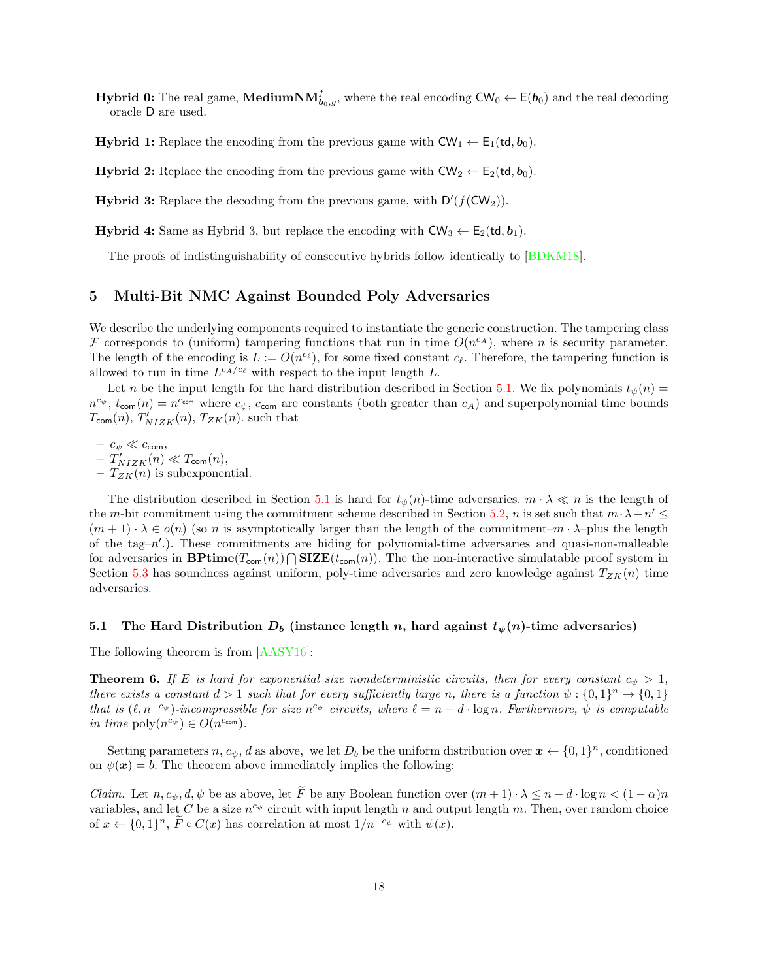- **Hybrid 0:** The real game, MediumN $\mathbf{M}_{\boldsymbol{b}_0,g}^f$ , where the real encoding  $\mathsf{CW}_0 \leftarrow \mathsf{E}(\boldsymbol{b}_0)$  and the real decoding oracle D are used.
- **Hybrid 1:** Replace the encoding from the previous game with  $CW_1 \leftarrow E_1(\mathsf{td}, \mathbf{b}_0)$ .

**Hybrid 2:** Replace the encoding from the previous game with  $CW_2 \leftarrow E_2(\text{td}, b_0)$ .

**Hybrid 3:** Replace the decoding from the previous game, with  $D'(f(CW_2))$ .

**Hybrid 4:** Same as Hybrid 3, but replace the encoding with  $CW_3 \leftarrow E_2(\mathsf{td}, \mathbf{b}_1)$ .

The proofs of indistinguishability of consecutive hybrids follow identically to [\[BDKM18\]](#page-26-1).

## <span id="page-17-0"></span>5 Multi-Bit NMC Against Bounded Poly Adversaries

We describe the underlying components required to instantiate the generic construction. The tampering class F corresponds to (uniform) tampering functions that run in time  $O(n^{c_A})$ , where n is security parameter. The length of the encoding is  $L := O(n^{c_{\ell}})$ , for some fixed constant  $c_{\ell}$ . Therefore, the tampering function is allowed to run in time  $L^{c_A/c_{\ell}}$  with respect to the input length L.

Let n be the input length for the hard distribution described in Section [5.1.](#page-17-1) We fix polynomials  $t_{\psi}(n)$  =  $n^{c_{\psi}}, t_{\text{com}}(n) = n^{c_{\text{com}}}$  where  $c_{\psi}, c_{\text{com}}$  are constants (both greater than  $c_A$ ) and superpolynomial time bounds  $T_{\text{com}}(n)$ ,  $T'_{NIZK}(n)$ ,  $T_{ZK}(n)$ , such that

–  $c_{\psi} \ll c_{\text{com}},$ 

 $-T'_{NIZK}(n) \ll T_{\text{com}}(n),$ –  $T_{ZK}(n)$  is subexponential.

The distribution described in Section [5.1](#page-17-1) is hard for  $t_{\psi}(n)$ -time adversaries.  $m \cdot \lambda \ll n$  is the length of the m-bit commitment using the commitment scheme described in Section [5.2,](#page-18-0) n is set such that  $m \cdot \lambda + n' \leq$  $(m+1) \cdot \lambda \in o(n)$  (so n is asymptotically larger than the length of the commitment– $m \cdot \lambda$ –plus the length of the tag-n'.). These commitments are hiding for polynomial-time adversaries and quasi-non-malleable for adversaries in  $\mathbf{BPrime}(T_{\mathsf{com}}(n)) \cap \mathbf{SIZE}(t_{\mathsf{com}}(n))$ . The the non-interactive simulatable proof system in Section [5.3](#page-18-1) has soundness against uniform, poly-time adversaries and zero knowledge against  $T_{ZK}(n)$  time adversaries.

### <span id="page-17-1"></span>5.1 The Hard Distribution  $D_b$  (instance length n, hard against  $t_{\psi}(n)$ -time adversaries)

<span id="page-17-2"></span>The following theorem is from [\[AASY16\]](#page-26-2):

**Theorem 6.** If E is hard for exponential size nondeterministic circuits, then for every constant  $c_{\psi} > 1$ , there exists a constant  $d > 1$  such that for every sufficiently large n, there is a function  $\psi : \{0,1\}^n \to \{0,1\}$ that is  $(\ell, n^{-c_{\psi}})$ -incompressible for size  $n^{c_{\psi}}$  circuits, where  $\ell = n - d \cdot \log n$ . Furthermore,  $\psi$  is computable in time  $\text{poly}(n^{c_{\psi}}) \in O(n^{c_{\text{com}}}).$ 

Setting parameters n,  $c_{\psi}$ , d as above, we let  $D_b$  be the uniform distribution over  $\mathbf{x} \leftarrow \{0,1\}^n$ , conditioned on  $\psi(\mathbf{x}) = b$ . The theorem above immediately implies the following:

*Claim.* Let  $n, c_{\psi}, d, \psi$  be as above, let  $\widetilde{F}$  be any Boolean function over  $(m+1) \cdot \lambda \leq n - d \cdot \log n < (1 - \alpha)n$ variables, and let C be a size  $n^{c_{\psi}}$  circuit with input length n and output length m. Then, over random choice of  $x \leftarrow \{0,1\}^n$ ,  $\tilde{F} \circ C(x)$  has correlation at most  $1/n^{-c_{\psi}}$  with  $\psi(x)$ .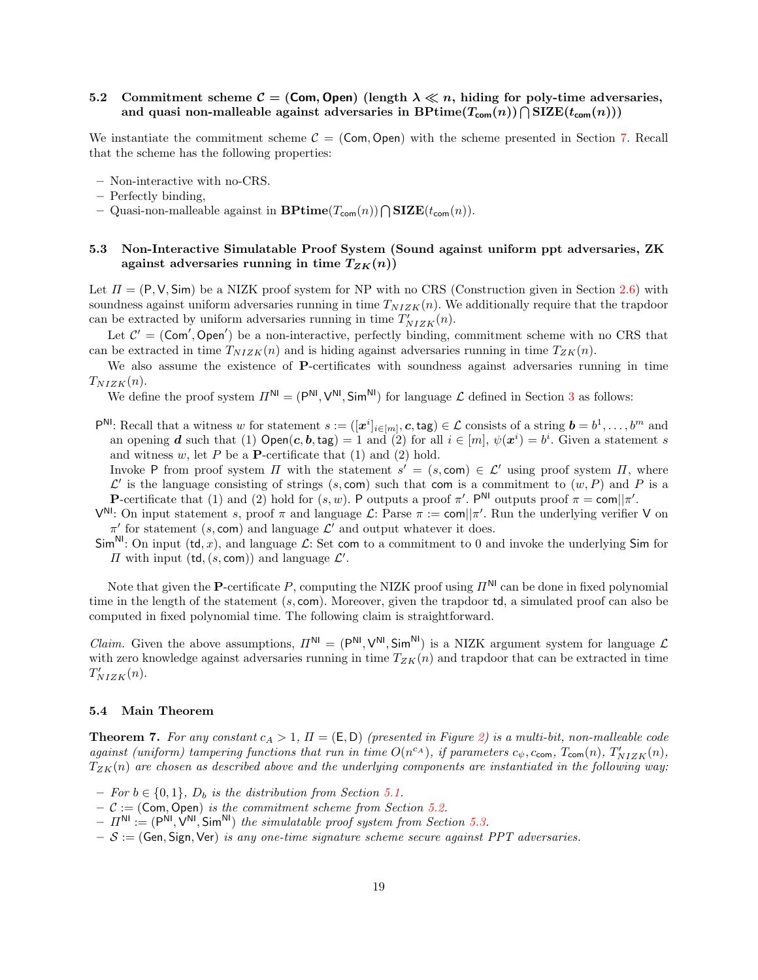# <span id="page-18-0"></span>5.2 Commitment scheme  $\mathcal{C} = (Com, Open)$  (length  $\lambda \ll n$ , hiding for poly-time adversaries, and quasi non-malleable against adversaries in  $\mathrm{BPrime}(T_\mathsf{com}(n))\bigcap \mathrm{SIZE}(t_\mathsf{com}(n)))$

We instantiate the commitment scheme  $C = (Com, Open)$  with the scheme presented in Section [7.](#page-23-0) Recall that the scheme has the following properties:

- Non-interactive with no-CRS.
- Perfectly binding,
- Quasi-non-malleable against in  $\mathbf{BPrime}(T_{\mathsf{com}}(n)) \cap \mathbf{SIZE}(t_{\mathsf{com}}(n)).$

## <span id="page-18-1"></span>5.3 Non-Interactive Simulatable Proof System (Sound against uniform ppt adversaries, ZK against adversaries running in time  $T_{ZK}(n)$ )

Let  $\Pi = (P, V, Sim)$  be a NIZK proof system for NP with no CRS (Construction given in Section [2.6\)](#page-12-2) with soundness against uniform adversaries running in time  $T_{NIZK}(n)$ . We additionally require that the trapdoor can be extracted by uniform adversaries running in time  $T'_{NIZK}(n)$ .

Let  $C' = (Com', Open')$  be a non-interactive, perfectly binding, commitment scheme with no CRS that can be extracted in time  $T_{NIZK}(n)$  and is hiding against adversaries running in time  $T_{ZK}(n)$ .

We also assume the existence of **P**-certificates with soundness against adversaries running in time  $T_{NIZK}(n)$ .

We define the proof system  $\Pi^{NI} = (P^{NI}, V^{NI}, Sim^{NI})$  for language  $\mathcal L$  defined in Section [3](#page-14-0) as follows:

 $\mathsf{P}^{\mathsf{NL}}\colon \text{Recall that a witness } w \text{ for statement } s := ([\mathbf{z}^i]_{i \in [m]}, \mathbf{c}, \text{tag}) \in \mathcal{L} \text{ consists of a string } \mathbf{b} = b^1, \dots, b^m \text{ and }$ an opening d such that (1)  $Open(c, b, tag) = 1$  and (2) for all  $i \in [m], \psi(x^{i}) = b^{i}$ . Given a statement s and witness  $w$ , let  $P$  be a **P**-certificate that  $(1)$  and  $(2)$  hold.

Invoke P from proof system  $\Pi$  with the statement  $s' = (s, \text{com}) \in \mathcal{L}'$  using proof system  $\Pi$ , where  $\mathcal{L}'$  is the language consisting of strings (s, com) such that com is a commitment to  $(w, P)$  and P is a P-certificate that (1) and (2) hold for  $(s, w)$ . P outputs a proof  $\pi'$ . P<sup>NI</sup> outputs proof  $\pi = \text{com} || \pi'$ .

 $V^{\text{NI}}$ : On input statement s, proof  $\pi$  and language  $\mathcal{L}$ : Parse  $\pi := \text{com} || \pi'$ . Run the underlying verifier V on  $\pi'$  for statement (s, com) and language  $\mathcal{L}'$  and output whatever it does.

 $\text{Sim}^{\text{NI}}$ : On input (td, x), and language  $\mathcal{L}$ : Set com to a commitment to 0 and invoke the underlying Sim for  $\Pi$  with input (td,  $(s, \text{com})$ ) and language  $\mathcal{L}'$ .

Note that given the **P**-certificate P, computing the NIZK proof using  $\Pi^{\mathsf{N}}$  can be done in fixed polynomial time in the length of the statement (s, com). Moreover, given the trapdoor td, a simulated proof can also be computed in fixed polynomial time. The following claim is straightforward.

*Claim.* Given the above assumptions,  $\Pi^{NI} = (P^{NI}, V^{NI}, Sim^{NI})$  is a NIZK argument system for language  $\mathcal{L}$ with zero knowledge against adversaries running in time  $T_{ZK}(n)$  and trapdoor that can be extracted in time  $T'_{NIZK}(n)$ .

#### 5.4 Main Theorem

**Theorem 7.** For any constant  $c_A > 1$ ,  $\Pi = (E, D)$  (presented in Figure [2\)](#page-14-1) is a multi-bit, non-malleable code against (uniform) tampering functions that run in time  $O(n^{c_A})$ , if parameters  $c_{\psi}$ ,  $c_{\text{com}}$ ,  $T_{\text{com}}(n)$ ,  $T'_{NIZK}(n)$ ,  $T_{ZK}(n)$  are chosen as described above and the underlying components are instantiated in the following way:

- For  $b \in \{0, 1\}$ ,  $D_b$  is the distribution from Section [5.1.](#page-17-1)
- $-$  C := (Com, Open) is the commitment scheme from Section [5.2.](#page-18-0)
- $-I^{\text{NII}} := (P^{\text{NI}}, V^{\text{NI}}, Sim^{\text{NI}})$  the simulatable proof system from Section [5.3.](#page-18-1)
- $-S := (Gen, Sign, Ver)$  is any one-time signature scheme secure against PPT adversaries.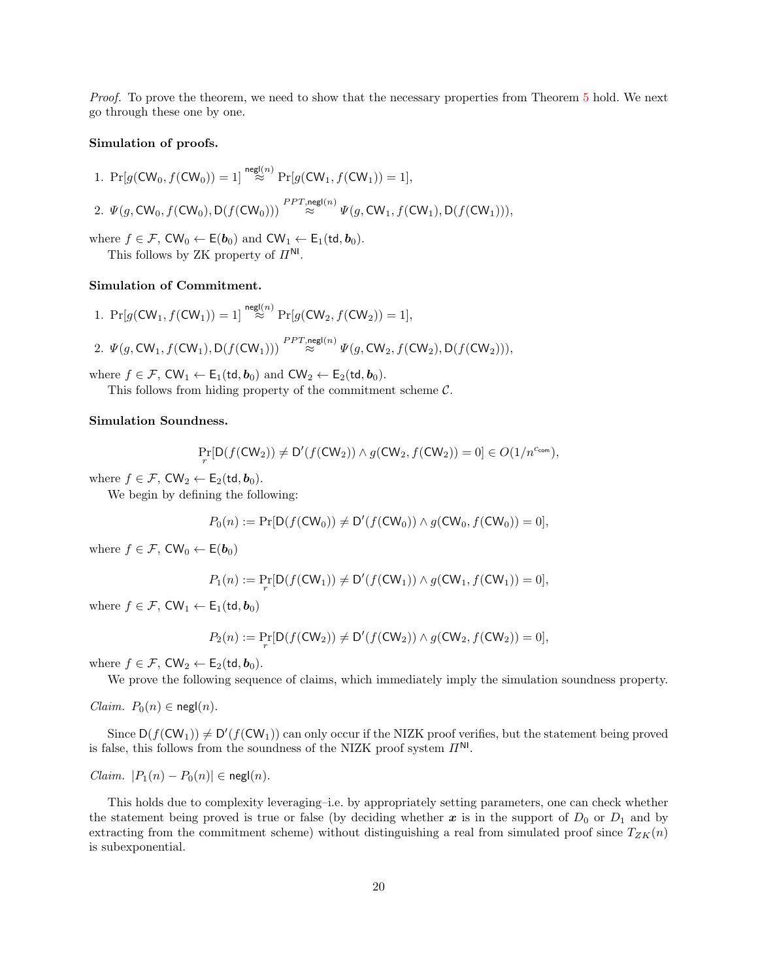Proof. To prove the theorem, we need to show that the necessary properties from Theorem [5](#page-16-0) hold. We next go through these one by one.

#### Simulation of proofs.

1. 
$$
Pr[g(CW_0, f(CW_0)) = 1] \stackrel{\text{negl}(n)}{\approx} Pr[g(CW_1, f(CW_1)) = 1],
$$
  
\n2.  $\Psi(g, CW_0, f(CW_0), D(f(CW_0))) \stackrel{PPT, \text{negl}(n)}{\approx} \Psi(g, CW_1, f(CW_1), D(f(CW_1))),$ 

where  $f \in \mathcal{F}$ ,  $\mathsf{CW}_0 \leftarrow \mathsf{E}(\boldsymbol{b}_0)$  and  $\mathsf{CW}_1 \leftarrow \mathsf{E}_1(\mathsf{td}, \boldsymbol{b}_0)$ . This follows by ZK property of  $\Pi^{\text{NI}}$ .

## Simulation of Commitment.

1. 
$$
\Pr[g(\mathsf{CW}_1, f(\mathsf{CW}_1)) = 1] \stackrel{\mathsf{negl}(n)}{\approx} \Pr[g(\mathsf{CW}_2, f(\mathsf{CW}_2)) = 1],
$$

negl(n)

negl(n)

2. 
$$
\Psi(g, \text{CW}_1, f(\text{CW}_1), \text{D}(f(\text{CW}_1))) \stackrel{P \times T, \text{neg}(n)}{\approx} \Psi(g, \text{CW}_2, f(\text{CW}_2), \text{D}(f(\text{CW}_2))),
$$

where  $f \in \mathcal{F}$ ,  $CW_1 \leftarrow E_1(\text{td}, \mathbf{b}_0)$  and  $CW_2 \leftarrow E_2(\text{td}, \mathbf{b}_0)$ .

This follows from hiding property of the commitment scheme  $C$ .

### Simulation Soundness.

$$
\Pr_r[\mathsf{D}(f(\mathsf{CW_2})) \neq \mathsf{D}'(f(\mathsf{CW_2})) \wedge g(\mathsf{CW_2}, f(\mathsf{CW_2})) = 0] \in O(1/n^{c_{\mathsf{com}}}),
$$

where  $f \in \mathcal{F}$ ,  $CW_2 \leftarrow E_2(\text{td}, \mathbf{b}_0)$ .

We begin by defining the following:

$$
P_0(n) := \Pr[\mathsf{D}(f(\mathsf{CW}_0)) \neq \mathsf{D}'(f(\mathsf{CW}_0)) \land g(\mathsf{CW}_0, f(\mathsf{CW}_0)) = 0],
$$

where  $f \in \mathcal{F}$ , CW<sub>0</sub>  $\leftarrow$  E( $\boldsymbol{b}_0$ )

$$
P_1(n) := \Pr_r[D(f(CW_1)) \neq D'(f(CW_1)) \land g(CW_1, f(CW_1)) = 0],
$$

where  $f \in \mathcal{F}$ ,  $CW_1 \leftarrow E_1(\text{td}, \boldsymbol{b}_0)$ 

$$
P_2(n) := \Pr_r[D(f(CW_2)) \neq D'(f(CW_2)) \land g(CW_2, f(CW_2)) = 0],
$$

where  $f \in \mathcal{F}$ ,  $CW_2 \leftarrow E_2(\text{td}, \boldsymbol{b}_0)$ .

We prove the following sequence of claims, which immediately imply the simulation soundness property.

*Claim.*  $P_0(n) \in \text{negl}(n)$ .

Since  $D(f(CW_1)) \neq D'(f(CW_1))$  can only occur if the NIZK proof verifies, but the statement being proved is false, this follows from the soundness of the NIZK proof system  $\Pi^{\mathsf{NL}}$ .

*Claim.*  $|P_1(n) - P_0(n)| \in \text{negl}(n)$ .

This holds due to complexity leveraging–i.e. by appropriately setting parameters, one can check whether the statement being proved is true or false (by deciding whether  $x$  is in the support of  $D_0$  or  $D_1$  and by extracting from the commitment scheme) without distinguishing a real from simulated proof since  $T_{ZK}(n)$ is subexponential.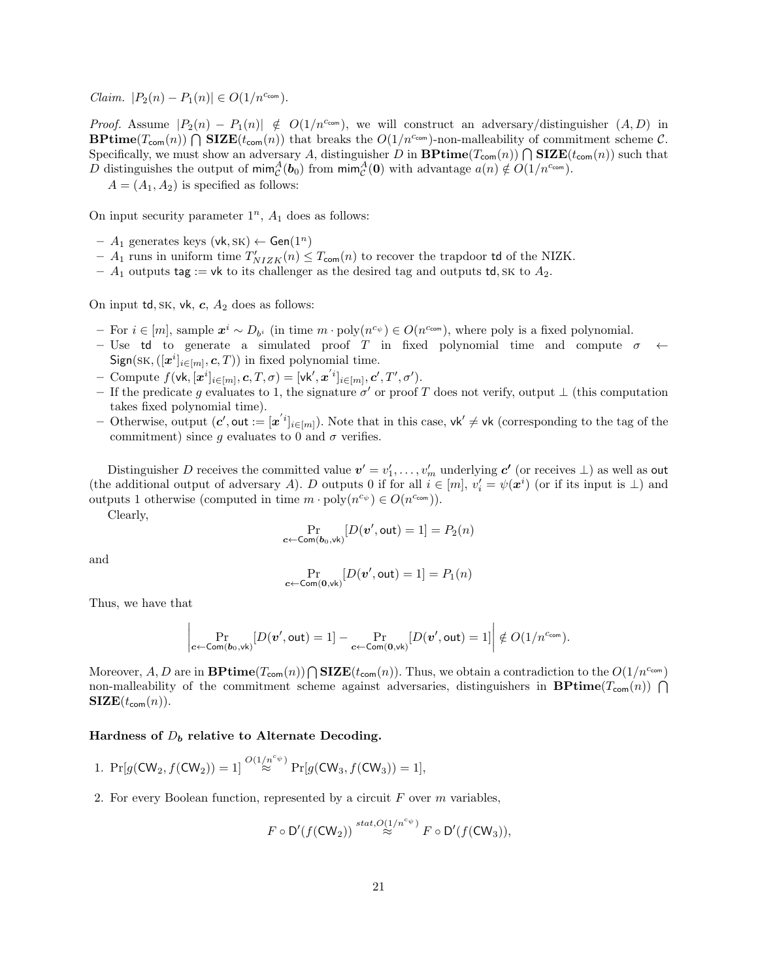$Claim.$   $|P_2(n) - P_1(n)| \in O(1/n^{c_{com}}).$ 

*Proof.* Assume  $|P_2(n) - P_1(n)| \notin O(1/n^{c_{\text{com}}})$ , we will construct an adversary/distinguisher  $(A, D)$  in **BPtime**( $T_{\text{com}}(n)$ )  $\bigcap$  **SIZE**( $t_{\text{com}}(n)$ ) that breaks the  $O(1/n^{c_{\text{com}}})$ -non-malleability of commitment scheme C. Specifically, we must show an adversary A, distinguisher D in  $\mathbf{BPrime}(T_{\text{com}}(n)) \cap \mathbf{SIZE}(t_{\text{com}}(n))$  such that D distinguishes the output of  $\min_{\mathcal{C}}^A(\bm{b}_0)$  from  $\min_{\mathcal{C}}^A(\bm{0})$  with advantage  $a(n) \notin O(1/n^{c_{\text{com}}})$ .

 $A = (A_1, A_2)$  is specified as follows:

On input security parameter  $1^n$ ,  $A_1$  does as follows:

- $A_1$  generates keys (vk, SK) ← Gen(1<sup>n</sup>)
- $A_1$  runs in uniform time  $T'_{NIZK}(n) \leq T_{\text{com}}(n)$  to recover the trapdoor td of the NIZK.
- $A_1$  outputs tag := vk to its challenger as the desired tag and outputs td, SK to  $A_2$ .

On input td, sk, vk, c,  $A_2$  does as follows:

- $-$  For  $i \in [m]$ , sample  $x^i \sim D_{b^i}$  (in time  $m \cdot \text{poly}(n^{c_{\psi}}) \in O(n^{c_{\text{com}}})$ , where poly is a fixed polynomial.
- Use td to generate a simulated proof T in fixed polynomial time and compute  $\sigma \leftarrow$  $Sign(SK, ([x^i]_{i \in [m]}, c, T))$  in fixed polynomial time.
- Compute  $f(\mathsf{vk}, [\mathbf{x}^i]_{i \in [m]}, \mathbf{c}, T, \sigma) = [\mathsf{vk}', \mathbf{x}^{'i}]_{i \in [m]}, \mathbf{c}', T', \sigma').$
- If the predicate g evaluates to 1, the signature  $\sigma'$  or proof T does not verify, output  $\perp$  (this computation takes fixed polynomial time).
- $\sim$  Otherwise, output  $(c', \text{out} := [x'_{i}]_{i \in [m]})$ . Note that in this case, vk' ≠ vk (corresponding to the tag of the commitment) since g evaluates to 0 and  $\sigma$  verifies.

Distinguisher D receives the committed value  $v' = v'_1, \ldots, v'_m$  underlying  $c'$  (or receives  $\perp$ ) as well as out (the additional output of adversary A). D outputs 0 if for all  $i \in [m]$ ,  $v_i' = \psi(\mathbf{x}^i)$  (or if its input is  $\perp$ ) and outputs 1 otherwise (computed in time  $m \cdot \text{poly}(n^{c_{\psi}}) \in O(n^{c_{\text{com}}})$ ).

Clearly,

$$
\Pr_{\pmb{c} \leftarrow \mathsf{Com}(\pmb{b}_0, \mathsf{vk})}[D(\pmb{v}', \mathsf{out}) = 1] = P_2(n)
$$

and

$$
\Pr_{\mathbf{c}\leftarrow\mathsf{Com}(\mathbf{0},\mathsf{vk})}[D(\mathbf{v}',\mathsf{out})=1]=P_1(n)
$$

Thus, we have that

$$
\left|\Pr_{\mathbf{c}\leftarrow \mathsf{Com}(\mathbf{b}_0,\mathsf{vk})}[D(\mathbf{v}',\mathsf{out})=1]-\Pr_{\mathbf{c}\leftarrow \mathsf{Com}(\mathbf{0},\mathsf{vk})}[D(\mathbf{v}',\mathsf{out})=1]\right|\notin O(1/n^{c_{\mathsf{com}}}).
$$

Moreover, A, D are in  $\mathbf{BPrime}(T_{\mathsf{com}}(n))\bigcap \mathbf{SIZE}(t_{\mathsf{com}}(n))$ . Thus, we obtain a contradiction to the  $O(1/n^{c_{\mathsf{com}}})$ non-malleability of the commitment scheme against adversaries, distinguishers in **BPtime**( $T_{com}(n)$ )  $\bigcap$  $\text{SIZE}(t_{\text{com}}(n)).$ 

### Hardness of  $D_b$  relative to Alternate Decoding.

$$
\text{1. } \Pr[g(\mathsf{CW}_2, f(\mathsf{CW}_2)) = 1] \stackrel{O(1/n^{c_{\psi}})}{\approx} \Pr[g(\mathsf{CW}_3, f(\mathsf{CW}_3)) = 1],
$$

2. For every Boolean function, represented by a circuit  $F$  over  $m$  variables,

$$
F\circ \mathsf{D}'(f(\mathsf{CW}_2))\stackrel{stat, O(1/n^{c_{\psi}})}{\approx} F\circ \mathsf{D}'(f(\mathsf{CW}_3)),
$$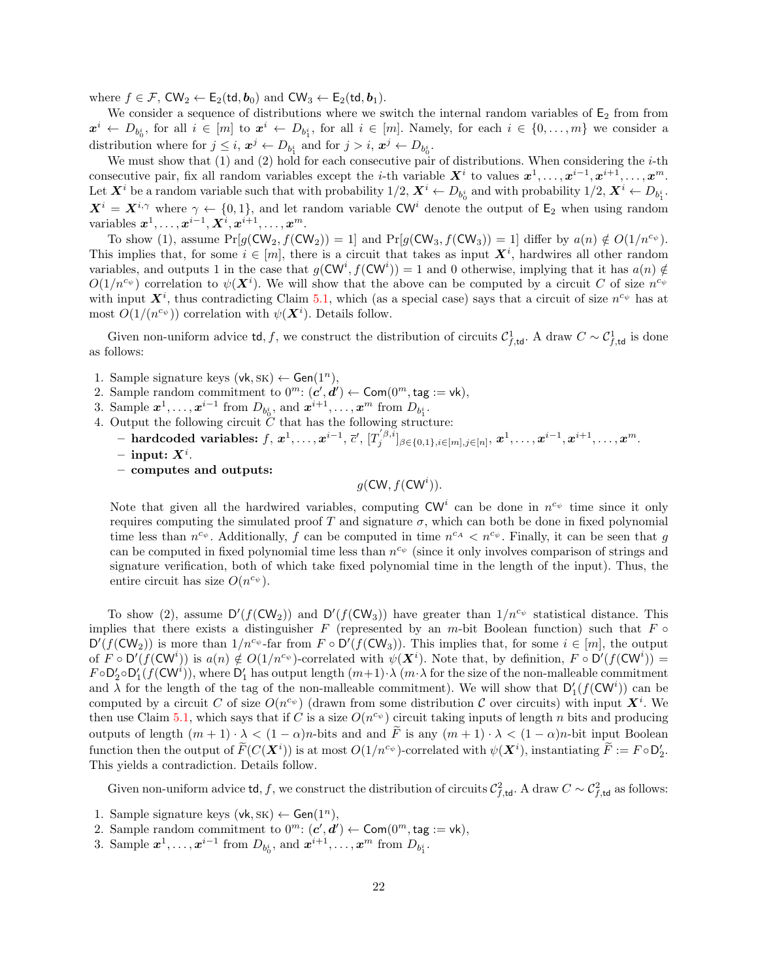where  $f \in \mathcal{F}$ ,  $CW_2 \leftarrow E_2(\mathsf{td}, \mathbf{b}_0)$  and  $CW_3 \leftarrow E_2(\mathsf{td}, \mathbf{b}_1)$ .

We consider a sequence of distributions where we switch the internal random variables of  $E_2$  from from  $x^i \leftarrow D_{b_0^i}$ , for all  $i \in [m]$  to  $x^i \leftarrow D_{b_1^i}$ , for all  $i \in [m]$ . Namely, for each  $i \in \{0, \ldots, m\}$  we consider a distribution where for  $j \leq i$ ,  $x^j \leftarrow D_{b_1^i}$  and for  $j > i$ ,  $x^j \leftarrow D_{b_0^i}$ .

We must show that  $(1)$  and  $(2)$  hold for each consecutive pair of distributions. When considering the *i*-th consecutive pair, fix all random variables except the *i*-th variable  $X^i$  to values  $x^1, \ldots, x^{i-1}, x^{i+1}, \ldots, x^m$ . Let  $X^i$  be a random variable such that with probability  $1/2$ ,  $X^i \leftarrow D_{b_0^i}$  and with probability  $1/2$ ,  $X^i \leftarrow D_{b_1^i}$ .  $X^i = X^{i,\gamma}$  where  $\gamma \leftarrow \{0,1\}$ , and let random variable CW<sup>i</sup> denote the output of  $\mathsf{E}_2$  when using random variables  $\boldsymbol{x}^1, \ldots, \boldsymbol{x}^{i-1}, \boldsymbol{X}^i, \boldsymbol{x}^{i+1}, \ldots, \boldsymbol{x}^m.$ 

To show (1), assume  $Pr[g(CW_2, f(CW_2)) = 1]$  and  $Pr[g(CW_3, f(CW_3)) = 1]$  differ by  $a(n) \notin O(1/n^{c_{\psi}})$ . This implies that, for some  $i \in [m]$ , there is a circuit that takes as input  $X^i$ , hardwires all other random variables, and outputs 1 in the case that  $g(CW^i, f(CW^i)) = 1$  and 0 otherwise, implying that it has  $a(n) \notin$  $O(1/n^{c_{\psi}})$  correlation to  $\psi(\mathbf{X}^{i})$ . We will show that the above can be computed by a circuit C of size  $n^{c_{\psi}}$ with input  $X^i$ , thus contradicting Claim [5.1,](#page-17-2) which (as a special case) says that a circuit of size  $n^{c_{\psi}}$  has at most  $O(1/(n^{c_{\psi}}))$  correlation with  $\psi(\mathbf{X}^i)$ . Details follow.

Given non-uniform advice td, f, we construct the distribution of circuits  $\mathcal{C}_{f,\text{td}}^1$ . A draw  $C \sim \mathcal{C}_{f,\text{td}}^1$  is done as follows:

- 1. Sample signature keys  $(vk, SK) \leftarrow Gen(1^n)$ ,
- 2. Sample random commitment to  $0^m$ :  $(c', d') \leftarrow \textsf{Com}(0^m, \textsf{tag} := \textsf{vk})$ ,
- 3. Sample  $x^1, \ldots, x^{i-1}$  from  $D_{b_0^i}$ , and  $x^{i+1}, \ldots, x^m$  from  $D_{b_1^i}$ .
- 4. Output the following circuit  $\check{C}$  that has the following structure:
	- $\hspace{0.5cm}\textbf{and} \textbf{code} \text{ variables: } f, \, \pmb{x}^1, \ldots, \pmb{x}^{i-1}, \, \overline{c}', \, [T_j^{'\beta, \bar{i}}]_{\beta \in \{0,1\}, i \in [m], j \in [n]}, \, \pmb{x}^1, \ldots, \pmb{x}^{i-1}, \pmb{x}^{i+1}, \ldots, \pmb{x}^m.$
	- $-$  input:  $X^i$ .
	- computes and outputs:

$$
g(\mathsf{CW}, f(\mathsf{CW}^i)).
$$

Note that given all the hardwired variables, computing  $CW^i$  can be done in  $n^{c_{\psi}}$  time since it only requires computing the simulated proof T and signature  $\sigma$ , which can both be done in fixed polynomial time less than  $n^{c_{\psi}}$ . Additionally, f can be computed in time  $n^{c_A} < n^{c_{\psi}}$ . Finally, it can be seen that g can be computed in fixed polynomial time less than  $n^{c_{\psi}}$  (since it only involves comparison of strings and signature verification, both of which take fixed polynomial time in the length of the input). Thus, the entire circuit has size  $O(n^{c_{\psi}})$ .

To show (2), assume  $D'(f(CW_2))$  and  $D'(f(CW_3))$  have greater than  $1/n^{c_{\psi}}$  statistical distance. This implies that there exists a distinguisher F (represented by an m-bit Boolean function) such that  $F \circ$  $D'(f(CW_2))$  is more than  $1/n^{c_{\psi}}$ -far from  $F \circ D'(f(CW_3))$ . This implies that, for some  $i \in [m]$ , the output of  $\hat{F} \circ D'(\hat{f}(CW^i))$  is  $a(n) \notin O(1/n^{c_{\psi}})$ -correlated with  $\psi(X^i)$ . Note that, by definition,  $F \circ D'(f(CW^i)) =$  $F \circ D'_2 \circ D'_1(f(CW^i))$ , where  $D'_1$  has output length  $(m+1) \cdot \lambda(m \cdot \lambda)$  for the size of the non-malleable commitment and  $\lambda$  for the length of the tag of the non-malleable commitment). We will show that  $D'_1(f(CW^i))$  can be computed by a circuit C of size  $O(n^{c_{\psi}})$  (drawn from some distribution C over circuits) with input  $\mathbf{X}^{i}$ . We then use Claim [5.1,](#page-17-2) which says that if C is a size  $O(n^{c_{\psi}})$  circuit taking inputs of length n bits and producing outputs of length  $(m + 1) \cdot \lambda < (1 - \alpha)n$ -bits and and  $\tilde{F}$  is any  $(m + 1) \cdot \lambda < (1 - \alpha)n$ -bit input Boolean function then the output of  $\widetilde{F}(C(\mathbf{X}^i))$  is at most  $O(1/n^{c_{\psi}})$ -correlated with  $\psi(\mathbf{X}^i)$ , instantiating  $\widetilde{F} := F \circ D'_2$ . This yields a contradiction. Details follow.

Given non-uniform advice td, f, we construct the distribution of circuits  $\mathcal{C}_{f,\text{td}}^2$ . A draw  $C \sim \mathcal{C}_{f,\text{td}}^2$  as follows:

- 1. Sample signature keys  $(vk, SK) \leftarrow Gen(1^n)$ ,
- 2. Sample random commitment to  $0^m$ :  $(c', d') \leftarrow \textsf{Com}(0^m, \textsf{tag} := \textsf{vk}),$
- 3. Sample  $x^1, \ldots, x^{i-1}$  from  $D_{b_0^i}$ , and  $x^{i+1}, \ldots, x^m$  from  $D_{b_1^i}$ .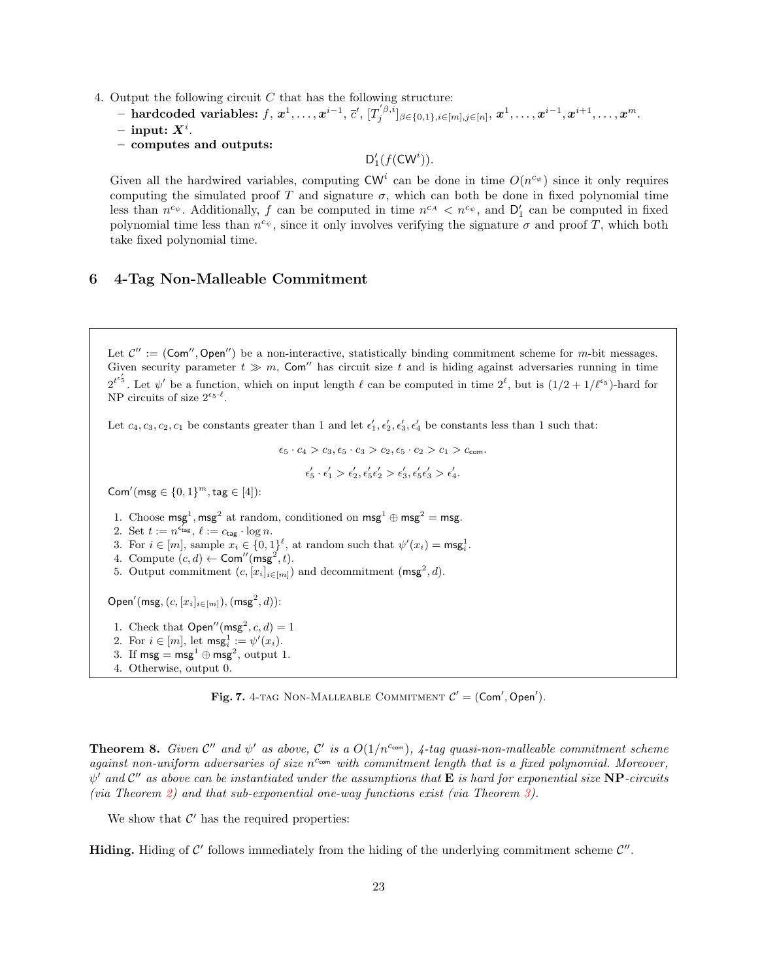- 4. Output the following circuit  $C$  that has the following structure:
	- $\tilde{P} = \text{hardcode} \ \text{variables:} \ f, \ x^1, \dots, x^{i-1}, \ \bar{c}', \ [T_j^{'\beta, i}]_{\beta \in \{0,1\}, i \in [m], j \in [n]}, \ x^1, \dots, x^{i-1}, x^{i+1}, \dots, x^m.$  $-$  input:  $X^i$ .
	- computes and outputs:

 $D'_1(f(CW^i)).$ 

Given all the hardwired variables, computing  $\text{CW}^i$  can be done in time  $O(n^{c_{\psi}})$  since it only requires computing the simulated proof T and signature  $\sigma$ , which can both be done in fixed polynomial time less than  $n^{c_{\psi}}$ . Additionally, f can be computed in time  $n^{c_A} < n^{c_{\psi}}$ , and  $D'_1$  can be computed in fixed polynomial time less than  $n^{c_{\psi}},$  since it only involves verifying the signature  $\sigma$  and proof T, which both take fixed polynomial time.

# <span id="page-22-0"></span>6 4-Tag Non-Malleable Commitment

Let  $\mathcal{C}'' := (\text{Com}'', \text{Open}'')$  be a non-interactive, statistically binding commitment scheme for m-bit messages. Given security parameter  $t \gg m$ , Com<sup>''</sup> has circuit size t and is hiding against adversaries running in time  $2^{t\epsilon'_{5}}$ . Let  $\psi'$  be a function, which on input length  $\ell$  can be computed in time  $2^{\ell}$ , but is  $(1/2+1/\ell^{ \epsilon_{5}})$ -hard for NP circuits of size  $2^{\epsilon_5 \ell}$ .

Let  $c_4, c_3, c_2, c_1$  be constants greater than 1 and let  $\epsilon'_1, \epsilon'_2, \epsilon'_3, \epsilon'_4$  be constants less than 1 such that:

 $\epsilon_5 \cdot c_4 > c_3, \epsilon_5 \cdot c_3 > c_2, \epsilon_5 \cdot c_2 > c_1 > c_{com}$  $\epsilon_{5}' \cdot \epsilon_{1}' > \epsilon_{2}', \epsilon_{5}' \epsilon_{2}' > \epsilon_{3}', \epsilon_{5}' \epsilon_{3}' > \epsilon_{4}'.$ 

Com'(msg  $\in \{0,1\}^m$ , tag  $\in [4]$ ):

- 1. Choose msg<sup>1</sup>, msg<sup>2</sup> at random, conditioned on msg<sup>1</sup>  $\oplus$  msg<sup>2</sup> = msg.
- 2. Set  $t := n^{\epsilon_{\text{tag}}}, \ell := c_{\text{tag}} \cdot \log n$ .
- 3. For  $i \in [m]$ , sample  $x_i \in \{0,1\}^{\ell}$ , at random such that  $\psi'(x_i) = \mathsf{msg}_i^1$ .
- 4. Compute  $(c, d) \leftarrow \text{Com}''(\text{msg}^2, t)$ .
- 5. Output commitment  $(c, [x_i]_{i \in [m]})$  and decommitment  $(\text{msg}^2, d)$ .

Open'(msg,  $(c, [x_i]_{i \in [m]}),$  (msg<sup>2</sup>, d)):

- 1. Check that  $Open''(msg^2, c, d) = 1$
- 2. For  $i \in [m]$ , let  $\mathsf{msg}_i^1 := \psi'(x_i)$ .
- 3. If  $\mathsf{msg} = \mathsf{msg}^1 \oplus \mathsf{msg}^2$ , output 1.
- 4. Otherwise, output 0.

Fig. 7. 4-TAG NON-MALLEABLE COMMITMENT  $C' = (Com', Open')$ .

**Theorem 8.** Given  $\mathcal{C}''$  and  $\psi'$  as above,  $\mathcal{C}'$  is a  $O(1/n^{c_{com}})$ , 4-tag quasi-non-malleable commitment scheme against non-uniform adversaries of size  $n^{c_{com}}$  with commitment length that is a fixed polynomial. Moreover,  $\psi'$  and  $\mathcal{C}''$  as above can be instantiated under the assumptions that  $\bf E$  is hard for exponential size  $\bf NP$ -circuits (via Theorem [2\)](#page-12-3) and that sub-exponential one-way functions exist (via Theorem [3\)](#page-13-0).

We show that  $\mathcal{C}'$  has the required properties:

Hiding. Hiding of  $C'$  follows immediately from the hiding of the underlying commitment scheme  $C''$ .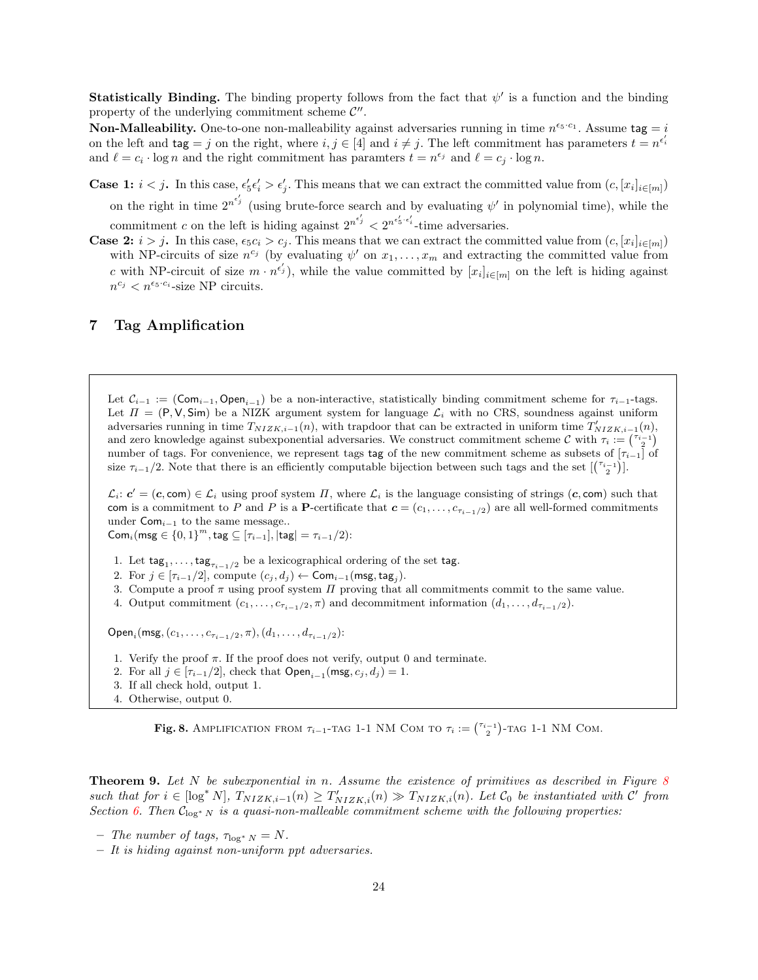**Statistically Binding.** The binding property follows from the fact that  $\psi'$  is a function and the binding property of the underlying commitment scheme  $\mathcal{C}''$ .

**Non-Malleability.** One-to-one non-malleability against adversaries running in time  $n^{\epsilon_5 \cdot c_1}$ . Assume tag = i on the left and  $\text{tag} = j$  on the right, where  $i, j \in [4]$  and  $i \neq j$ . The left commitment has parameters  $t = n^{\epsilon'_i}$ and  $\ell = c_i \cdot \log n$  and the right commitment has paramters  $t = n^{\epsilon_j}$  and  $\ell = c_j \cdot \log n$ .

**Case 1:**  $i < j$ . In this case,  $\epsilon'_5 \epsilon'_i > \epsilon'_j$ . This means that we can extract the committed value from  $(c, [x_i]_{i \in [m]})$ on the right in time  $2^{n^{e'_j}}$  (using brute-force search and by evaluating  $\psi'$  in polynomial time), while the commitment c on the left is hiding against  $2^{n^{\epsilon'_{j}}}< 2^{n^{\epsilon'_{3} \cdot \epsilon'_{i}}}$ -time adversaries.

**Case 2:**  $i > j$ . In this case,  $\epsilon_5 c_i > c_j$ . This means that we can extract the committed value from  $(c, [x_i]_{i \in [m]})$ with NP-circuits of size  $n^{c_j}$  (by evaluating  $\psi'$  on  $x_1, \ldots, x_m$  and extracting the committed value from c with NP-circuit of size  $m \cdot n^{\epsilon'_j}$ , while the value committed by  $[x_i]_{i \in [m]}$  on the left is hiding against  $n^{c_j} < n^{\epsilon_5 \cdot c_i}$ -size NP circuits.

# <span id="page-23-0"></span>7 Tag Amplification

Let  $\mathcal{C}_{i-1} := (\textsf{Com}_{i-1}, \textsf{Open}_{i-1})$  be a non-interactive, statistically binding commitment scheme for  $\tau_{i-1}$ -tags. Let  $\Pi = (P, V, Sim)$  be a NIZK argument system for language  $\mathcal{L}_i$  with no CRS, soundness against uniform adversaries running in time  $T_{NIZK,i-1}(n)$ , with trapdoor that can be extracted in uniform time  $T'_{NIZK,i-1}(n)$ , and zero knowledge against subexponential adversaries. We construct commitment scheme  $\mathcal{C}$  with  $\tau_i := \binom{\tau_{i-1}}{2}$ number of tags. For convenience, we represent tags tag of the new commitment scheme as subsets of  $[\tau_{i-1}]$  of size  $\tau_{i-1}/2$ . Note that there is an efficiently computable bijection between such tags and the set  $\binom{\tau_{i-1}}{2}$ .

 $\mathcal{L}_i$ :  $c' = (c, \text{com}) \in \mathcal{L}_i$  using proof system  $\Pi$ , where  $\mathcal{L}_i$  is the language consisting of strings  $(c, \text{com})$  such that com is a commitment to P and P is a P-certificate that  $\mathbf{c} = (c_1, \ldots, c_{\tau_{i-1}/2})$  are all well-formed commitments under  $Com_{i-1}$  to the same message..

Com<sub>i</sub>(msg  $\in \{0,1\}^m$ , tag  $\subseteq [\tau_{i-1}],$  |tag| =  $\tau_{i-1}/2$ ):

- 1. Let  $\textsf{tag}_1, \ldots, \textsf{tag}_{\tau_{i-1}/2}$  be a lexicographical ordering of the set tag.
- 2. For  $j \in [\tau_{i-1}/2]$ , compute  $(c_j, d_j) \leftarrow \textsf{Com}_{i-1}(\textsf{msg}, \textsf{tag}_j)$ .
- 3. Compute a proof  $\pi$  using proof system  $\Pi$  proving that all commitments commit to the same value.
- 4. Output commitment  $(c_1, \ldots, c_{\tau_{i-1}/2}, \pi)$  and decommitment information  $(d_1, \ldots, d_{\tau_{i-1}/2})$ .

 $\mathsf{Open}_i(\mathsf{msg},(c_1,\ldots,c_{\tau_{i-1}/2},\pi),(d_1,\ldots,d_{\tau_{i-1}/2})$ :

- 1. Verify the proof  $\pi$ . If the proof does not verify, output 0 and terminate.
- 2. For all  $j \in [\tau_{i-1}/2]$ , check that  $\mathsf{Open}_{i-1}(\mathsf{msg}, c_j, d_j) = 1$ .
- 3. If all check hold, output 1.
- 4. Otherwise, output 0.

<span id="page-23-1"></span>Fig. 8. AMPLIFICATION FROM  $\tau_{i-1}$ -TAG 1-1 NM COM TO  $\tau_i := \binom{\tau_{i-1}}{2}$ -TAG 1-1 NM COM.

<span id="page-23-2"></span>**Theorem 9.** Let  $N$  be subexponential in n. Assume the existence of primitives as described in Figure [8](#page-23-1) such that for  $i \in [\log^* N]$ ,  $T_{NIZK,i-1}(n) \geq T'_{NIZK,i}(n) \gg T_{NIZK,i}(n)$ . Let  $\mathcal{C}_0$  be instantiated with  $\mathcal{C}'$  from Section [6.](#page-22-0) Then  $C_{\log^* N}$  is a quasi-non-malleable commitment scheme with the following properties:

- The number of tags,  $\tau_{\log^* N} = N$ .
- It is hiding against non-uniform ppt adversaries.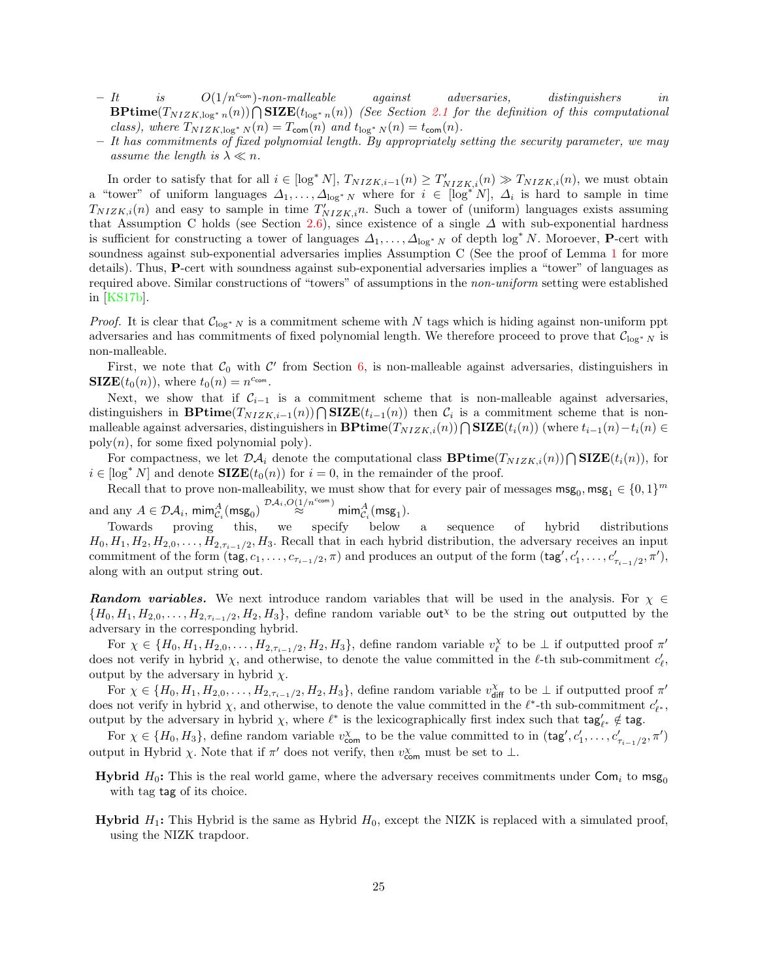- $It$  is  $O(1/n^{c_{com}})$ -non-malleable against adversaries, distinguishers in  $\text{BPrime}(T_{NIZK, \log^* n}(n)) \bigcap \text{SIZE}(t_{\log^* n}(n))$  (See Section [2.1](#page-9-0) for the definition of this computational class), where  $T_{NIZK,\log^* N}(n) = T_{\text{com}}(n)$  and  $t_{\log^* N}(n) = t_{\text{com}}(n)$ .
- $-$  It has commitments of fixed polynomial length. By appropriately setting the security parameter, we may assume the length is  $\lambda \ll n$ .

In order to satisfy that for all  $i \in [\log^* N], T_{NIZK,i-1}(n) \geq T'_{NIZK,i}(n) \gg T_{NIZK,i}(n)$ , we must obtain a "tower" of uniform languages  $\Delta_1, \ldots, \Delta_{\log^* N}$  where for  $i \in [\log^* N], \Delta_i$  is hard to sample in time  $T_{NIZK,i}(n)$  and easy to sample in time  $T'_{NIZK,i}n$ . Such a tower of (uniform) languages exists assuming that Assumption C holds (see Section [2.6\)](#page-12-2), since existence of a single  $\Delta$  with sub-exponential hardness is sufficient for constructing a tower of languages  $\Delta_1, \ldots, \Delta_{\log^* N}$  of depth  $\log^* N$ . Moroever, **P**-cert with soundness against sub-exponential adversaries implies Assumption C (See the proof of Lemma [1](#page-13-1) for more details). Thus, P-cert with soundness against sub-exponential adversaries implies a "tower" of languages as required above. Similar constructions of "towers" of assumptions in the non-uniform setting were established in [\[KS17b\]](#page-28-5).

*Proof.* It is clear that  $\mathcal{C}_{\log^* N}$  is a commitment scheme with N tags which is hiding against non-uniform ppt adversaries and has commitments of fixed polynomial length. We therefore proceed to prove that  $\mathcal{C}_{\log^* N}$  is non-malleable.

First, we note that  $C_0$  with  $C'$  from Section [6,](#page-22-0) is non-malleable against adversaries, distinguishers in  $\mathbf{SIZE}(t_0(n)),$  where  $t_0(n) = n^{c_{\text{com}}}.$ 

Next, we show that if  $\mathcal{C}_{i-1}$  is a commitment scheme that is non-malleable against adversaries, distinguishers in **BPtime**( $T_{NIZK,i-1}(n)$ )  $\bigcap$ **SIZE**( $t_{i-1}(n)$ ) then  $\mathcal{C}_i$  is a commitment scheme that is nonmalleable against adversaries, distinguishers in  $\mathbf{BPrime}(T_{NIZK,i}(n)) \bigcap \mathbf{SIZE}(t_i(n))$  (where  $t_{i-1}(n)-t_i(n) \in$  $poly(n)$ , for some fixed polynomial poly).

For compactness, we let  $\mathcal{DA}_i$  denote the computational class  $\mathbf{BPrime}(T_{NIZK,i}(n))\bigcap \mathbf{SIZE}(t_i(n)),$  for  $i \in [\log^* N]$  and denote  $\mathbf{SIZE}(t_0(n))$  for  $i = 0$ , in the remainder of the proof.

Recall that to prove non-malleability, we must show that for every pair of messages  $\text{msg}_0, \text{msg}_1 \in \{0,1\}^m$ and any  $A \in \mathcal{DA}_i$ ,  $\min_{\mathcal{C}_i}^A(\text{msg}_0) \stackrel{\mathcal{DA}_i, O(1/n^{c \text{com}})}{\approx} \min_{\mathcal{C}_i}^A(\text{msg}_1).$ 

Towards proving this, we specify below a sequence of hybrid distributions  $H_0, H_1, H_2, H_{2,0}, \ldots, H_{2,\tau_{i-1}/2}, H_3$ . Recall that in each hybrid distribution, the adversary receives an input commitment of the form  $(\text{tag}, c_1, \ldots, c_{\tau_{i-1}/2}, \pi)$  and produces an output of the form  $(\text{tag}', c'_1, \ldots, c'_{\tau_{i-1}/2}, \pi')$ , along with an output string out.

**Random variables.** We next introduce random variables that will be used in the analysis. For  $\chi \in$  ${H_0, H_1, H_{2,0}, \ldots, H_{2,\tau_{i-1}/2}, H_2, H_3}$ , define random variable out<sup>x</sup> to be the string out outputted by the adversary in the corresponding hybrid.

For  $\chi \in \{H_0, H_1, H_{2,0}, \ldots, H_{2,\tau_{i-1}/2}, H_2, H_3\}$ , define random variable  $v_{\ell}^{\chi}$  to be  $\perp$  if outputted proof  $\pi'$ does not verify in hybrid  $\chi$ , and otherwise, to denote the value committed in the  $\ell$ -th sub-commitment  $c'_{\ell}$ , output by the adversary in hybrid  $\chi$ .

For  $\chi \in \{H_0, H_1, H_{2,0}, \ldots, H_{2,\tau_{i-1}/2}, H_2, H_3\}$ , define random variable  $v_{\text{diff}}^{\chi}$  to be  $\perp$  if outputted proof  $\pi'$ does not verify in hybrid  $\chi$ , and otherwise, to denote the value committed in the  $\ell^*$ -th sub-commitment  $c'_{\ell^*}$ , output by the adversary in hybrid  $\chi$ , where  $\ell^*$  is the lexicographically first index such that  $\text{tag}_{\ell^*} \notin \text{tag}$ .

For  $\chi \in \{H_0, H_3\}$ , define random variable  $v_{\text{com}}^{\chi}$  to be the value committed to in  $(\text{tag}', c'_1, \ldots, c'_{\tau_{i-1}/2}, \pi')$ output in Hybrid  $\chi$ . Note that if  $\pi'$  does not verify, then  $v_{\text{com}}^{\chi}$  must be set to  $\perp$ .

- **Hybrid**  $H_0$ : This is the real world game, where the adversary receives commitments under Com<sub>i</sub> to msg<sub>0</sub> with tag tag of its choice.
- **Hybrid**  $H_1$ : This Hybrid is the same as Hybrid  $H_0$ , except the NIZK is replaced with a simulated proof, using the NIZK trapdoor.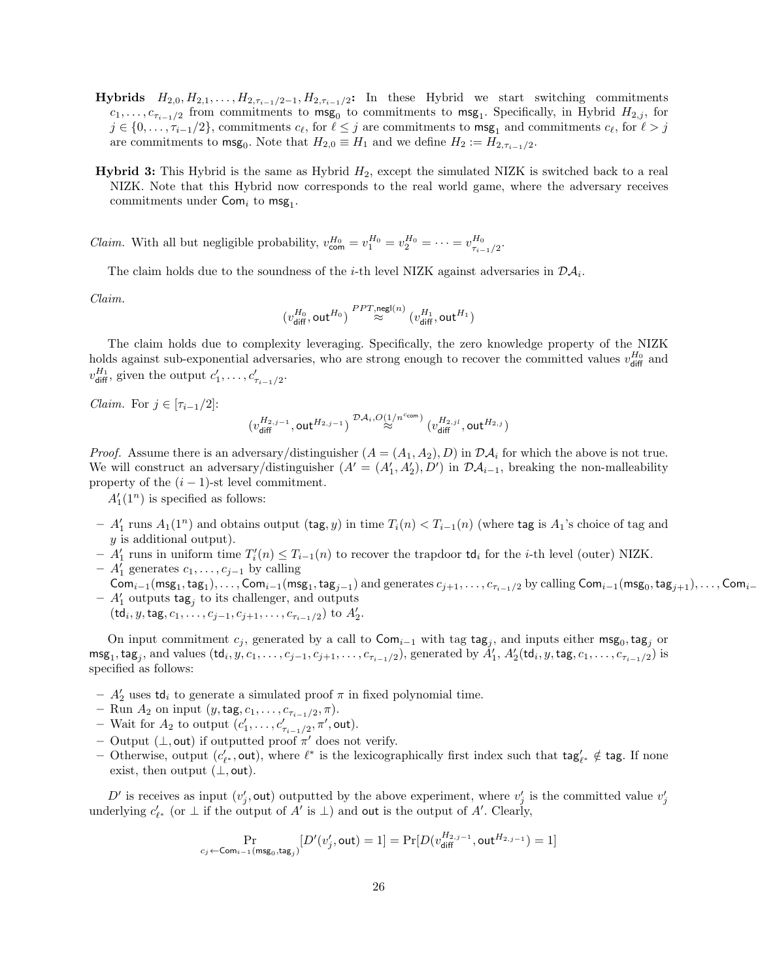- **Hybrids**  $H_{2,0}, H_{2,1}, \ldots, H_{2,\tau_{i-1}/2-1}, H_{2,\tau_{i-1}/2}$ : In these Hybrid we start switching commitments  $c_1, \ldots, c_{\tau_{i-1}/2}$  from commitments to  $\mathsf{msg}_0$  to commitments to  $\mathsf{msg}_1$ . Specifically, in Hybrid  $H_{2,j}$ , for  $j \in \{0, \ldots, \tau_{i-1}/2\}$ , commitments  $c_\ell$ , for  $\ell \leq j$  are commitments to  $\mathsf{msg}_1$  and commitments  $c_\ell$ , for  $\ell > j$ are commitments to  $\text{msg}_0$ . Note that  $H_{2,0} \equiv H_1$  and we define  $H_2 := H_{2,\tau_{i-1}/2}$ .
- **Hybrid 3:** This Hybrid is the same as Hybrid  $H_2$ , except the simulated NIZK is switched back to a real NIZK. Note that this Hybrid now corresponds to the real world game, where the adversary receives commitments under  $Com<sub>i</sub>$  to  $msg<sub>1</sub>$ .

*Claim.* With all but negligible probability,  $v_{\text{com}}^{H_0} = v_1^{H_0} = v_2^{H_0} = \cdots = v_{\tau_{i-1}/2}^{H_0}$ .

The claim holds due to the soundness of the *i*-th level NIZK against adversaries in  $\mathcal{DA}_i$ .

Claim.

$$
(v_{\mathsf{diff}}^{H_0},\mathsf{out}^{H_0}) \stackrel{PPT,\mathsf{negl}(n)}{\approx} (v_{\mathsf{diff}}^{H_1},\mathsf{out}^{H_1})
$$

The claim holds due to complexity leveraging. Specifically, the zero knowledge property of the NIZK holds against sub-exponential adversaries, who are strong enough to recover the committed values  $v_{\text{diff}}^{H_0}$  and  $v_{\text{diff}}^{H_1}$ , given the output  $c'_1, \ldots, c'_{\tau_{i-1}/2}$ .

*Claim.* For  $j \in [\tau_{i-1}/2]$ :

$$
(v^{H_{2,j-1}}_{\text{diff}},\text{out}^{H_{2,j-1}}) \overset{\mathcal{DA}_i,O(1/n^{\text{ccom}})}{\approx} (v^{H_{2,jl}}_{\text{diff}},\text{out}^{H_{2,j}})
$$

*Proof.* Assume there is an adversary/distinguisher  $(A = (A_1, A_2), D)$  in  $\mathcal{D}\mathcal{A}_i$  for which the above is not true. We will construct an adversary/distinguisher  $(A' = (A'_1, A'_2), D')$  in  $\mathcal{DA}_{i-1}$ , breaking the non-malleability property of the  $(i - 1)$ -st level commitment.

 $A'_1(1^n)$  is specified as follows:

- $-A'_1$  runs  $A_1(1^n)$  and obtains output (tag, y) in time  $T_i(n) < T_{i-1}(n)$  (where tag is  $A_1$ 's choice of tag and y is additional output).
- $-A'_1$  runs in uniform time  $T'_i(n) \leq T_{i-1}(n)$  to recover the trapdoor  $\mathsf{td}_i$  for the *i*-th level (outer) NIZK.
- $A'_1$  generates  $c_1, \ldots, c_{j-1}$  by calling  $\mathsf{Com}_{i-1}(\mathsf{msg}_1,\mathsf{tag}_1),\ldots,\mathsf{Com}_{i-1}(\mathsf{msg}_1,\mathsf{tag}_{j-1})$  and generates  $c_{j+1},\ldots,c_{\tau_{i-1}/2}$  by calling  $\mathsf{Com}_{i-1}(\mathsf{msg}_0,\mathsf{tag}_{j+1}),\ldots,\mathsf{Com}_{i-1}$
- $A'_1$  outputs  $\text{tag}_j$  to its challenger, and outputs

 $(\mathsf{td}_i, y, \mathsf{tag}, c_1, \ldots, c_{j-1}, c_{j+1}, \ldots, c_{\tau_{i-1}/2}) \text{ to } A'_2.$ 

On input commitment  $c_j$ , generated by a call to  $Com_{i-1}$  with tag tag<sub>j</sub>, and inputs either msg<sub>0</sub>, tag<sub>j</sub> or  $\mathsf{msg}_1, \mathsf{tag}_j, \text{ and values }(\mathsf{td}_i, y, c_1, \ldots, c_{j-1}, c_{j+1}, \ldots, c_{\tau_{i-1}/2}), \text{ generated by } \AA'_1, A'_2(\mathsf{td}_i, y, \mathsf{tag}, c_1, \ldots, c_{\tau_{i-1}/2}) \text{ is a finite number of elements of } \AA'_1, \text{ and } \AA'_2, \text{ and } \AA'_3, \text{ and } \AA'_4, \text{ and } \AA'_5, \text{ and } \AA'_6, \text{ and } \AA'_7, \text{ and } \AA'_8, \text{ and } \AA'_9, \text{ and } \AA'_$ specified as follows:

- $A'_2$  uses  $\mathsf{td}_i$  to generate a simulated proof  $\pi$  in fixed polynomial time.
- Run  $A_2$  on input  $(y, \text{tag}, c_1, \ldots, c_{\tau_{i-1}/2}, \pi)$ .
- Wait for  $A_2$  to output  $(c'_1, \ldots, c'_{\tau_{i-1}/2}, \pi', \text{out})$ .
- Output ( $\perp$ , out) if outputted proof  $\pi'$  does not verify.
- − Otherwise, output  $(c'_{\ell^*}, \text{out})$ , where  $\ell^*$  is the lexicographically first index such that tag'<sub> $\ell^*$ </sub> ∉ tag. If none exist, then output  $(\perp, \text{out})$ .

D' is receives as input  $(v'_j, \text{out})$  outputted by the above experiment, where  $v'_j$  is the committed value  $v'_j$ underlying  $c'_{\ell^*}$  (or  $\perp$  if the output of A' is  $\perp$ ) and out is the output of A'. Clearly,

$$
\Pr_{c_j \leftarrow \mathsf{Com}_{i-1}(\mathsf{msg}_0,\mathsf{tag}_j)}\left[D'(v'_j,\mathsf{out})=1\right] = \Pr[D(v_{\mathsf{diff}}^{H_{2,j-1}},\mathsf{out}^{H_{2,j-1}})=1]
$$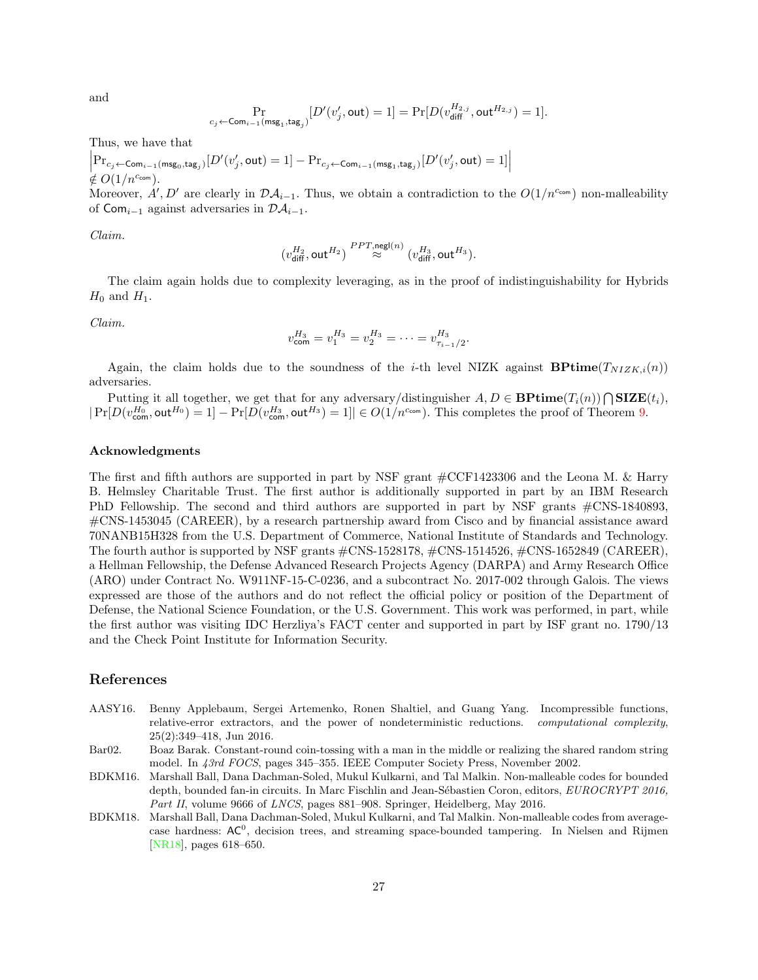and

$$
\Pr_{c_j \leftarrow \mathsf{Com}_{i-1}(\mathsf{msg}_1,\mathsf{tag}_j)}\left[D'(v'_j,\mathsf{out})=1\right] = \Pr[D(v_{\mathsf{diff}}^{H_{2,j}},\mathsf{out}^{H_{2,j}})=1].
$$

Thus, we have that

$$
\left|\mathbf{Pr}_{c_j \leftarrow \mathsf{Com}_{i-1}(\mathsf{msg}_0,\mathsf{tag}_j)}\left[D'(v'_j,\mathsf{out})=1\right] - \mathbf{Pr}_{c_j \leftarrow \mathsf{Com}_{i-1}(\mathsf{msg}_1,\mathsf{tag}_j)}\left[D'(v'_j,\mathsf{out})=1\right]\right| \neq O(1/n^{c_{\mathsf{com}}}).
$$

Moreover, A', D' are clearly in  $\mathcal{DA}_{i-1}$ . Thus, we obtain a contradiction to the  $O(1/n^{c_{com}})$  non-malleability of Com<sub>i−1</sub> against adversaries in  $\mathcal{DA}_{i-1}$ .

Claim.

$$
\big(v_{\text{diff}}^{H_2},\text{out}^{H_2}\big) \overset{PPT,\text{negl}(n)}{\approx} \big(v_{\text{diff}}^{H_3},\text{out}^{H_3}\big).
$$

The claim again holds due to complexity leveraging, as in the proof of indistinguishability for Hybrids  $H_0$  and  $H_1$ .

Claim.

$$
v_{\text{com}}^{H_3} = v_1^{H_3} = v_2^{H_3} = \dots = v_{\tau_{i-1}/2}^{H_3}.
$$

Again, the claim holds due to the soundness of the *i*-th level NIZK against **BPtime**( $T_{NIZK,i}(n)$ ) adversaries.

Putting it all together, we get that for any adversary/distinguisher  $A, D \in \mathbf{BPrime}(T_i(n)) \cap \mathbf{SIZE}(t_i)$ ,  $|\Pr[D(v_{\text{com}}^{H_0}, \text{out}^{H_0})=1]-\Pr[D(v_{\text{com}}^{H_3}, \text{out}^{H_3})=1]|\in O(1/n^{c_{\text{com}}}).$  This completes the proof of Theorem [9.](#page-23-2)

### Acknowledgments

The first and fifth authors are supported in part by NSF grant #CCF1423306 and the Leona M. & Harry B. Helmsley Charitable Trust. The first author is additionally supported in part by an IBM Research PhD Fellowship. The second and third authors are supported in part by NSF grants #CNS-1840893, #CNS-1453045 (CAREER), by a research partnership award from Cisco and by financial assistance award 70NANB15H328 from the U.S. Department of Commerce, National Institute of Standards and Technology. The fourth author is supported by NSF grants #CNS-1528178, #CNS-1514526, #CNS-1652849 (CAREER), a Hellman Fellowship, the Defense Advanced Research Projects Agency (DARPA) and Army Research Office (ARO) under Contract No. W911NF-15-C-0236, and a subcontract No. 2017-002 through Galois. The views expressed are those of the authors and do not reflect the official policy or position of the Department of Defense, the National Science Foundation, or the U.S. Government. This work was performed, in part, while the first author was visiting IDC Herzliya's FACT center and supported in part by ISF grant no. 1790/13 and the Check Point Institute for Information Security.

## References

- <span id="page-26-2"></span>AASY16. Benny Applebaum, Sergei Artemenko, Ronen Shaltiel, and Guang Yang. Incompressible functions, relative-error extractors, and the power of nondeterministic reductions. computational complexity, 25(2):349–418, Jun 2016.
- <span id="page-26-3"></span>Bar02. Boaz Barak. Constant-round coin-tossing with a man in the middle or realizing the shared random string model. In 43rd FOCS, pages 345–355. IEEE Computer Society Press, November 2002.
- <span id="page-26-0"></span>BDKM16. Marshall Ball, Dana Dachman-Soled, Mukul Kulkarni, and Tal Malkin. Non-malleable codes for bounded depth, bounded fan-in circuits. In Marc Fischlin and Jean-Sébastien Coron, editors, EUROCRYPT 2016, Part II, volume 9666 of LNCS, pages 881-908. Springer, Heidelberg, May 2016.
- <span id="page-26-1"></span>BDKM18. Marshall Ball, Dana Dachman-Soled, Mukul Kulkarni, and Tal Malkin. Non-malleable codes from averagecase hardness: AC<sup>0</sup>, decision trees, and streaming space-bounded tampering. In Nielsen and Rijmen [\[NR18\]](#page-28-23), pages 618–650.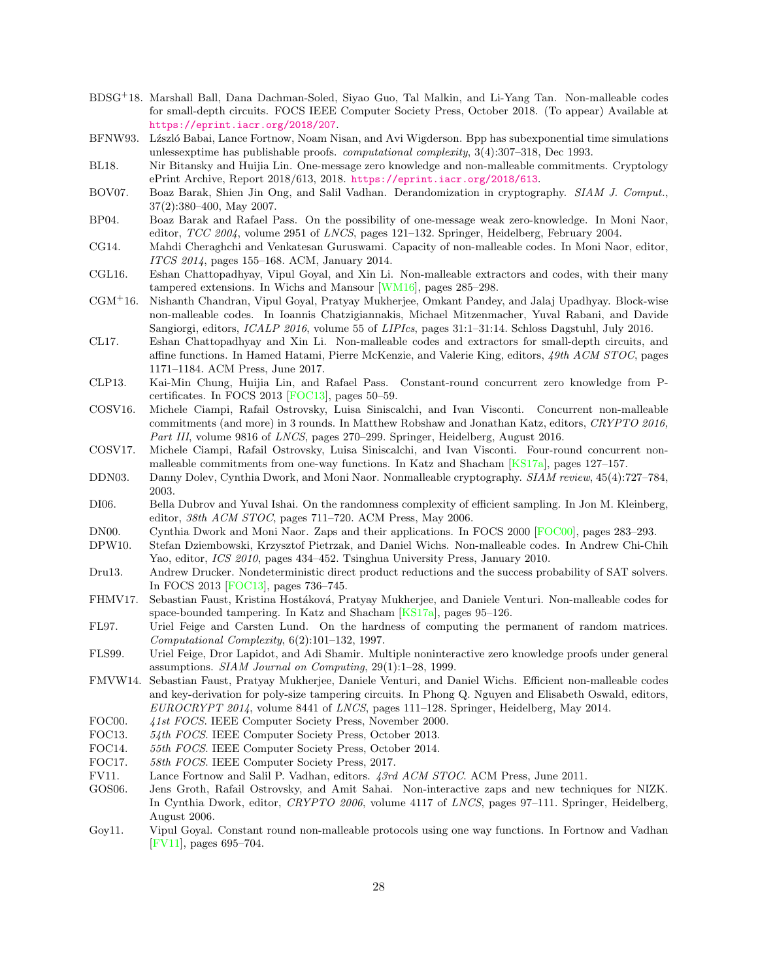- <span id="page-27-2"></span>BDSG<sup>+</sup>18. Marshall Ball, Dana Dachman-Soled, Siyao Guo, Tal Malkin, and Li-Yang Tan. Non-malleable codes for small-depth circuits. FOCS IEEE Computer Society Press, October 2018. (To appear) Available at <https://eprint.iacr.org/2018/207>.
- <span id="page-27-13"></span>BFNW93. L'zszló Babai, Lance Fortnow, Noam Nisan, and Avi Wigderson. Bpp has subexponential time simulations unlessexptime has publishable proofs. *computational complexity*,  $3(4)$ :  $307-318$ , Dec 1993.
- <span id="page-27-12"></span>BL18. Nir Bitansky and Huijia Lin. One-message zero knowledge and non-malleable commitments. Cryptology ePrint Archive, Report 2018/613, 2018. <https://eprint.iacr.org/2018/613>.
- <span id="page-27-16"></span>BOV07. Boaz Barak, Shien Jin Ong, and Salil Vadhan. Derandomization in cryptography. SIAM J. Comput., 37(2):380–400, May 2007.
- <span id="page-27-22"></span>BP04. Boaz Barak and Rafael Pass. On the possibility of one-message weak zero-knowledge. In Moni Naor, editor, TCC 2004, volume 2951 of LNCS, pages 121–132. Springer, Heidelberg, February 2004.
- <span id="page-27-4"></span>CG14. Mahdi Cheraghchi and Venkatesan Guruswami. Capacity of non-malleable codes. In Moni Naor, editor, ITCS 2014, pages 155–168. ACM, January 2014.
- <span id="page-27-11"></span>CGL16. Eshan Chattopadhyay, Vipul Goyal, and Xin Li. Non-malleable extractors and codes, with their many tampered extensions. In Wichs and Mansour [\[WM16\]](#page-29-10), pages 285–298.
- <span id="page-27-10"></span>CGM<sup>+</sup>16. Nishanth Chandran, Vipul Goyal, Pratyay Mukherjee, Omkant Pandey, and Jalaj Upadhyay. Block-wise non-malleable codes. In Ioannis Chatzigiannakis, Michael Mitzenmacher, Yuval Rabani, and Davide Sangiorgi, editors, ICALP 2016, volume 55 of LIPIcs, pages 31:1–31:14. Schloss Dagstuhl, July 2016.
- <span id="page-27-1"></span>CL17. Eshan Chattopadhyay and Xin Li. Non-malleable codes and extractors for small-depth circuits, and affine functions. In Hamed Hatami, Pierre McKenzie, and Valerie King, editors, 49th ACM STOC, pages 1171–1184. ACM Press, June 2017.
- <span id="page-27-6"></span>CLP13. Kai-Min Chung, Huijia Lin, and Rafael Pass. Constant-round concurrent zero knowledge from Pcertificates. In FOCS 2013 [\[FOC13\]](#page-27-23), pages 50–59.
- <span id="page-27-19"></span>COSV16. Michele Ciampi, Rafail Ostrovsky, Luisa Siniscalchi, and Ivan Visconti. Concurrent non-malleable commitments (and more) in 3 rounds. In Matthew Robshaw and Jonathan Katz, editors, CRYPTO 2016, Part III, volume 9816 of LNCS, pages 270–299. Springer, Heidelberg, August 2016.
- <span id="page-27-20"></span>COSV17. Michele Ciampi, Rafail Ostrovsky, Luisa Siniscalchi, and Ivan Visconti. Four-round concurrent nonmalleable commitments from one-way functions. In Katz and Shacham [\[KS17a\]](#page-28-24), pages 127–157.
- <span id="page-27-9"></span>DDN03. Danny Dolev, Cynthia Dwork, and Moni Naor. Nonmalleable cryptography. SIAM review, 45(4):727–784, 2003.
- <span id="page-27-21"></span>DI06. Bella Dubrov and Yuval Ishai. On the randomness complexity of efficient sampling. In Jon M. Kleinberg, editor, 38th ACM STOC, pages 711–720. ACM Press, May 2006.
- <span id="page-27-7"></span>DN00. Cynthia Dwork and Moni Naor. Zaps and their applications. In FOCS 2000 [\[FOC00\]](#page-27-24), pages 283–293.
- <span id="page-27-0"></span>DPW10. Stefan Dziembowski, Krzysztof Pietrzak, and Daniel Wichs. Non-malleable codes. In Andrew Chi-Chih Yao, editor, ICS 2010, pages 434–452. Tsinghua University Press, January 2010.
- <span id="page-27-15"></span>Dru13. Andrew Drucker. Nondeterministic direct product reductions and the success probability of SAT solvers. In FOCS 2013 [\[FOC13\]](#page-27-23), pages 736–745.
- <span id="page-27-3"></span>FHMV17. Sebastian Faust, Kristina Hostáková, Pratyay Mukherjee, and Daniele Venturi. Non-malleable codes for space-bounded tampering. In Katz and Shacham [\[KS17a\]](#page-28-24), pages 95–126.
- <span id="page-27-14"></span>FL97. Uriel Feige and Carsten Lund. On the hardness of computing the permanent of random matrices. Computational Complexity, 6(2):101–132, 1997.
- <span id="page-27-17"></span>FLS99. Uriel Feige, Dror Lapidot, and Adi Shamir. Multiple noninteractive zero knowledge proofs under general assumptions. SIAM Journal on Computing, 29(1):1–28, 1999.
- <span id="page-27-5"></span>FMVW14. Sebastian Faust, Pratyay Mukherjee, Daniele Venturi, and Daniel Wichs. Efficient non-malleable codes and key-derivation for poly-size tampering circuits. In Phong Q. Nguyen and Elisabeth Oswald, editors, EUROCRYPT 2014, volume 8441 of LNCS, pages 111–128. Springer, Heidelberg, May 2014.
- <span id="page-27-24"></span>FOC00. 41st FOCS. IEEE Computer Society Press, November 2000.
- <span id="page-27-23"></span>FOC13. 54th FOCS. IEEE Computer Society Press, October 2013.
- <span id="page-27-26"></span>FOC14. 55th FOCS. IEEE Computer Society Press, October 2014.
- <span id="page-27-27"></span>FOC17. 58th FOCS. IEEE Computer Society Press, 2017.
- <span id="page-27-25"></span>FV11. Lance Fortnow and Salil P. Vadhan, editors. 43rd ACM STOC. ACM Press, June 2011.
- <span id="page-27-8"></span>GOS06. Jens Groth, Rafail Ostrovsky, and Amit Sahai. Non-interactive zaps and new techniques for NIZK. In Cynthia Dwork, editor, CRYPTO 2006, volume 4117 of LNCS, pages 97–111. Springer, Heidelberg, August 2006.
- <span id="page-27-18"></span>Goy11. Vipul Goyal. Constant round non-malleable protocols using one way functions. In Fortnow and Vadhan [\[FV11\]](#page-27-25), pages 695–704.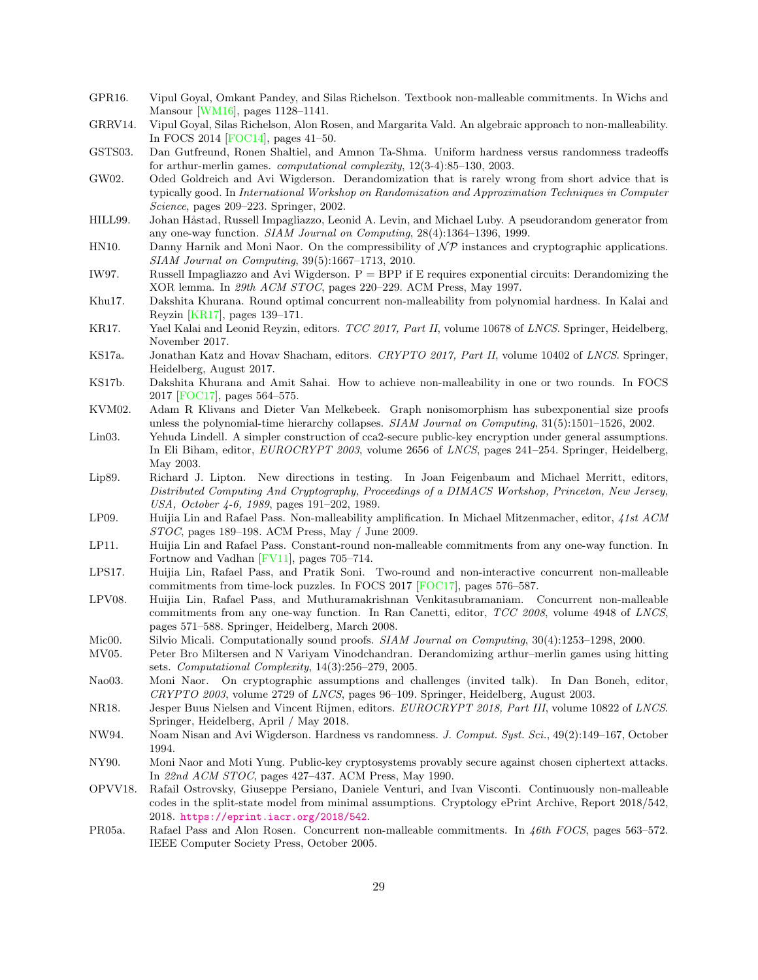- <span id="page-28-1"></span>GPR16. Vipul Goyal, Omkant Pandey, and Silas Richelson. Textbook non-malleable commitments. In Wichs and Mansour [\[WM16\]](#page-29-10), pages 1128–1141.
- <span id="page-28-20"></span>GRRV14. Vipul Goyal, Silas Richelson, Alon Rosen, and Margarita Vald. An algebraic approach to non-malleability. In FOCS 2014 [\[FOC14\]](#page-27-26), pages 41–50.
- <span id="page-28-15"></span>GSTS03. Dan Gutfreund, Ronen Shaltiel, and Amnon Ta-Shma. Uniform hardness versus randomness tradeoffs for arthur-merlin games. computational complexity, 12(3-4):85–130, 2003.
- <span id="page-28-14"></span>GW02. Oded Goldreich and Avi Wigderson. Derandomization that is rarely wrong from short advice that is typically good. In International Workshop on Randomization and Approximation Techniques in Computer Science, pages 209–223. Springer, 2002.
- <span id="page-28-7"></span>HILL99. Johan Håstad, Russell Impagliazzo, Leonid A. Levin, and Michael Luby. A pseudorandom generator from any one-way function. SIAM Journal on Computing, 28(4):1364–1396, 1999.
- <span id="page-28-11"></span>HN10. Danny Harnik and Moni Naor. On the compressibility of  $\mathcal{NP}$  instances and cryptographic applications. SIAM Journal on Computing, 39(5):1667–1713, 2010.
- <span id="page-28-9"></span>IW97. Russell Impagliazzo and Avi Wigderson.  $P = BPP$  if E requires exponential circuits: Derandomizing the XOR lemma. In 29th ACM STOC, pages 220–229. ACM Press, May 1997.
- <span id="page-28-21"></span>Khu17. Dakshita Khurana. Round optimal concurrent non-malleability from polynomial hardness. In Kalai and Reyzin [\[KR17\]](#page-28-25), pages 139–171.
- <span id="page-28-25"></span>KR17. Yael Kalai and Leonid Reyzin, editors. TCC 2017, Part II, volume 10678 of LNCS. Springer, Heidelberg, November 2017.
- <span id="page-28-24"></span>KS17a. Jonathan Katz and Hovav Shacham, editors. CRYPTO 2017, Part II, volume 10402 of LNCS. Springer, Heidelberg, August 2017.
- <span id="page-28-5"></span>KS17b. Dakshita Khurana and Amit Sahai. How to achieve non-malleability in one or two rounds. In FOCS 2017 [\[FOC17\]](#page-27-27), pages 564–575.
- <span id="page-28-12"></span>KVM02. Adam R Klivans and Dieter Van Melkebeek. Graph nonisomorphism has subexponential size proofs unless the polynomial-time hierarchy collapses. SIAM Journal on Computing, 31(5):1501–1526, 2002.
- <span id="page-28-16"></span>Lin03. Yehuda Lindell. A simpler construction of cca2-secure public-key encryption under general assumptions. In Eli Biham, editor, EUROCRYPT 2003, volume 2656 of LNCS, pages 241–254. Springer, Heidelberg, May 2003.
- <span id="page-28-10"></span>Lip89. Richard J. Lipton. New directions in testing. In Joan Feigenbaum and Michael Merritt, editors, Distributed Computing And Cryptography, Proceedings of a DIMACS Workshop, Princeton, New Jersey, USA, October 4-6, 1989, pages 191–202, 1989.
- <span id="page-28-18"></span>LP09. Huijia Lin and Rafael Pass. Non-malleability amplification. In Michael Mitzenmacher, editor, 41st ACM STOC, pages 189–198. ACM Press, May / June 2009.
- <span id="page-28-19"></span>LP11. Huijia Lin and Rafael Pass. Constant-round non-malleable commitments from any one-way function. In Fortnow and Vadhan [\[FV11\]](#page-27-25), pages 705–714.
- <span id="page-28-4"></span>LPS17. Huijia Lin, Rafael Pass, and Pratik Soni. Two-round and non-interactive concurrent non-malleable commitments from time-lock puzzles. In FOCS 2017 [\[FOC17\]](#page-27-27), pages 576–587.
- <span id="page-28-0"></span>LPV08. Huijia Lin, Rafael Pass, and Muthuramakrishnan Venkitasubramaniam. Concurrent non-malleable commitments from any one-way function. In Ran Canetti, editor, TCC 2008, volume 4948 of LNCS, pages 571–588. Springer, Heidelberg, March 2008.
- <span id="page-28-6"></span>Mic00. Silvio Micali. Computationally sound proofs. SIAM Journal on Computing, 30(4):1253–1298, 2000.
- <span id="page-28-13"></span>MV05. Peter Bro Miltersen and N Variyam Vinodchandran. Derandomizing arthur–merlin games using hitting sets. Computational Complexity, 14(3):256–279, 2005.
- <span id="page-28-22"></span>Nao03. Moni Naor. On cryptographic assumptions and challenges (invited talk). In Dan Boneh, editor, CRYPTO 2003, volume 2729 of LNCS, pages 96–109. Springer, Heidelberg, August 2003.
- <span id="page-28-23"></span>NR18. Jesper Buus Nielsen and Vincent Rijmen, editors. EUROCRYPT 2018, Part III, volume 10822 of LNCS. Springer, Heidelberg, April / May 2018.
- <span id="page-28-8"></span>NW94. Noam Nisan and Avi Wigderson. Hardness vs randomness. J. Comput. Syst. Sci., 49(2):149–167, October 1994.
- <span id="page-28-3"></span>NY90. Moni Naor and Moti Yung. Public-key cryptosystems provably secure against chosen ciphertext attacks. In 22nd ACM STOC, pages 427–437. ACM Press, May 1990.
- <span id="page-28-2"></span>OPVV18. Rafail Ostrovsky, Giuseppe Persiano, Daniele Venturi, and Ivan Visconti. Continuously non-malleable codes in the split-state model from minimal assumptions. Cryptology ePrint Archive, Report 2018/542, 2018. <https://eprint.iacr.org/2018/542>.
- <span id="page-28-17"></span>PR05a. Rafael Pass and Alon Rosen. Concurrent non-malleable commitments. In 46th FOCS, pages 563–572. IEEE Computer Society Press, October 2005.